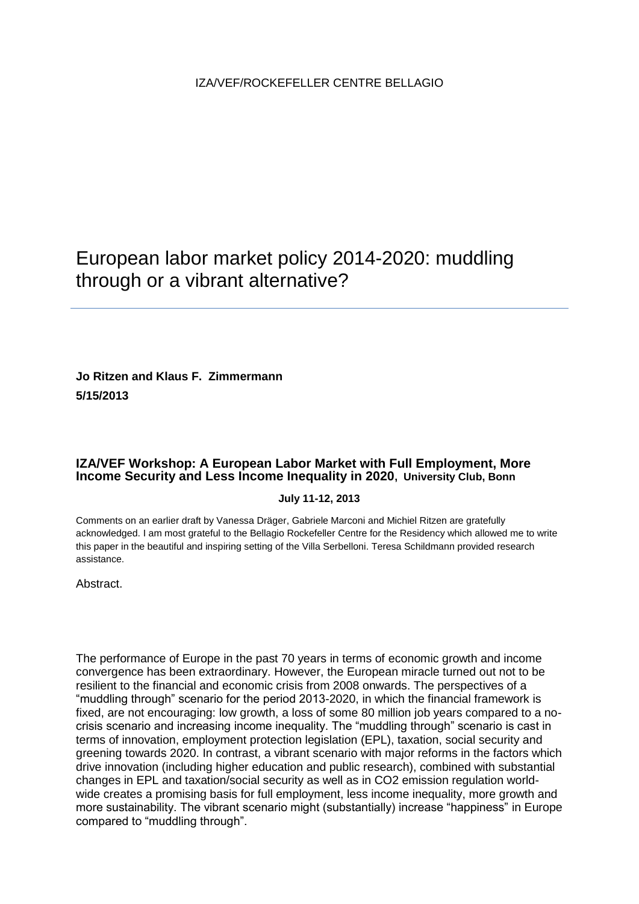# European labor market policy 2014-2020: muddling through or a vibrant alternative?

**Jo Ritzen and Klaus F. Zimmermann 5/15/2013**

#### **IZA/VEF Workshop: A European Labor Market with Full Employment, More Income Security and Less Income Inequality in 2020, University Club, Bonn**

#### **July 11-12, 2013**

Comments on an earlier draft by Vanessa Dräger, Gabriele Marconi and Michiel Ritzen are gratefully acknowledged. I am most grateful to the Bellagio Rockefeller Centre for the Residency which allowed me to write this paper in the beautiful and inspiring setting of the Villa Serbelloni. Teresa Schildmann provided research assistance.

**Abstract.** 

The performance of Europe in the past 70 years in terms of economic growth and income convergence has been extraordinary. However, the European miracle turned out not to be resilient to the financial and economic crisis from 2008 onwards. The perspectives of a "muddling through" scenario for the period 2013-2020, in which the financial framework is fixed, are not encouraging: low growth, a loss of some 80 million job years compared to a nocrisis scenario and increasing income inequality. The "muddling through" scenario is cast in terms of innovation, employment protection legislation (EPL), taxation, social security and greening towards 2020. In contrast, a vibrant scenario with major reforms in the factors which drive innovation (including higher education and public research), combined with substantial changes in EPL and taxation/social security as well as in CO2 emission regulation worldwide creates a promising basis for full employment, less income inequality, more growth and more sustainability. The vibrant scenario might (substantially) increase "happiness" in Europe compared to "muddling through".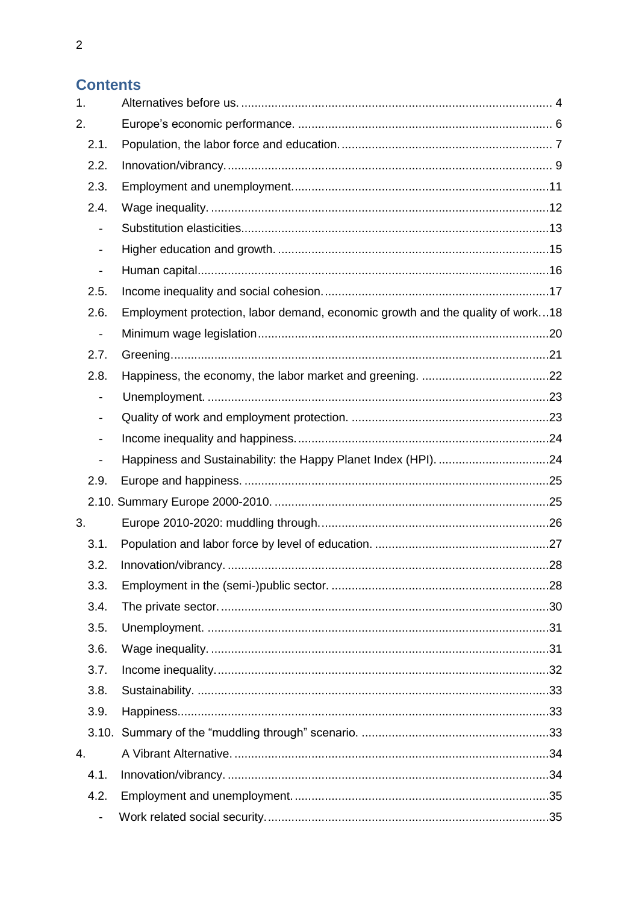## **Contents**

| 1.                       |                                                                                |  |
|--------------------------|--------------------------------------------------------------------------------|--|
| 2.                       |                                                                                |  |
| 2.1.                     |                                                                                |  |
| 2.2.                     |                                                                                |  |
| 2.3.                     |                                                                                |  |
| 2.4.                     |                                                                                |  |
| $\overline{\phantom{a}}$ |                                                                                |  |
| $\overline{\phantom{0}}$ |                                                                                |  |
| $\overline{\phantom{0}}$ |                                                                                |  |
| 2.5.                     |                                                                                |  |
| 2.6.                     | Employment protection, labor demand, economic growth and the quality of work18 |  |
| $\blacksquare$           |                                                                                |  |
| 2.7.                     |                                                                                |  |
| 2.8.                     |                                                                                |  |
| $\overline{\phantom{a}}$ |                                                                                |  |
|                          |                                                                                |  |
|                          |                                                                                |  |
| $\overline{\phantom{0}}$ | Happiness and Sustainability: the Happy Planet Index (HPI). 24                 |  |
| 2.9.                     |                                                                                |  |
|                          |                                                                                |  |
| 3.                       |                                                                                |  |
| 3.1.                     |                                                                                |  |
| 3.2.                     |                                                                                |  |
| 3.3.                     |                                                                                |  |
| 3.4.                     |                                                                                |  |
| 3.5.                     |                                                                                |  |
| 3.6.                     |                                                                                |  |
| 3.7.                     |                                                                                |  |
| 3.8.                     |                                                                                |  |
| 3.9.                     |                                                                                |  |
| 3.10.                    |                                                                                |  |
| 4.                       |                                                                                |  |
| 4.1.                     |                                                                                |  |
| 4.2.                     |                                                                                |  |
| $\blacksquare$           |                                                                                |  |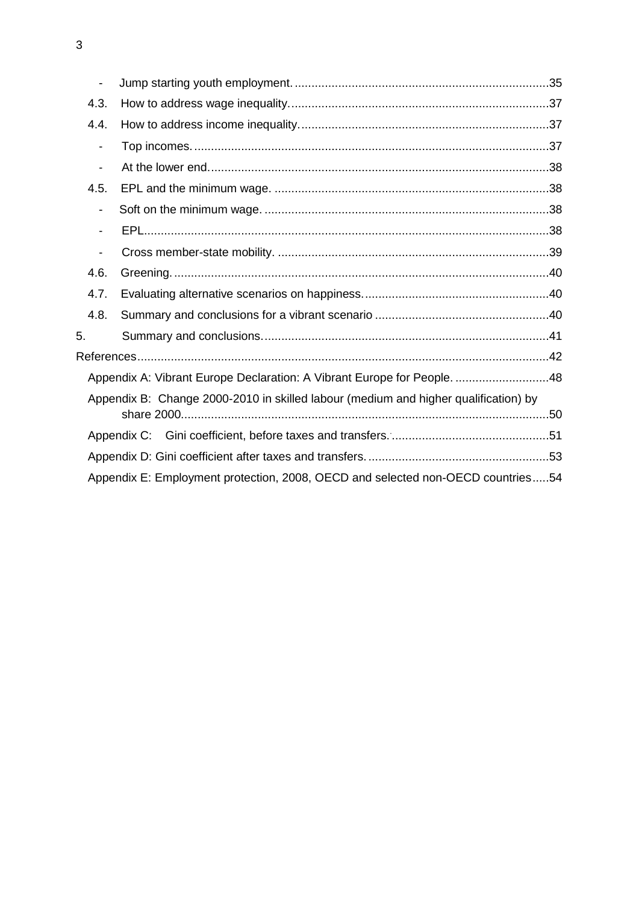| $\overline{\phantom{a}}$     |                                                                                     |  |
|------------------------------|-------------------------------------------------------------------------------------|--|
| 4.3.                         |                                                                                     |  |
| 4.4.                         |                                                                                     |  |
| ٠                            |                                                                                     |  |
| ÷,                           |                                                                                     |  |
| 4.5.                         |                                                                                     |  |
| $\qquad \qquad \blacksquare$ |                                                                                     |  |
|                              |                                                                                     |  |
| $\overline{\phantom{a}}$     |                                                                                     |  |
| 4.6.                         |                                                                                     |  |
| 4.7.                         |                                                                                     |  |
| 4.8.                         |                                                                                     |  |
| 5.                           |                                                                                     |  |
|                              |                                                                                     |  |
|                              | Appendix A: Vibrant Europe Declaration: A Vibrant Europe for People. 48             |  |
|                              | Appendix B: Change 2000-2010 in skilled labour (medium and higher qualification) by |  |
|                              |                                                                                     |  |
|                              |                                                                                     |  |
|                              | Appendix E: Employment protection, 2008, OECD and selected non-OECD countries54     |  |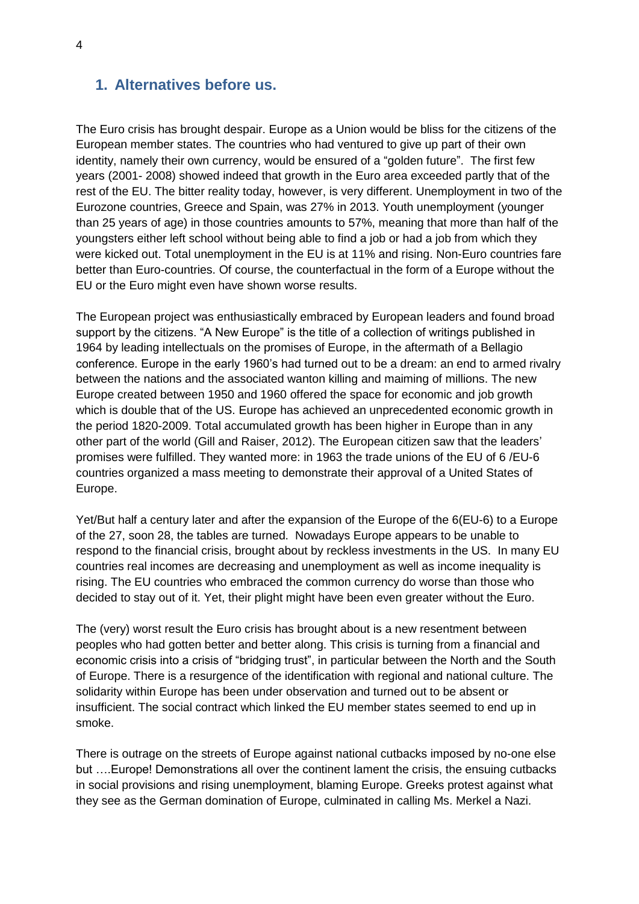## <span id="page-3-0"></span>**1. Alternatives before us.**

The Euro crisis has brought despair. Europe as a Union would be bliss for the citizens of the European member states. The countries who had ventured to give up part of their own identity, namely their own currency, would be ensured of a "golden future". The first few years (2001- 2008) showed indeed that growth in the Euro area exceeded partly that of the rest of the EU. The bitter reality today, however, is very different. Unemployment in two of the Eurozone countries, Greece and Spain, was 27% in 2013. Youth unemployment (younger than 25 years of age) in those countries amounts to 57%, meaning that more than half of the youngsters either left school without being able to find a job or had a job from which they were kicked out. Total unemployment in the EU is at 11% and rising. Non-Euro countries fare better than Euro-countries. Of course, the counterfactual in the form of a Europe without the EU or the Euro might even have shown worse results.

The European project was enthusiastically embraced by European leaders and found broad support by the citizens. "A New Europe" is the title of a collection of writings published in 1964 by leading intellectuals on the promises of Europe, in the aftermath of a Bellagio conference. Europe in the early 1960's had turned out to be a dream: an end to armed rivalry between the nations and the associated wanton killing and maiming of millions. The new Europe created between 1950 and 1960 offered the space for economic and job growth which is double that of the US. Europe has achieved an unprecedented economic growth in the period 1820-2009. Total accumulated growth has been higher in Europe than in any other part of the world (Gill and Raiser, 2012). The European citizen saw that the leaders' promises were fulfilled. They wanted more: in 1963 the trade unions of the EU of 6 /EU-6 countries organized a mass meeting to demonstrate their approval of a United States of Europe.

Yet/But half a century later and after the expansion of the Europe of the 6(EU-6) to a Europe of the 27, soon 28, the tables are turned. Nowadays Europe appears to be unable to respond to the financial crisis, brought about by reckless investments in the US. In many EU countries real incomes are decreasing and unemployment as well as income inequality is rising. The EU countries who embraced the common currency do worse than those who decided to stay out of it. Yet, their plight might have been even greater without the Euro.

The (very) worst result the Euro crisis has brought about is a new resentment between peoples who had gotten better and better along. This crisis is turning from a financial and economic crisis into a crisis of "bridging trust", in particular between the North and the South of Europe. There is a resurgence of the identification with regional and national culture. The solidarity within Europe has been under observation and turned out to be absent or insufficient. The social contract which linked the EU member states seemed to end up in smoke.

There is outrage on the streets of Europe against national cutbacks imposed by no-one else but ….Europe! Demonstrations all over the continent lament the crisis, the ensuing cutbacks in social provisions and rising unemployment, blaming Europe. Greeks protest against what they see as the German domination of Europe, culminated in calling Ms. Merkel a Nazi.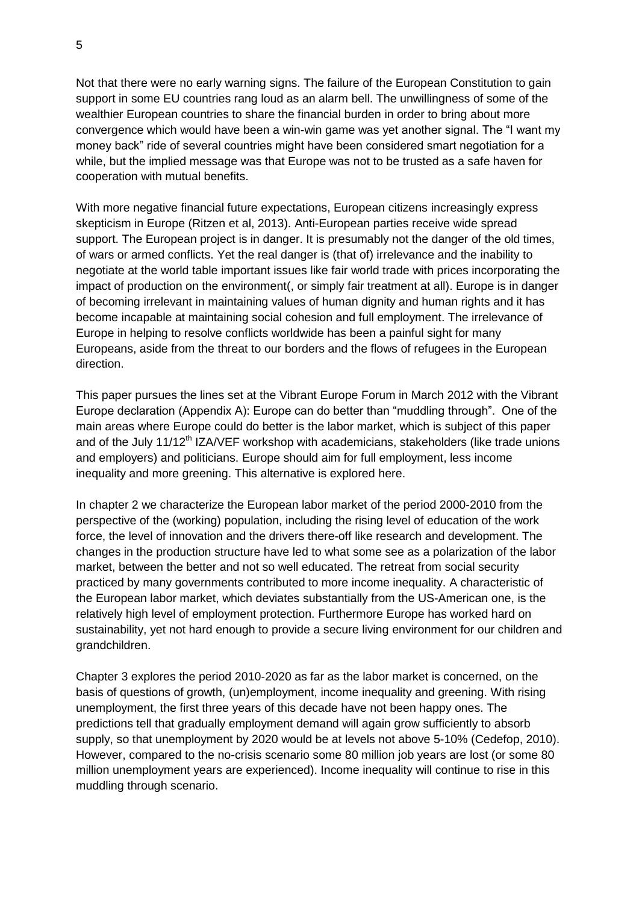Not that there were no early warning signs. The failure of the European Constitution to gain support in some EU countries rang loud as an alarm bell. The unwillingness of some of the wealthier European countries to share the financial burden in order to bring about more convergence which would have been a win-win game was yet another signal. The "I want my money back" ride of several countries might have been considered smart negotiation for a while, but the implied message was that Europe was not to be trusted as a safe haven for cooperation with mutual benefits.

With more negative financial future expectations, European citizens increasingly express skepticism in Europe (Ritzen et al, 2013). Anti-European parties receive wide spread support. The European project is in danger. It is presumably not the danger of the old times, of wars or armed conflicts. Yet the real danger is (that of) irrelevance and the inability to negotiate at the world table important issues like fair world trade with prices incorporating the impact of production on the environment(, or simply fair treatment at all). Europe is in danger of becoming irrelevant in maintaining values of human dignity and human rights and it has become incapable at maintaining social cohesion and full employment. The irrelevance of Europe in helping to resolve conflicts worldwide has been a painful sight for many Europeans, aside from the threat to our borders and the flows of refugees in the European direction.

This paper pursues the lines set at the Vibrant Europe Forum in March 2012 with the Vibrant Europe declaration (Appendix A): Europe can do better than "muddling through". One of the main areas where Europe could do better is the labor market, which is subject of this paper and of the July 11/12<sup>th</sup> IZA/VEF workshop with academicians, stakeholders (like trade unions and employers) and politicians. Europe should aim for full employment, less income inequality and more greening. This alternative is explored here.

In chapter 2 we characterize the European labor market of the period 2000-2010 from the perspective of the (working) population, including the rising level of education of the work force, the level of innovation and the drivers there-off like research and development. The changes in the production structure have led to what some see as a polarization of the labor market, between the better and not so well educated. The retreat from social security practiced by many governments contributed to more income inequality. A characteristic of the European labor market, which deviates substantially from the US-American one, is the relatively high level of employment protection. Furthermore Europe has worked hard on sustainability, yet not hard enough to provide a secure living environment for our children and grandchildren.

Chapter 3 explores the period 2010-2020 as far as the labor market is concerned, on the basis of questions of growth, (un)employment, income inequality and greening. With rising unemployment, the first three years of this decade have not been happy ones. The predictions tell that gradually employment demand will again grow sufficiently to absorb supply, so that unemployment by 2020 would be at levels not above 5-10% (Cedefop, 2010). However, compared to the no-crisis scenario some 80 million job years are lost (or some 80 million unemployment years are experienced). Income inequality will continue to rise in this muddling through scenario.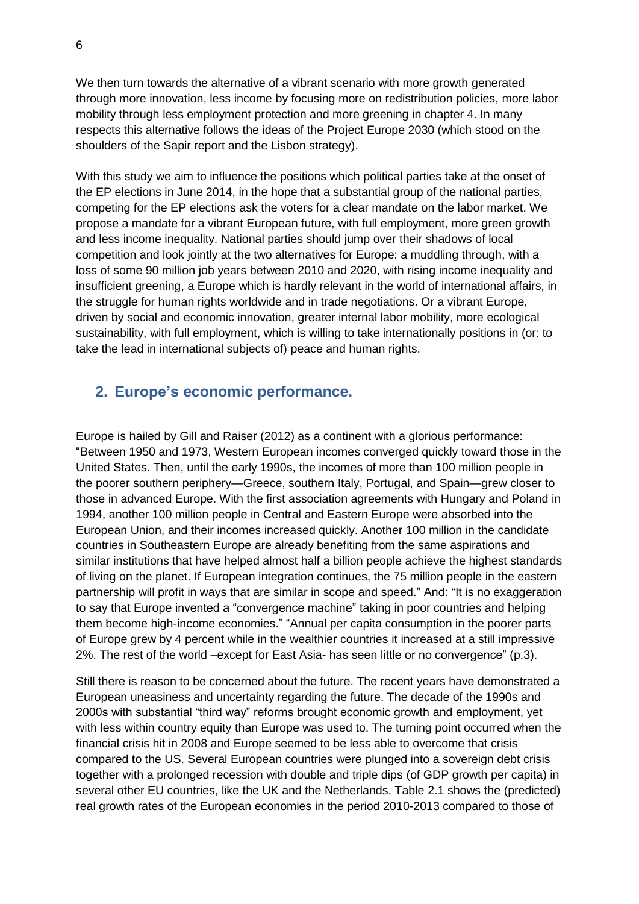We then turn towards the alternative of a vibrant scenario with more growth generated through more innovation, less income by focusing more on redistribution policies, more labor mobility through less employment protection and more greening in chapter 4. In many respects this alternative follows the ideas of the Project Europe 2030 (which stood on the shoulders of the Sapir report and the Lisbon strategy).

With this study we aim to influence the positions which political parties take at the onset of the EP elections in June 2014, in the hope that a substantial group of the national parties, competing for the EP elections ask the voters for a clear mandate on the labor market. We propose a mandate for a vibrant European future, with full employment, more green growth and less income inequality. National parties should jump over their shadows of local competition and look jointly at the two alternatives for Europe: a muddling through, with a loss of some 90 million job years between 2010 and 2020, with rising income inequality and insufficient greening, a Europe which is hardly relevant in the world of international affairs, in the struggle for human rights worldwide and in trade negotiations. Or a vibrant Europe, driven by social and economic innovation, greater internal labor mobility, more ecological sustainability, with full employment, which is willing to take internationally positions in (or: to take the lead in international subjects of) peace and human rights.

## <span id="page-5-0"></span>**2. Europe's economic performance.**

Europe is hailed by Gill and Raiser (2012) as a continent with a glorious performance: "Between 1950 and 1973, Western European incomes converged quickly toward those in the United States. Then, until the early 1990s, the incomes of more than 100 million people in the poorer southern periphery—Greece, southern Italy, Portugal, and Spain—grew closer to those in advanced Europe. With the first association agreements with Hungary and Poland in 1994, another 100 million people in Central and Eastern Europe were absorbed into the European Union, and their incomes increased quickly. Another 100 million in the candidate countries in Southeastern Europe are already benefiting from the same aspirations and similar institutions that have helped almost half a billion people achieve the highest standards of living on the planet. If European integration continues, the 75 million people in the eastern partnership will profit in ways that are similar in scope and speed." And: "It is no exaggeration to say that Europe invented a "convergence machine" taking in poor countries and helping them become high-income economies." "Annual per capita consumption in the poorer parts of Europe grew by 4 percent while in the wealthier countries it increased at a still impressive 2%. The rest of the world –except for East Asia- has seen little or no convergence" (p.3).

Still there is reason to be concerned about the future. The recent years have demonstrated a European uneasiness and uncertainty regarding the future. The decade of the 1990s and 2000s with substantial "third way" reforms brought economic growth and employment, yet with less within country equity than Europe was used to. The turning point occurred when the financial crisis hit in 2008 and Europe seemed to be less able to overcome that crisis compared to the US. Several European countries were plunged into a sovereign debt crisis together with a prolonged recession with double and triple dips (of GDP growth per capita) in several other EU countries, like the UK and the Netherlands. Table 2.1 shows the (predicted) real growth rates of the European economies in the period 2010-2013 compared to those of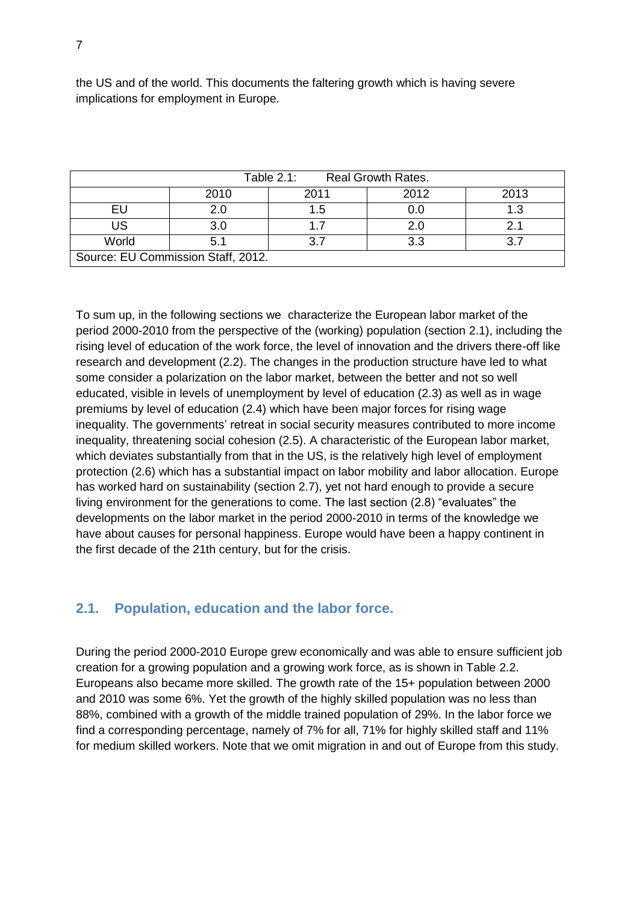|                                    |      | Table $2.1$ : | <b>Real Growth Rates.</b> |      |  |
|------------------------------------|------|---------------|---------------------------|------|--|
|                                    | 2010 | 2011          | 2012                      | 2013 |  |
| EU                                 | 2.0  | 1.5           | 0.0                       | 1.3  |  |
| US                                 | 3.0  |               | 2.0                       |      |  |
| World<br>3.3<br>5.1                |      |               |                           |      |  |
| Source: EU Commission Staff, 2012. |      |               |                           |      |  |

the US and of the world. This documents the faltering growth which is having severe implications for employment in Europe.

To sum up, in the following sections we characterize the European labor market of the period 2000-2010 from the perspective of the (working) population (section 2.1), including the rising level of education of the work force, the level of innovation and the drivers there-off like research and development (2.2). The changes in the production structure have led to what some consider a polarization on the labor market, between the better and not so well educated, visible in levels of unemployment by level of education (2.3) as well as in wage premiums by level of education (2.4) which have been major forces for rising wage inequality. The governments' retreat in social security measures contributed to more income inequality, threatening social cohesion (2.5). A characteristic of the European labor market, which deviates substantially from that in the US, is the relatively high level of employment protection (2.6) which has a substantial impact on labor mobility and labor allocation. Europe has worked hard on sustainability (section 2.7), yet not hard enough to provide a secure living environment for the generations to come. The last section  $(2.8)$  "evaluates" the developments on the labor market in the period 2000-2010 in terms of the knowledge we have about causes for personal happiness. Europe would have been a happy continent in the first decade of the 21th century, but for the crisis.

## <span id="page-6-0"></span>**2.1. Population, education and the labor force.**

During the period 2000-2010 Europe grew economically and was able to ensure sufficient job creation for a growing population and a growing work force, as is shown in Table 2.2. Europeans also became more skilled. The growth rate of the 15+ population between 2000 and 2010 was some 6%. Yet the growth of the highly skilled population was no less than 88%, combined with a growth of the middle trained population of 29%. In the labor force we find a corresponding percentage, namely of 7% for all, 71% for highly skilled staff and 11% for medium skilled workers. Note that we omit migration in and out of Europe from this study.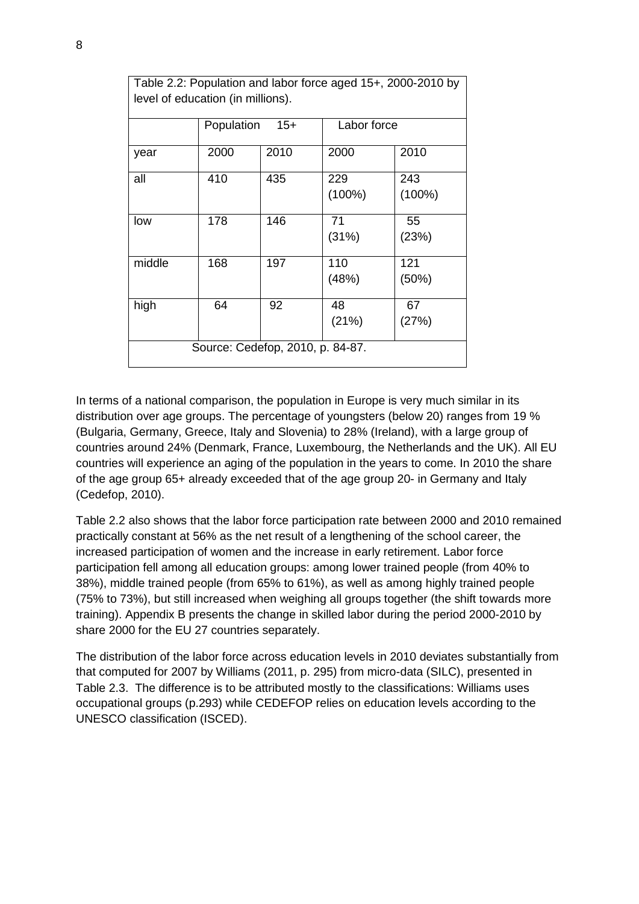|        | Population | $15+$ | Labor force      |                  |
|--------|------------|-------|------------------|------------------|
| year   | 2000       | 2010  | 2000             | 2010             |
| all    | 410        | 435   | 229<br>$(100\%)$ | 243<br>$(100\%)$ |
| low    | 178        | 146   | 71<br>(31%)      | 55<br>(23%)      |
| middle | 168        | 197   | 110<br>(48%)     | 121<br>$(50\%)$  |
| high   | 64         | 92    | 48<br>(21%)      | 67<br>(27%)      |

Table 2.2: Population and labor force aged 15+, 2000-2010 by

In terms of a national comparison, the population in Europe is very much similar in its distribution over age groups. The percentage of youngsters (below 20) ranges from 19 % (Bulgaria, Germany, Greece, Italy and Slovenia) to 28% (Ireland), with a large group of countries around 24% (Denmark, France, Luxembourg, the Netherlands and the UK). All EU countries will experience an aging of the population in the years to come. In 2010 the share of the age group 65+ already exceeded that of the age group 20- in Germany and Italy

Table 2.2 also shows that the labor force participation rate between 2000 and 2010 remained practically constant at 56% as the net result of a lengthening of the school career, the increased participation of women and the increase in early retirement. Labor force participation fell among all education groups: among lower trained people (from 40% to 38%), middle trained people (from 65% to 61%), as well as among highly trained people (75% to 73%), but still increased when weighing all groups together (the shift towards more training). Appendix B presents the change in skilled labor during the period 2000-2010 by share 2000 for the EU 27 countries separately.

The distribution of the labor force across education levels in 2010 deviates substantially from that computed for 2007 by Williams (2011, p. 295) from micro-data (SILC), presented in Table 2.3. The difference is to be attributed mostly to the classifications: Williams uses occupational groups (p.293) while CEDEFOP relies on education levels according to the UNESCO classification (ISCED).

(Cedefop, 2010).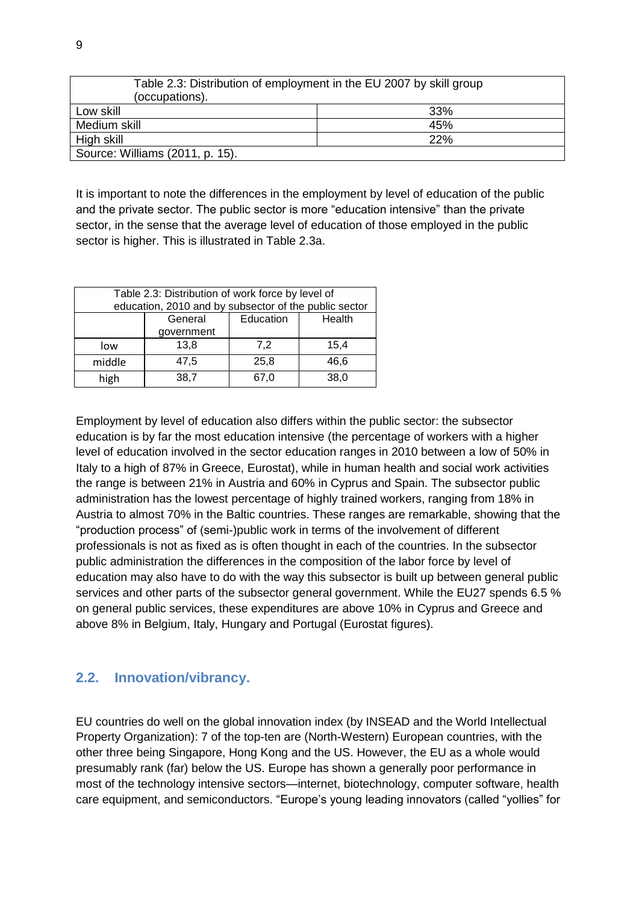| Table 2.3: Distribution of employment in the EU 2007 by skill group<br>(occupations). |     |  |  |  |
|---------------------------------------------------------------------------------------|-----|--|--|--|
| Low skill                                                                             | 33% |  |  |  |
| Medium skill                                                                          | 45% |  |  |  |
| High skill                                                                            | 22% |  |  |  |
| Source: Williams (2011, p. 15).                                                       |     |  |  |  |

It is important to note the differences in the employment by level of education of the public and the private sector. The public sector is more "education intensive" than the private sector, in the sense that the average level of education of those employed in the public sector is higher. This is illustrated in Table 2.3a.

| Table 2.3: Distribution of work force by level of<br>education, 2010 and by subsector of the public sector |      |      |      |  |  |
|------------------------------------------------------------------------------------------------------------|------|------|------|--|--|
| Education<br>Health<br>General<br>government                                                               |      |      |      |  |  |
| low                                                                                                        | 13,8 |      | 15.4 |  |  |
| middle                                                                                                     | 47.5 | 25,8 | 46,6 |  |  |
| high                                                                                                       | 38.7 | 67.0 | 38,0 |  |  |

Employment by level of education also differs within the public sector: the subsector education is by far the most education intensive (the percentage of workers with a higher level of education involved in the sector education ranges in 2010 between a low of 50% in Italy to a high of 87% in Greece, Eurostat), while in human health and social work activities the range is between 21% in Austria and 60% in Cyprus and Spain. The subsector public administration has the lowest percentage of highly trained workers, ranging from 18% in Austria to almost 70% in the Baltic countries. These ranges are remarkable, showing that the "production process" of (semi-)public work in terms of the involvement of different professionals is not as fixed as is often thought in each of the countries. In the subsector public administration the differences in the composition of the labor force by level of education may also have to do with the way this subsector is built up between general public services and other parts of the subsector general government. While the EU27 spends 6.5 % on general public services, these expenditures are above 10% in Cyprus and Greece and above 8% in Belgium, Italy, Hungary and Portugal (Eurostat figures).

## <span id="page-8-0"></span>**2.2. Innovation/vibrancy.**

EU countries do well on the global innovation index (by INSEAD and the World Intellectual Property Organization): 7 of the top-ten are (North-Western) European countries, with the other three being Singapore, Hong Kong and the US. However, the EU as a whole would presumably rank (far) below the US. Europe has shown a generally poor performance in most of the technology intensive sectors—internet, biotechnology, computer software, health care equipment, and semiconductors. "Europe's young leading innovators (called "yollies" for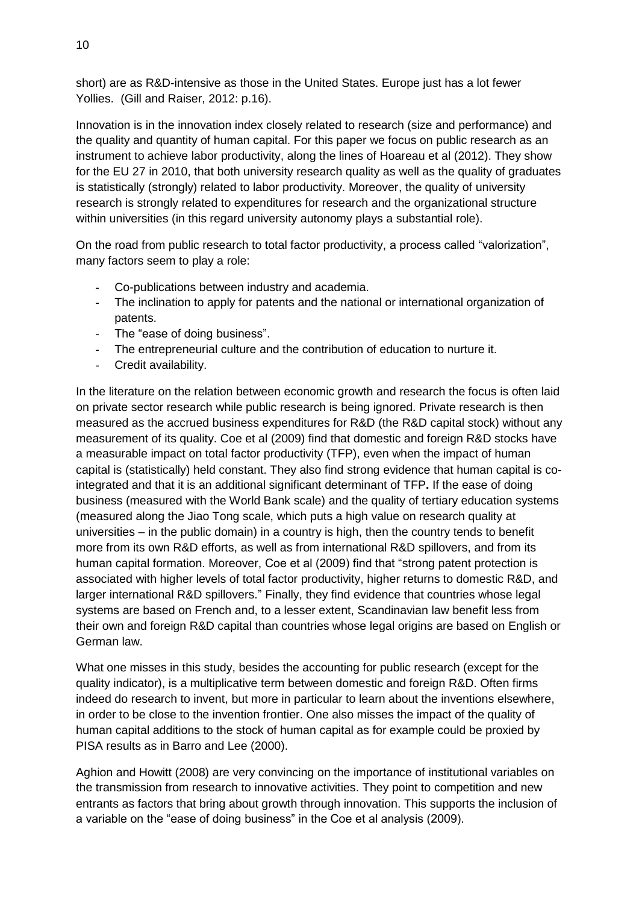short) are as R&D-intensive as those in the United States. Europe just has a lot fewer Yollies. (Gill and Raiser, 2012: p.16).

Innovation is in the innovation index closely related to research (size and performance) and the quality and quantity of human capital. For this paper we focus on public research as an instrument to achieve labor productivity, along the lines of Hoareau et al (2012). They show for the EU 27 in 2010, that both university research quality as well as the quality of graduates is statistically (strongly) related to labor productivity. Moreover, the quality of university research is strongly related to expenditures for research and the organizational structure within universities (in this regard university autonomy plays a substantial role).

On the road from public research to total factor productivity, a process called "valorization", many factors seem to play a role:

- Co-publications between industry and academia.
- The inclination to apply for patents and the national or international organization of patents.
- The "ease of doing business".
- The entrepreneurial culture and the contribution of education to nurture it.
- Credit availability.

In the literature on the relation between economic growth and research the focus is often laid on private sector research while public research is being ignored. Private research is then measured as the accrued business expenditures for R&D (the R&D capital stock) without any measurement of its quality. Coe et al (2009) find that domestic and foreign R&D stocks have a measurable impact on total factor productivity (TFP), even when the impact of human capital is (statistically) held constant. They also find strong evidence that human capital is cointegrated and that it is an additional significant determinant of TFP**.** If the ease of doing business (measured with the World Bank scale) and the quality of tertiary education systems (measured along the Jiao Tong scale, which puts a high value on research quality at universities – in the public domain) in a country is high, then the country tends to benefit more from its own R&D efforts, as well as from international R&D spillovers, and from its human capital formation. Moreover, Coe et al (2009) find that "strong patent protection is associated with higher levels of total factor productivity, higher returns to domestic R&D, and larger international R&D spillovers." Finally, they find evidence that countries whose legal systems are based on French and, to a lesser extent, Scandinavian law benefit less from their own and foreign R&D capital than countries whose legal origins are based on English or German law.

What one misses in this study, besides the accounting for public research (except for the quality indicator), is a multiplicative term between domestic and foreign R&D. Often firms indeed do research to invent, but more in particular to learn about the inventions elsewhere, in order to be close to the invention frontier. One also misses the impact of the quality of human capital additions to the stock of human capital as for example could be proxied by PISA results as in Barro and Lee (2000).

Aghion and Howitt (2008) are very convincing on the importance of institutional variables on the transmission from research to innovative activities. They point to competition and new entrants as factors that bring about growth through innovation. This supports the inclusion of a variable on the "ease of doing business" in the Coe et al analysis (2009).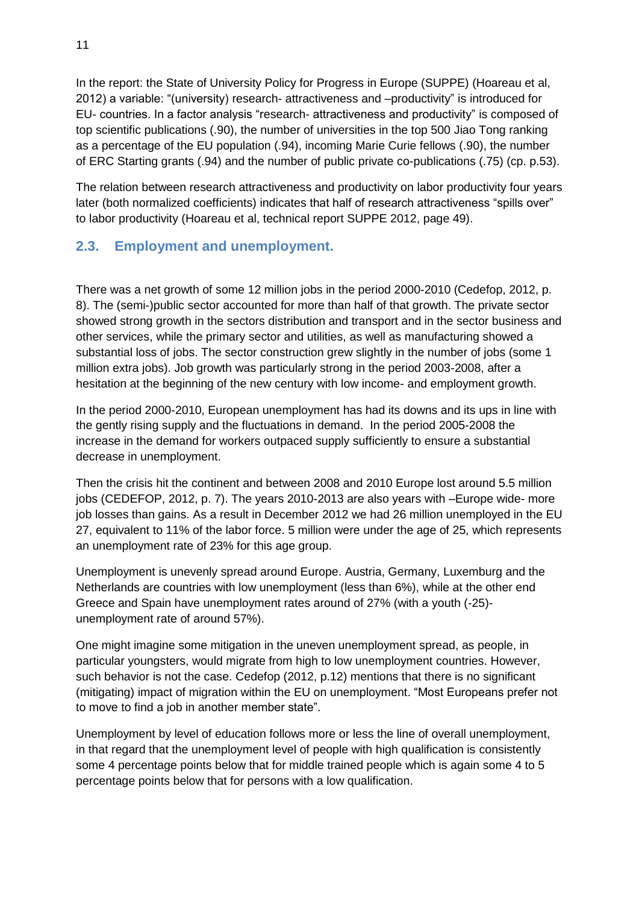In the report: the State of University Policy for Progress in Europe (SUPPE) (Hoareau et al, 2012) a variable: "(university) research- attractiveness and –productivity" is introduced for EU- countries. In a factor analysis "research- attractiveness and productivity" is composed of top scientific publications (.90), the number of universities in the top 500 Jiao Tong ranking as a percentage of the EU population (.94), incoming Marie Curie fellows (.90), the number of ERC Starting grants (.94) and the number of public private co-publications (.75) (cp. p.53).

The relation between research attractiveness and productivity on labor productivity four years later (both normalized coefficients) indicates that half of research attractiveness "spills over" to labor productivity (Hoareau et al, technical report SUPPE 2012, page 49).

## <span id="page-10-0"></span>**2.3. Employment and unemployment.**

There was a net growth of some 12 million jobs in the period 2000-2010 (Cedefop, 2012, p. 8). The (semi-)public sector accounted for more than half of that growth. The private sector showed strong growth in the sectors distribution and transport and in the sector business and other services, while the primary sector and utilities, as well as manufacturing showed a substantial loss of jobs. The sector construction grew slightly in the number of jobs (some 1 million extra jobs). Job growth was particularly strong in the period 2003-2008, after a hesitation at the beginning of the new century with low income- and employment growth.

In the period 2000-2010, European unemployment has had its downs and its ups in line with the gently rising supply and the fluctuations in demand. In the period 2005-2008 the increase in the demand for workers outpaced supply sufficiently to ensure a substantial decrease in unemployment.

Then the crisis hit the continent and between 2008 and 2010 Europe lost around 5.5 million jobs (CEDEFOP, 2012, p. 7). The years 2010-2013 are also years with –Europe wide- more job losses than gains. As a result in December 2012 we had 26 million unemployed in the EU 27, equivalent to 11% of the labor force. 5 million were under the age of 25, which represents an unemployment rate of 23% for this age group.

Unemployment is unevenly spread around Europe. Austria, Germany, Luxemburg and the Netherlands are countries with low unemployment (less than 6%), while at the other end Greece and Spain have unemployment rates around of 27% (with a youth (-25) unemployment rate of around 57%).

One might imagine some mitigation in the uneven unemployment spread, as people, in particular youngsters, would migrate from high to low unemployment countries. However, such behavior is not the case. Cedefop (2012, p.12) mentions that there is no significant (mitigating) impact of migration within the EU on unemployment. "Most Europeans prefer not to move to find a job in another member state".

Unemployment by level of education follows more or less the line of overall unemployment, in that regard that the unemployment level of people with high qualification is consistently some 4 percentage points below that for middle trained people which is again some 4 to 5 percentage points below that for persons with a low qualification.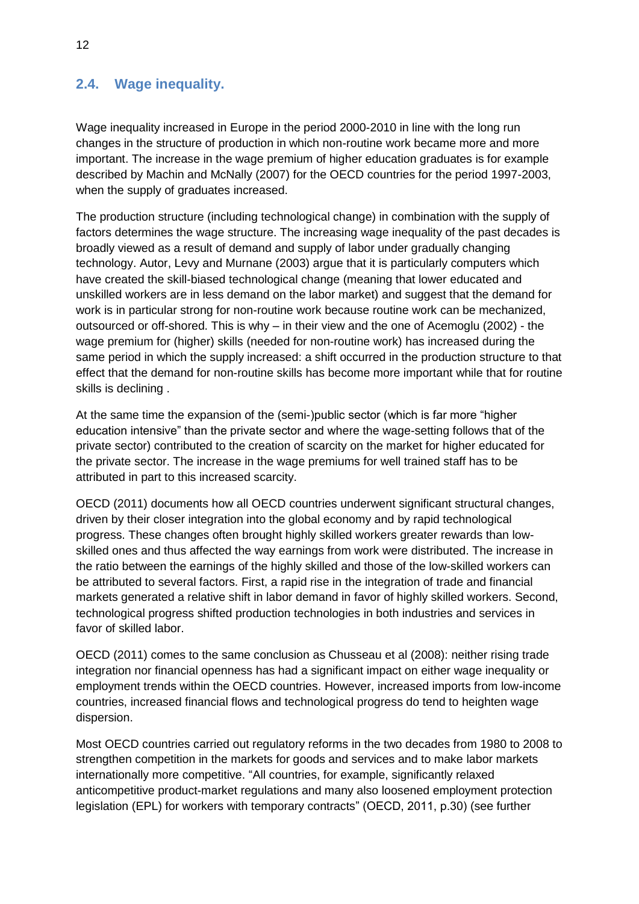## <span id="page-11-0"></span>**2.4. Wage inequality.**

Wage inequality increased in Europe in the period 2000-2010 in line with the long run changes in the structure of production in which non-routine work became more and more important. The increase in the wage premium of higher education graduates is for example described by Machin and McNally (2007) for the OECD countries for the period 1997-2003, when the supply of graduates increased.

The production structure (including technological change) in combination with the supply of factors determines the wage structure. The increasing wage inequality of the past decades is broadly viewed as a result of demand and supply of labor under gradually changing technology. Autor, Levy and Murnane (2003) argue that it is particularly computers which have created the skill-biased technological change (meaning that lower educated and unskilled workers are in less demand on the labor market) and suggest that the demand for work is in particular strong for non-routine work because routine work can be mechanized, outsourced or off-shored. This is why – in their view and the one of Acemoglu (2002) - the wage premium for (higher) skills (needed for non-routine work) has increased during the same period in which the supply increased: a shift occurred in the production structure to that effect that the demand for non-routine skills has become more important while that for routine skills is declining .

At the same time the expansion of the (semi-)public sector (which is far more "higher education intensive" than the private sector and where the wage-setting follows that of the private sector) contributed to the creation of scarcity on the market for higher educated for the private sector. The increase in the wage premiums for well trained staff has to be attributed in part to this increased scarcity.

OECD (2011) documents how all OECD countries underwent significant structural changes, driven by their closer integration into the global economy and by rapid technological progress. These changes often brought highly skilled workers greater rewards than lowskilled ones and thus affected the way earnings from work were distributed. The increase in the ratio between the earnings of the highly skilled and those of the low-skilled workers can be attributed to several factors. First, a rapid rise in the integration of trade and financial markets generated a relative shift in labor demand in favor of highly skilled workers. Second, technological progress shifted production technologies in both industries and services in favor of skilled labor.

OECD (2011) comes to the same conclusion as Chusseau et al (2008): neither rising trade integration nor financial openness has had a significant impact on either wage inequality or employment trends within the OECD countries. However, increased imports from low-income countries, increased financial flows and technological progress do tend to heighten wage dispersion.

Most OECD countries carried out regulatory reforms in the two decades from 1980 to 2008 to strengthen competition in the markets for goods and services and to make labor markets internationally more competitive. "All countries, for example, significantly relaxed anticompetitive product-market regulations and many also loosened employment protection legislation (EPL) for workers with temporary contracts" (OECD, 2011, p.30) (see further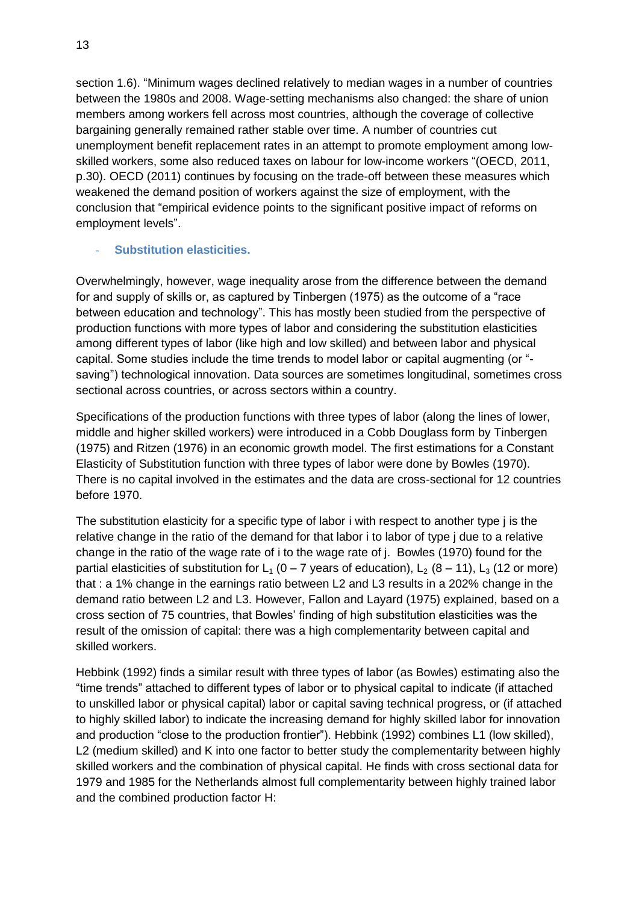section 1.6). "Minimum wages declined relatively to median wages in a number of countries between the 1980s and 2008. Wage-setting mechanisms also changed: the share of union members among workers fell across most countries, although the coverage of collective bargaining generally remained rather stable over time. A number of countries cut unemployment benefit replacement rates in an attempt to promote employment among lowskilled workers, some also reduced taxes on labour for low-income workers "(OECD, 2011, p.30). OECD (2011) continues by focusing on the trade-off between these measures which weakened the demand position of workers against the size of employment, with the conclusion that "empirical evidence points to the significant positive impact of reforms on employment levels".

#### <span id="page-12-0"></span>- **Substitution elasticities.**

Overwhelmingly, however, wage inequality arose from the difference between the demand for and supply of skills or, as captured by Tinbergen (1975) as the outcome of a "race between education and technology". This has mostly been studied from the perspective of production functions with more types of labor and considering the substitution elasticities among different types of labor (like high and low skilled) and between labor and physical capital. Some studies include the time trends to model labor or capital augmenting (or "saving") technological innovation. Data sources are sometimes longitudinal, sometimes cross sectional across countries, or across sectors within a country.

Specifications of the production functions with three types of labor (along the lines of lower, middle and higher skilled workers) were introduced in a Cobb Douglass form by Tinbergen (1975) and Ritzen (1976) in an economic growth model. The first estimations for a Constant Elasticity of Substitution function with three types of labor were done by Bowles (1970). There is no capital involved in the estimates and the data are cross-sectional for 12 countries before 1970.

The substitution elasticity for a specific type of labor i with respect to another type j is the relative change in the ratio of the demand for that labor i to labor of type j due to a relative change in the ratio of the wage rate of i to the wage rate of j. Bowles (1970) found for the partial elasticities of substitution for  $L_1$  (0 – 7 years of education),  $L_2$  (8 – 11),  $L_3$  (12 or more) that : a 1% change in the earnings ratio between L2 and L3 results in a 202% change in the demand ratio between L2 and L3. However, Fallon and Layard (1975) explained, based on a cross section of 75 countries, that Bowles' finding of high substitution elasticities was the result of the omission of capital: there was a high complementarity between capital and skilled workers.

Hebbink (1992) finds a similar result with three types of labor (as Bowles) estimating also the ―time trends‖ attached to different types of labor or to physical capital to indicate (if attached to unskilled labor or physical capital) labor or capital saving technical progress, or (if attached to highly skilled labor) to indicate the increasing demand for highly skilled labor for innovation and production "close to the production frontier"). Hebbink (1992) combines L1 (low skilled), L2 (medium skilled) and K into one factor to better study the complementarity between highly skilled workers and the combination of physical capital. He finds with cross sectional data for 1979 and 1985 for the Netherlands almost full complementarity between highly trained labor and the combined production factor H: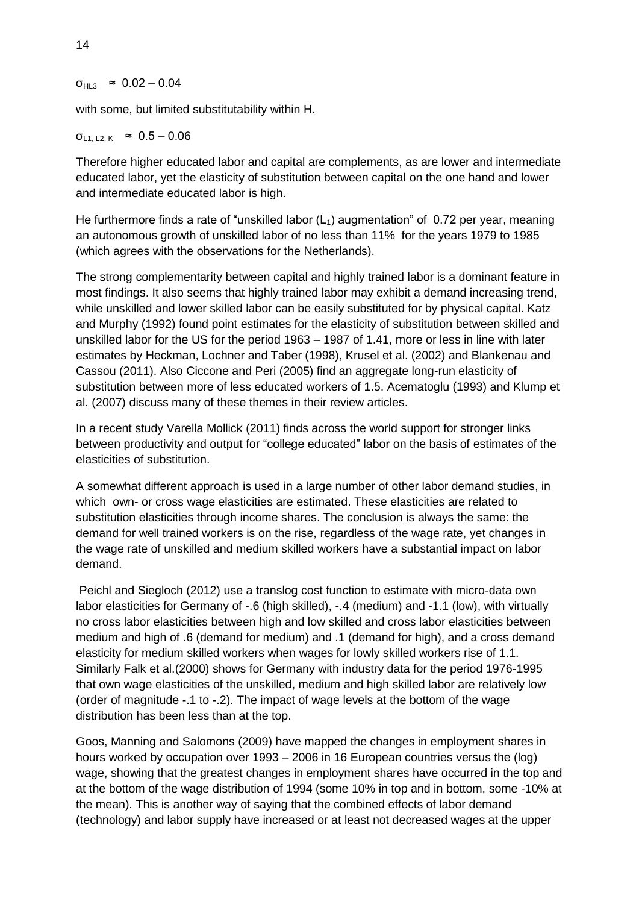#### $σ_{HL3}$  ≈ 0.02 – 0.04

with some, but limited substitutability within H.

 $\sigma_{11,12,16}$   $\approx 0.5 - 0.06$ 

Therefore higher educated labor and capital are complements, as are lower and intermediate educated labor, yet the elasticity of substitution between capital on the one hand and lower and intermediate educated labor is high.

He furthermore finds a rate of "unskilled labor  $(L_1)$  augmentation" of 0.72 per year, meaning an autonomous growth of unskilled labor of no less than 11% for the years 1979 to 1985 (which agrees with the observations for the Netherlands).

The strong complementarity between capital and highly trained labor is a dominant feature in most findings. It also seems that highly trained labor may exhibit a demand increasing trend, while unskilled and lower skilled labor can be easily substituted for by physical capital. Katz and Murphy (1992) found point estimates for the elasticity of substitution between skilled and unskilled labor for the US for the period 1963 – 1987 of 1.41, more or less in line with later estimates by Heckman, Lochner and Taber (1998), Krusel et al. (2002) and Blankenau and Cassou (2011). Also Ciccone and Peri (2005) find an aggregate long-run elasticity of substitution between more of less educated workers of 1.5. Acematoglu (1993) and Klump et al. (2007) discuss many of these themes in their review articles.

In a recent study Varella Mollick (2011) finds across the world support for stronger links between productivity and output for "college educated" labor on the basis of estimates of the elasticities of substitution.

A somewhat different approach is used in a large number of other labor demand studies, in which own- or cross wage elasticities are estimated. These elasticities are related to substitution elasticities through income shares. The conclusion is always the same: the demand for well trained workers is on the rise, regardless of the wage rate, yet changes in the wage rate of unskilled and medium skilled workers have a substantial impact on labor demand.

Peichl and Siegloch (2012) use a translog cost function to estimate with micro-data own labor elasticities for Germany of -.6 (high skilled), -.4 (medium) and -1.1 (low), with virtually no cross labor elasticities between high and low skilled and cross labor elasticities between medium and high of .6 (demand for medium) and .1 (demand for high), and a cross demand elasticity for medium skilled workers when wages for lowly skilled workers rise of 1.1. Similarly Falk et al.(2000) shows for Germany with industry data for the period 1976-1995 that own wage elasticities of the unskilled, medium and high skilled labor are relatively low (order of magnitude -.1 to -.2). The impact of wage levels at the bottom of the wage distribution has been less than at the top.

Goos, Manning and Salomons (2009) have mapped the changes in employment shares in hours worked by occupation over 1993 – 2006 in 16 European countries versus the (log) wage, showing that the greatest changes in employment shares have occurred in the top and at the bottom of the wage distribution of 1994 (some 10% in top and in bottom, some -10% at the mean). This is another way of saying that the combined effects of labor demand (technology) and labor supply have increased or at least not decreased wages at the upper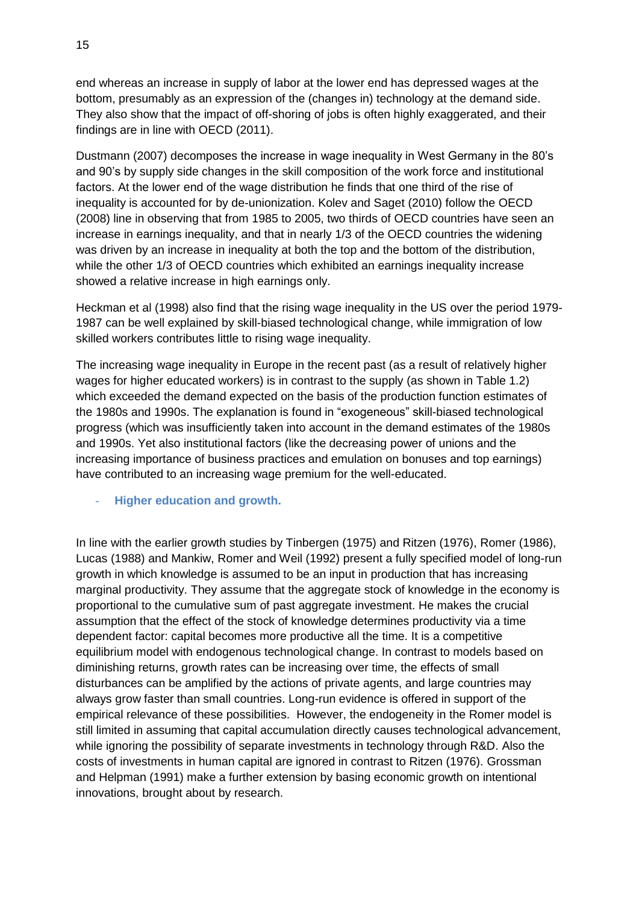end whereas an increase in supply of labor at the lower end has depressed wages at the bottom, presumably as an expression of the (changes in) technology at the demand side. They also show that the impact of off-shoring of jobs is often highly exaggerated, and their findings are in line with OECD (2011).

Dustmann (2007) decomposes the increase in wage inequality in West Germany in the 80's and 90's by supply side changes in the skill composition of the work force and institutional factors. At the lower end of the wage distribution he finds that one third of the rise of inequality is accounted for by de-unionization. Kolev and Saget (2010) follow the OECD (2008) line in observing that from 1985 to 2005, two thirds of OECD countries have seen an increase in earnings inequality, and that in nearly 1/3 of the OECD countries the widening was driven by an increase in inequality at both the top and the bottom of the distribution, while the other 1/3 of OECD countries which exhibited an earnings inequality increase showed a relative increase in high earnings only.

Heckman et al (1998) also find that the rising wage inequality in the US over the period 1979- 1987 can be well explained by skill-biased technological change, while immigration of low skilled workers contributes little to rising wage inequality.

The increasing wage inequality in Europe in the recent past (as a result of relatively higher wages for higher educated workers) is in contrast to the supply (as shown in Table 1.2) which exceeded the demand expected on the basis of the production function estimates of the 1980s and 1990s. The explanation is found in "exogeneous" skill-biased technological progress (which was insufficiently taken into account in the demand estimates of the 1980s and 1990s. Yet also institutional factors (like the decreasing power of unions and the increasing importance of business practices and emulation on bonuses and top earnings) have contributed to an increasing wage premium for the well-educated.

#### <span id="page-14-0"></span>- **Higher education and growth.**

In line with the earlier growth studies by Tinbergen (1975) and Ritzen (1976), Romer (1986), Lucas (1988) and Mankiw, Romer and Weil (1992) present a fully specified model of long-run growth in which knowledge is assumed to be an input in production that has increasing marginal productivity. They assume that the aggregate stock of knowledge in the economy is proportional to the cumulative sum of past aggregate investment. He makes the crucial assumption that the effect of the stock of knowledge determines productivity via a time dependent factor: capital becomes more productive all the time. It is a competitive equilibrium model with endogenous technological change. In contrast to models based on diminishing returns, growth rates can be increasing over time, the effects of small disturbances can be amplified by the actions of private agents, and large countries may always grow faster than small countries. Long-run evidence is offered in support of the empirical relevance of these possibilities. However, the endogeneity in the Romer model is still limited in assuming that capital accumulation directly causes technological advancement, while ignoring the possibility of separate investments in technology through R&D. Also the costs of investments in human capital are ignored in contrast to Ritzen (1976). Grossman and Helpman (1991) make a further extension by basing economic growth on intentional innovations, brought about by research.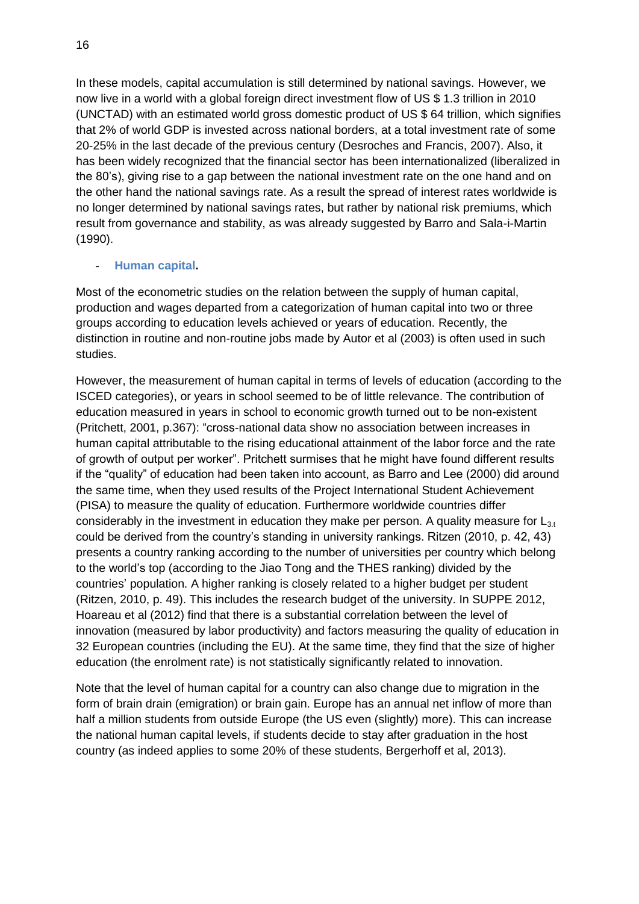In these models, capital accumulation is still determined by national savings. However, we now live in a world with a global foreign direct investment flow of US \$ 1.3 trillion in 2010 (UNCTAD) with an estimated world gross domestic product of US \$ 64 trillion, which signifies that 2% of world GDP is invested across national borders, at a total investment rate of some 20-25% in the last decade of the previous century (Desroches and Francis, 2007). Also, it has been widely recognized that the financial sector has been internationalized (liberalized in the 80's), giving rise to a gap between the national investment rate on the one hand and on the other hand the national savings rate. As a result the spread of interest rates worldwide is no longer determined by national savings rates, but rather by national risk premiums, which result from governance and stability, as was already suggested by Barro and Sala-i-Martin (1990).

#### <span id="page-15-0"></span>- **Human capital.**

Most of the econometric studies on the relation between the supply of human capital, production and wages departed from a categorization of human capital into two or three groups according to education levels achieved or years of education. Recently, the distinction in routine and non-routine jobs made by Autor et al (2003) is often used in such studies.

However, the measurement of human capital in terms of levels of education (according to the ISCED categories), or years in school seemed to be of little relevance. The contribution of education measured in years in school to economic growth turned out to be non-existent (Pritchett, 2001, p.367): "cross-national data show no association between increases in human capital attributable to the rising educational attainment of the labor force and the rate of growth of output per worker". Pritchett surmises that he might have found different results if the "quality" of education had been taken into account, as Barro and Lee (2000) did around the same time, when they used results of the Project International Student Achievement (PISA) to measure the quality of education. Furthermore worldwide countries differ considerably in the investment in education they make per person. A quality measure for  $L_{3,t}$ could be derived from the country's standing in university rankings. Ritzen (2010, p. 42, 43) presents a country ranking according to the number of universities per country which belong to the world's top (according to the Jiao Tong and the THES ranking) divided by the countries' population. A higher ranking is closely related to a higher budget per student (Ritzen, 2010, p. 49). This includes the research budget of the university. In SUPPE 2012, Hoareau et al (2012) find that there is a substantial correlation between the level of innovation (measured by labor productivity) and factors measuring the quality of education in 32 European countries (including the EU). At the same time, they find that the size of higher education (the enrolment rate) is not statistically significantly related to innovation.

Note that the level of human capital for a country can also change due to migration in the form of brain drain (emigration) or brain gain. Europe has an annual net inflow of more than half a million students from outside Europe (the US even (slightly) more). This can increase the national human capital levels, if students decide to stay after graduation in the host country (as indeed applies to some 20% of these students, Bergerhoff et al, 2013).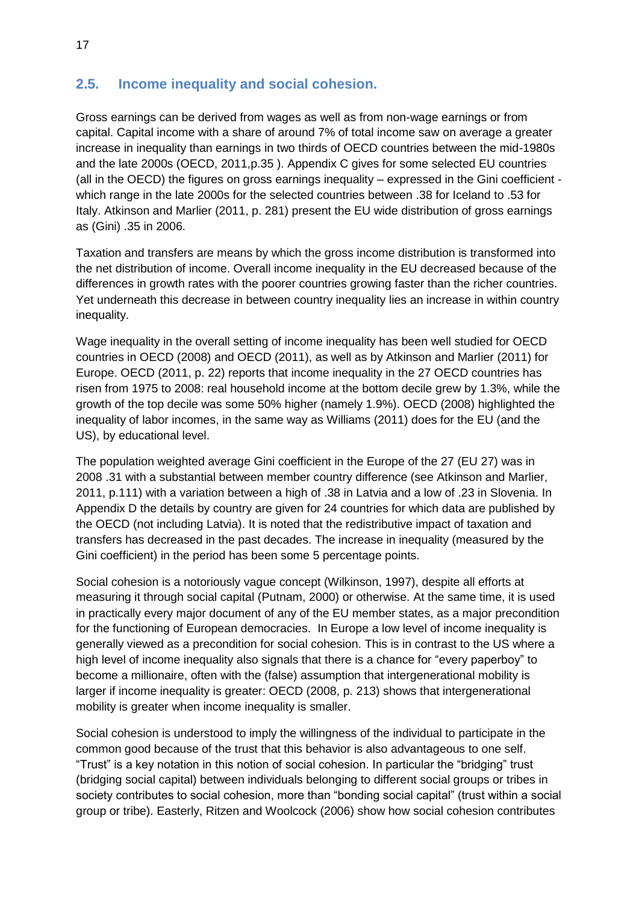## <span id="page-16-0"></span>**2.5. Income inequality and social cohesion.**

Gross earnings can be derived from wages as well as from non-wage earnings or from capital. Capital income with a share of around 7% of total income saw on average a greater increase in inequality than earnings in two thirds of OECD countries between the mid-1980s and the late 2000s (OECD, 2011,p.35 ). Appendix C gives for some selected EU countries (all in the OECD) the figures on gross earnings inequality – expressed in the Gini coefficient which range in the late 2000s for the selected countries between .38 for Iceland to .53 for Italy. Atkinson and Marlier (2011, p. 281) present the EU wide distribution of gross earnings as (Gini) .35 in 2006.

Taxation and transfers are means by which the gross income distribution is transformed into the net distribution of income. Overall income inequality in the EU decreased because of the differences in growth rates with the poorer countries growing faster than the richer countries. Yet underneath this decrease in between country inequality lies an increase in within country inequality.

Wage inequality in the overall setting of income inequality has been well studied for OECD countries in OECD (2008) and OECD (2011), as well as by Atkinson and Marlier (2011) for Europe. OECD (2011, p. 22) reports that income inequality in the 27 OECD countries has risen from 1975 to 2008: real household income at the bottom decile grew by 1.3%, while the growth of the top decile was some 50% higher (namely 1.9%). OECD (2008) highlighted the inequality of labor incomes, in the same way as Williams (2011) does for the EU (and the US), by educational level.

The population weighted average Gini coefficient in the Europe of the 27 (EU 27) was in 2008 .31 with a substantial between member country difference (see Atkinson and Marlier, 2011, p.111) with a variation between a high of .38 in Latvia and a low of .23 in Slovenia. In Appendix D the details by country are given for 24 countries for which data are published by the OECD (not including Latvia). It is noted that the redistributive impact of taxation and transfers has decreased in the past decades. The increase in inequality (measured by the Gini coefficient) in the period has been some 5 percentage points.

Social cohesion is a notoriously vague concept (Wilkinson, 1997), despite all efforts at measuring it through social capital (Putnam, 2000) or otherwise. At the same time, it is used in practically every major document of any of the EU member states, as a major precondition for the functioning of European democracies. In Europe a low level of income inequality is generally viewed as a precondition for social cohesion. This is in contrast to the US where a high level of income inequality also signals that there is a chance for "every paperboy" to become a millionaire, often with the (false) assumption that intergenerational mobility is larger if income inequality is greater: OECD (2008, p. 213) shows that intergenerational mobility is greater when income inequality is smaller.

Social cohesion is understood to imply the willingness of the individual to participate in the common good because of the trust that this behavior is also advantageous to one self. "Trust" is a key notation in this notion of social cohesion. In particular the "bridging" trust (bridging social capital) between individuals belonging to different social groups or tribes in society contributes to social cohesion, more than "bonding social capital" (trust within a social group or tribe). Easterly, Ritzen and Woolcock (2006) show how social cohesion contributes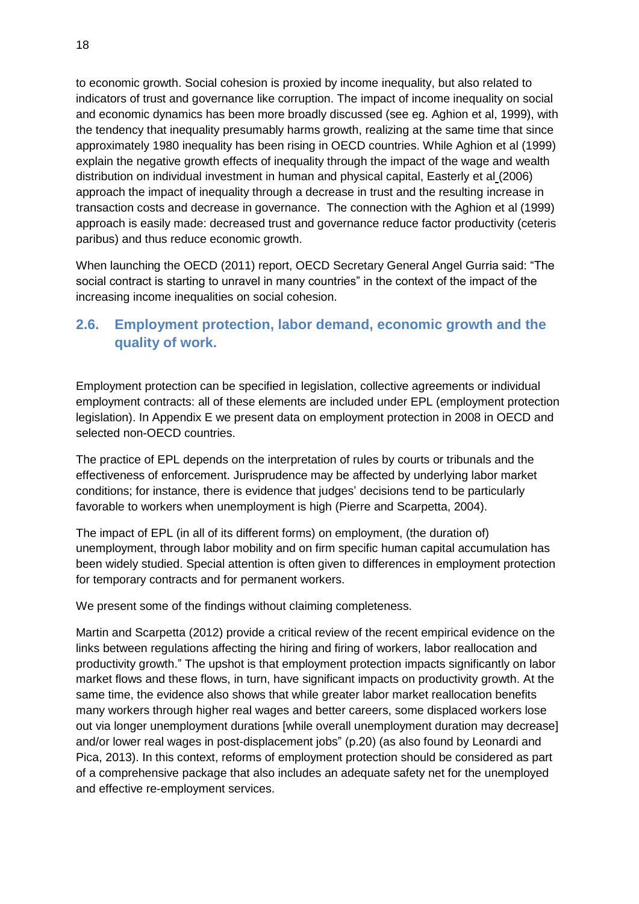to economic growth. Social cohesion is proxied by income inequality, but also related to indicators of trust and governance like corruption. The impact of income inequality on social and economic dynamics has been more broadly discussed (see eg. Aghion et al, 1999), with the tendency that inequality presumably harms growth, realizing at the same time that since approximately 1980 inequality has been rising in OECD countries. While Aghion et al (1999) explain the negative growth effects of inequality through the impact of the wage and wealth distribution on individual investment in human and physical capital, Easterly et al (2006) approach the impact of inequality through a decrease in trust and the resulting increase in transaction costs and decrease in governance. The connection with the Aghion et al (1999) approach is easily made: decreased trust and governance reduce factor productivity (ceteris paribus) and thus reduce economic growth.

When launching the OECD (2011) report, OECD Secretary General Angel Gurria said: "The social contract is starting to unravel in many countries" in the context of the impact of the increasing income inequalities on social cohesion.

## <span id="page-17-0"></span>**2.6. Employment protection, labor demand, economic growth and the quality of work.**

Employment protection can be specified in legislation, collective agreements or individual employment contracts: all of these elements are included under EPL (employment protection legislation). In Appendix E we present data on employment protection in 2008 in OECD and selected non-OECD countries.

The practice of EPL depends on the interpretation of rules by courts or tribunals and the effectiveness of enforcement. Jurisprudence may be affected by underlying labor market conditions; for instance, there is evidence that judges' decisions tend to be particularly favorable to workers when unemployment is high (Pierre and Scarpetta, 2004).

The impact of EPL (in all of its different forms) on employment, (the duration of) unemployment, through labor mobility and on firm specific human capital accumulation has been widely studied. Special attention is often given to differences in employment protection for temporary contracts and for permanent workers.

We present some of the findings without claiming completeness.

Martin and Scarpetta (2012) provide a critical review of the recent empirical evidence on the links between regulations affecting the hiring and firing of workers, labor reallocation and productivity growth.‖ The upshot is that employment protection impacts significantly on labor market flows and these flows, in turn, have significant impacts on productivity growth. At the same time, the evidence also shows that while greater labor market reallocation benefits many workers through higher real wages and better careers, some displaced workers lose out via longer unemployment durations [while overall unemployment duration may decrease] and/or lower real wages in post-displacement jobs" (p.20) (as also found by Leonardi and Pica, 2013). In this context, reforms of employment protection should be considered as part of a comprehensive package that also includes an adequate safety net for the unemployed and effective re-employment services.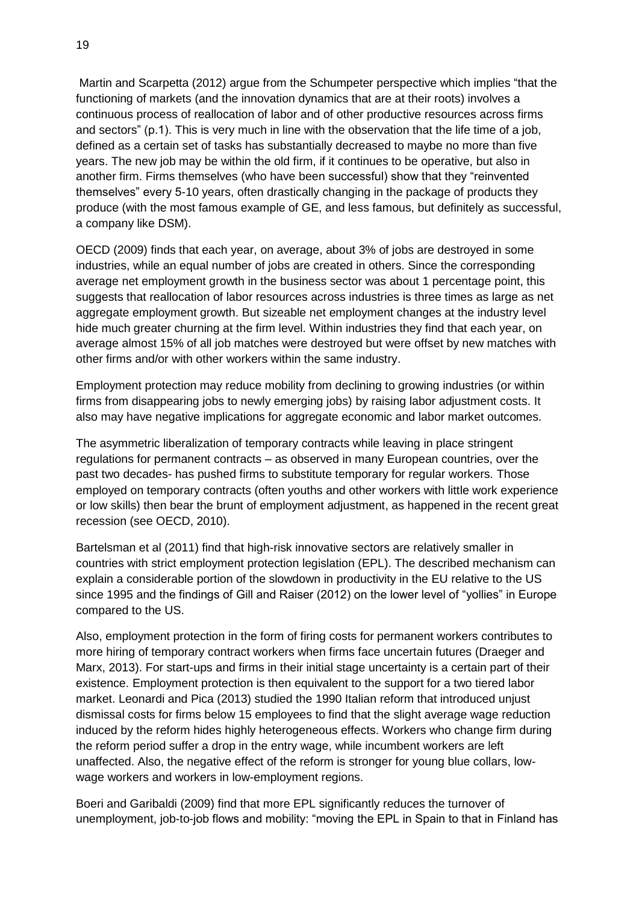Martin and Scarpetta (2012) argue from the Schumpeter perspective which implies "that the functioning of markets (and the innovation dynamics that are at their roots) involves a continuous process of reallocation of labor and of other productive resources across firms and sectors" (p.1). This is very much in line with the observation that the life time of a job, defined as a certain set of tasks has substantially decreased to maybe no more than five years. The new job may be within the old firm, if it continues to be operative, but also in another firm. Firms themselves (who have been successful) show that they "reinvented themselves‖ every 5-10 years, often drastically changing in the package of products they produce (with the most famous example of GE, and less famous, but definitely as successful, a company like DSM).

OECD (2009) finds that each year, on average, about 3% of jobs are destroyed in some industries, while an equal number of jobs are created in others. Since the corresponding average net employment growth in the business sector was about 1 percentage point, this suggests that reallocation of labor resources across industries is three times as large as net aggregate employment growth. But sizeable net employment changes at the industry level hide much greater churning at the firm level. Within industries they find that each year, on average almost 15% of all job matches were destroyed but were offset by new matches with other firms and/or with other workers within the same industry.

Employment protection may reduce mobility from declining to growing industries (or within firms from disappearing jobs to newly emerging jobs) by raising labor adjustment costs. It also may have negative implications for aggregate economic and labor market outcomes.

The asymmetric liberalization of temporary contracts while leaving in place stringent regulations for permanent contracts – as observed in many European countries, over the past two decades- has pushed firms to substitute temporary for regular workers. Those employed on temporary contracts (often youths and other workers with little work experience or low skills) then bear the brunt of employment adjustment, as happened in the recent great recession (see OECD, 2010).

Bartelsman et al (2011) find that high-risk innovative sectors are relatively smaller in countries with strict employment protection legislation (EPL). The described mechanism can explain a considerable portion of the slowdown in productivity in the EU relative to the US since 1995 and the findings of Gill and Raiser (2012) on the lower level of "yollies" in Europe compared to the US.

Also, employment protection in the form of firing costs for permanent workers contributes to more hiring of temporary contract workers when firms face uncertain futures (Draeger and Marx, 2013). For start-ups and firms in their initial stage uncertainty is a certain part of their existence. Employment protection is then equivalent to the support for a two tiered labor market. Leonardi and Pica (2013) studied the 1990 Italian reform that introduced unjust dismissal costs for firms below 15 employees to find that the slight average wage reduction induced by the reform hides highly heterogeneous effects. Workers who change firm during the reform period suffer a drop in the entry wage, while incumbent workers are left unaffected. Also, the negative effect of the reform is stronger for young blue collars, lowwage workers and workers in low-employment regions.

Boeri and Garibaldi (2009) find that more EPL significantly reduces the turnover of unemployment, job-to-job flows and mobility: "moving the EPL in Spain to that in Finland has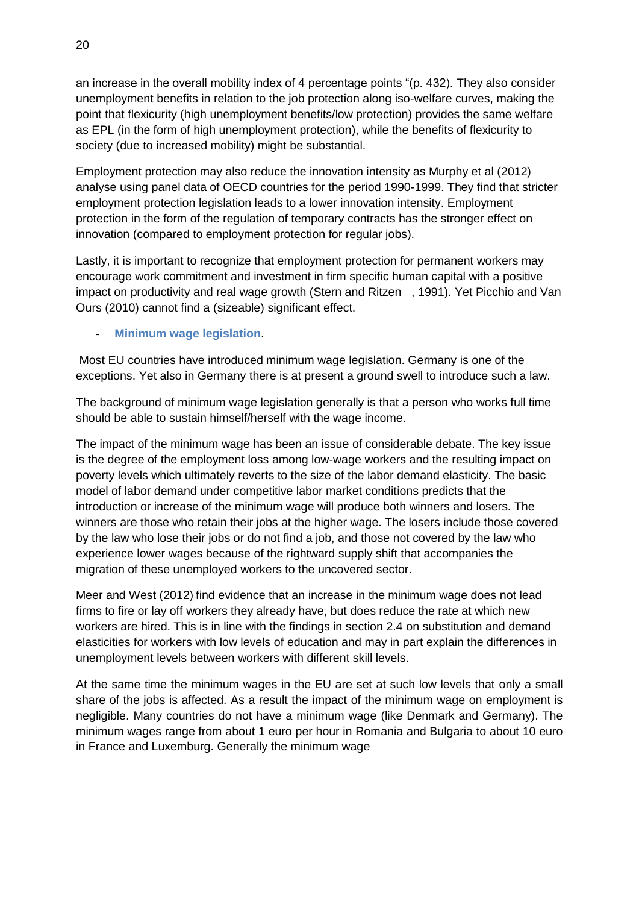an increase in the overall mobility index of 4 percentage points "(p. 432). They also consider unemployment benefits in relation to the job protection along iso-welfare curves, making the point that flexicurity (high unemployment benefits/low protection) provides the same welfare as EPL (in the form of high unemployment protection), while the benefits of flexicurity to society (due to increased mobility) might be substantial.

Employment protection may also reduce the innovation intensity as Murphy et al (2012) analyse using panel data of OECD countries for the period 1990-1999. They find that stricter employment protection legislation leads to a lower innovation intensity. Employment protection in the form of the regulation of temporary contracts has the stronger effect on innovation (compared to employment protection for regular jobs).

Lastly, it is important to recognize that employment protection for permanent workers may encourage work commitment and investment in firm specific human capital with a positive impact on productivity and real wage growth (Stern and Ritzen , 1991). Yet Picchio and Van Ours (2010) cannot find a (sizeable) significant effect.

#### <span id="page-19-0"></span>- **Minimum wage legislation**.

Most EU countries have introduced minimum wage legislation. Germany is one of the exceptions. Yet also in Germany there is at present a ground swell to introduce such a law.

The background of minimum wage legislation generally is that a person who works full time should be able to sustain himself/herself with the wage income.

The impact of the minimum wage has been an issue of considerable debate. The key issue is the degree of the employment loss among low-wage workers and the resulting impact on poverty levels which ultimately reverts to the size of the labor demand elasticity. The basic model of labor demand under competitive labor market conditions predicts that the introduction or increase of the minimum wage will produce both winners and losers. The winners are those who retain their jobs at the higher wage. The losers include those covered by the law who lose their jobs or do not find a job, and those not covered by the law who experience lower wages because of the rightward supply shift that accompanies the migration of these unemployed workers to the uncovered sector.

Meer and West (2012) find evidence that an increase in the minimum wage does not lead firms to fire or lay off workers they already have, but does reduce the rate at which new workers are hired. This is in line with the findings in section 2.4 on substitution and demand elasticities for workers with low levels of education and may in part explain the differences in unemployment levels between workers with different skill levels.

At the same time the minimum wages in the EU are set at such low levels that only a small share of the jobs is affected. As a result the impact of the minimum wage on employment is negligible. Many countries do not have a minimum wage (like Denmark and Germany). The minimum wages range from about 1 euro per hour in Romania and Bulgaria to about 10 euro in France and Luxemburg. Generally the minimum wage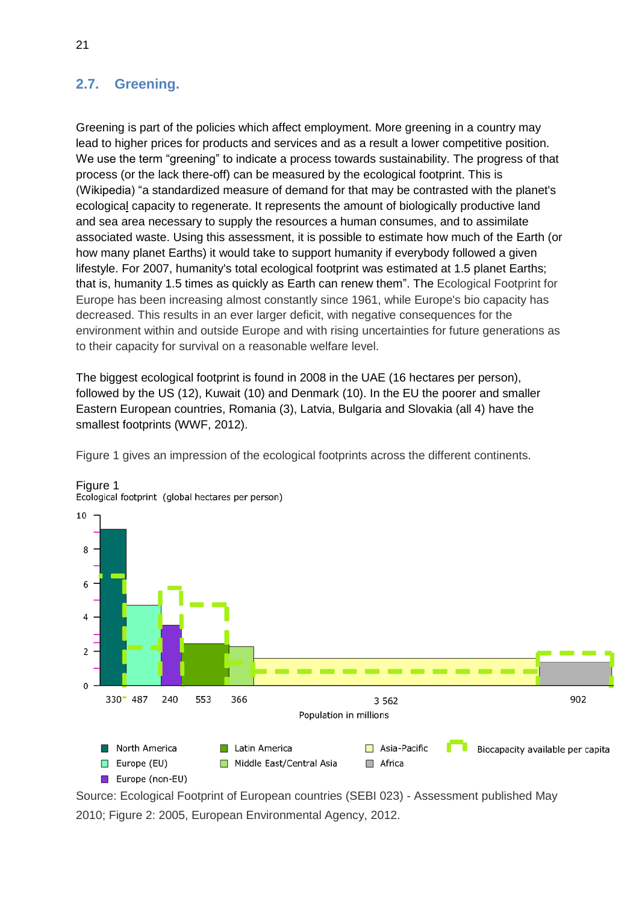## <span id="page-20-0"></span>**2.7. Greening.**

Greening is part of the policies which affect employment. More greening in a country may lead to higher prices for products and services and as a result a lower competitive position. We use the term "greening" to indicate a process towards sustainability. The progress of that process (or the lack there-off) can be measured by the ecological footprint. This is (Wikipedia) "a standardized measure of demand for that may be contrasted with the planet's [ecological](http://en.wikipedia.org/wiki/Ecology) capacity to regenerate. It represents the amount of biologically productive land and sea area necessary to supply the resources a human consumes, and to assimilate associated waste. Using this assessment, it is possible to estimate how much of the Earth (or how many planet Earths) it would take to support humanity if everybody followed a given lifestyle. For 2007, humanity's total ecological footprint was estimated at 1.5 planet Earths; that is, humanity 1.5 times as quickly as Earth can renew them". The Ecological Footprint for Europe has been increasing almost constantly since 1961, while Europe's bio capacity has decreased. This results in an ever larger deficit, with negative consequences for the environment within and outside Europe and with rising uncertainties for future generations as to their capacity for survival on a reasonable welfare level.

The biggest ecological footprint is found in 2008 in the UAE (16 hectares per person), followed by the US (12), Kuwait (10) and Denmark (10). In the EU the poorer and smaller Eastern European countries, Romania (3), Latvia, Bulgaria and Slovakia (all 4) have the smallest footprints (WWF, 2012).

Figure 1 gives an impression of the ecological footprints across the different continents.



Figure 1<br>Ecological footprint (global hectares per person)

Source: Ecological Footprint of European countries (SEBI 023) - Assessment published May 2010; Figure 2: 2005, European Environmental Agency, 2012.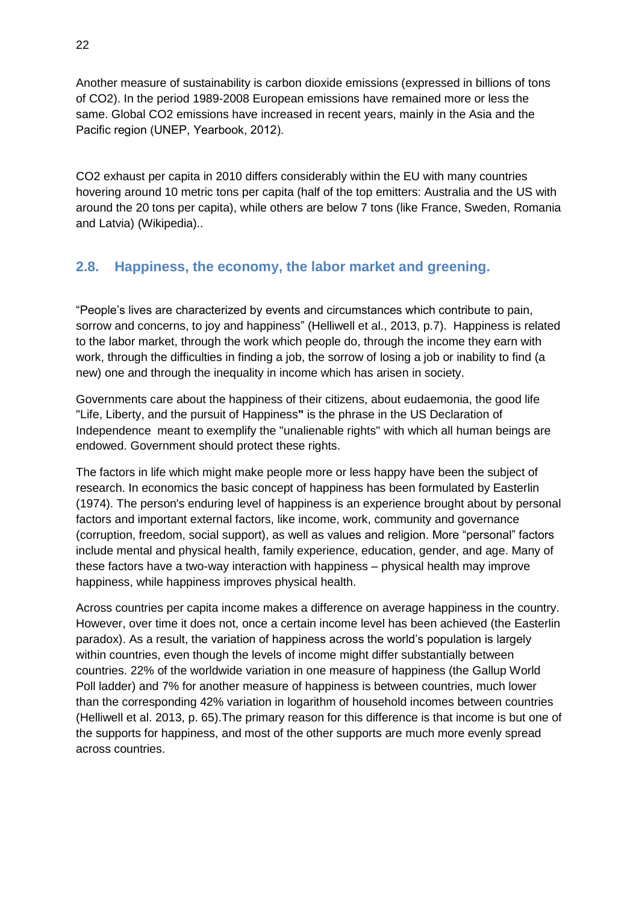Another measure of sustainability is carbon dioxide emissions (expressed in billions of tons of CO2). In the period 1989-2008 European emissions have remained more or less the same. Global CO2 emissions have increased in recent years, mainly in the Asia and the Pacific region (UNEP, Yearbook, 2012).

CO2 exhaust per capita in 2010 differs considerably within the EU with many countries hovering around 10 metric tons per capita (half of the top emitters: Australia and the US with around the 20 tons per capita), while others are below 7 tons (like France, Sweden, Romania and Latvia) (Wikipedia)..

## <span id="page-21-0"></span>**2.8. Happiness, the economy, the labor market and greening.**

―People's lives are characterized by events and circumstances which contribute to pain, sorrow and concerns, to joy and happiness" (Helliwell et al., 2013, p.7). Happiness is related to the labor market, through the work which people do, through the income they earn with work, through the difficulties in finding a job, the sorrow of losing a job or inability to find (a new) one and through the inequality in income which has arisen in society.

Governments care about the happiness of their citizens, about eudaemonia, the good life "Life, Liberty, and the pursuit of Happiness**"** is the phrase in the [US Declaration of](http://en.wikipedia.org/wiki/United_States_Declaration_of_Independence)  [Independence](http://en.wikipedia.org/wiki/United_States_Declaration_of_Independence) meant to exemplify the "unalienable rights" with which all human beings are endowed. Government should protect these rights.

The factors in life which might make people more or less happy have been the subject of research. In economics the basic concept of happiness has been formulated by Easterlin (1974). The person's enduring level of happiness is an experience brought about by personal factors and important external factors, like income, work, community and governance (corruption, freedom, social support), as well as values and religion. More "personal" factors include mental and physical health, family experience, education, gender, and age. Many of these factors have a two-way interaction with happiness – physical health may improve happiness, while happiness improves physical health.

Across countries per capita income makes a difference on average happiness in the country. However, over time it does not, once a certain income level has been achieved (the Easterlin paradox). As a result, the variation of happiness across the world's population is largely within countries, even though the levels of income might differ substantially between countries. 22% of the worldwide variation in one measure of happiness (the Gallup World Poll ladder) and 7% for another measure of happiness is between countries, much lower than the corresponding 42% variation in logarithm of household incomes between countries (Helliwell et al. 2013, p. 65).The primary reason for this difference is that income is but one of the supports for happiness, and most of the other supports are much more evenly spread across countries.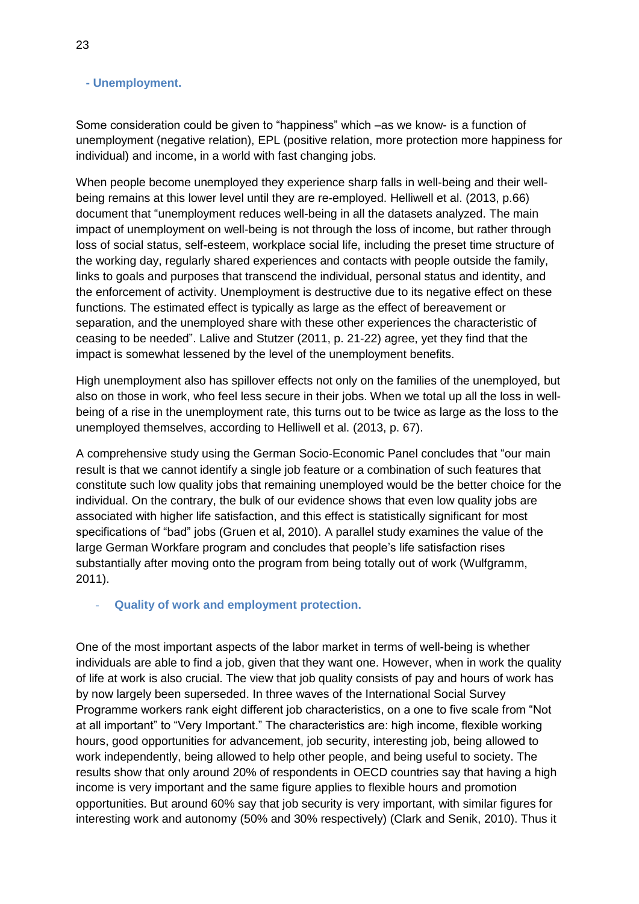#### <span id="page-22-0"></span> **- Unemployment.**

Some consideration could be given to "happiness" which –as we know- is a function of unemployment (negative relation), EPL (positive relation, more protection more happiness for individual) and income, in a world with fast changing jobs.

When people become unemployed they experience sharp falls in well-being and their wellbeing remains at this lower level until they are re-employed. Helliwell et al. (2013, p.66) document that "unemployment reduces well-being in all the datasets analyzed. The main impact of unemployment on well-being is not through the loss of income, but rather through loss of social status, self-esteem, workplace social life, including the preset time structure of the working day, regularly shared experiences and contacts with people outside the family, links to goals and purposes that transcend the individual, personal status and identity, and the enforcement of activity. Unemployment is destructive due to its negative effect on these functions. The estimated effect is typically as large as the effect of bereavement or separation, and the unemployed share with these other experiences the characteristic of ceasing to be needed‖. Lalive and Stutzer (2011, p. 21-22) agree, yet they find that the impact is somewhat lessened by the level of the unemployment benefits.

High unemployment also has spillover effects not only on the families of the unemployed, but also on those in work, who feel less secure in their jobs. When we total up all the loss in wellbeing of a rise in the unemployment rate, this turns out to be twice as large as the loss to the unemployed themselves, according to Helliwell et al. (2013, p. 67).

A comprehensive study using the German Socio-Economic Panel concludes that "our main result is that we cannot identify a single job feature or a combination of such features that constitute such low quality jobs that remaining unemployed would be the better choice for the individual. On the contrary, the bulk of our evidence shows that even low quality jobs are associated with higher life satisfaction, and this effect is statistically significant for most specifications of "bad" jobs (Gruen et al, 2010). A parallel study examines the value of the large German Workfare program and concludes that people's life satisfaction rises substantially after moving onto the program from being totally out of work (Wulfgramm, 2011).

#### <span id="page-22-1"></span>- **Quality of work and employment protection.**

One of the most important aspects of the labor market in terms of well-being is whether individuals are able to find a job, given that they want one. However, when in work the quality of life at work is also crucial. The view that job quality consists of pay and hours of work has by now largely been superseded. In three waves of the International Social Survey Programme workers rank eight different job characteristics, on a one to five scale from "Not at all important" to "Very Important." The characteristics are: high income, flexible working hours, good opportunities for advancement, job security, interesting job, being allowed to work independently, being allowed to help other people, and being useful to society. The results show that only around 20% of respondents in OECD countries say that having a high income is very important and the same figure applies to flexible hours and promotion opportunities. But around 60% say that job security is very important, with similar figures for interesting work and autonomy (50% and 30% respectively) (Clark and Senik, 2010). Thus it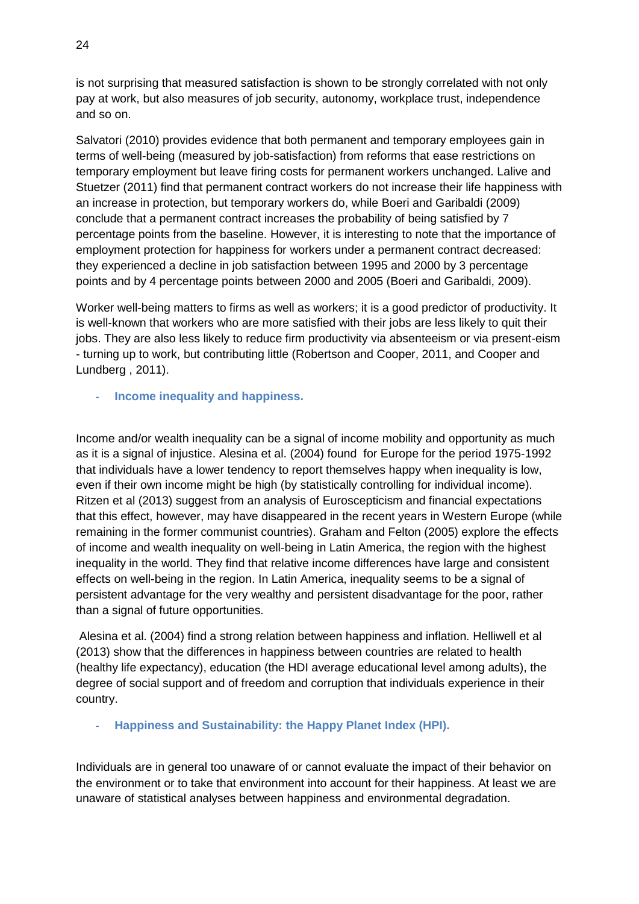is not surprising that measured satisfaction is shown to be strongly correlated with not only pay at work, but also measures of job security, autonomy, workplace trust, independence and so on.

Salvatori (2010) provides evidence that both permanent and temporary employees gain in terms of well-being (measured by job-satisfaction) from reforms that ease restrictions on temporary employment but leave firing costs for permanent workers unchanged. Lalive and Stuetzer (2011) find that permanent contract workers do not increase their life happiness with an increase in protection, but temporary workers do, while Boeri and Garibaldi (2009) conclude that a permanent contract increases the probability of being satisfied by 7 percentage points from the baseline. However, it is interesting to note that the importance of employment protection for happiness for workers under a permanent contract decreased: they experienced a decline in job satisfaction between 1995 and 2000 by 3 percentage points and by 4 percentage points between 2000 and 2005 (Boeri and Garibaldi, 2009).

Worker well-being matters to firms as well as workers; it is a good predictor of productivity. It is well-known that workers who are more satisfied with their jobs are less likely to quit their jobs. They are also less likely to reduce firm productivity via absenteeism or via present-eism - turning up to work, but contributing little (Robertson and Cooper, 2011, and Cooper and Lundberg , 2011).

<span id="page-23-0"></span>- **Income inequality and happiness.**

Income and/or wealth inequality can be a signal of income mobility and opportunity as much as it is a signal of injustice. Alesina et al. (2004) found for Europe for the period 1975-1992 that individuals have a lower tendency to report themselves happy when inequality is low, even if their own income might be high (by statistically controlling for individual income). Ritzen et al (2013) suggest from an analysis of Euroscepticism and financial expectations that this effect, however, may have disappeared in the recent years in Western Europe (while remaining in the former communist countries). Graham and Felton (2005) explore the effects of income and wealth inequality on well-being in Latin America, the region with the highest inequality in the world. They find that relative income differences have large and consistent effects on well-being in the region. In Latin America, inequality seems to be a signal of persistent advantage for the very wealthy and persistent disadvantage for the poor, rather than a signal of future opportunities.

Alesina et al. (2004) find a strong relation between happiness and inflation. Helliwell et al (2013) show that the differences in happiness between countries are related to health (healthy life expectancy), education (the HDI average educational level among adults), the degree of social support and of freedom and corruption that individuals experience in their country.

#### <span id="page-23-1"></span>- **Happiness and Sustainability: the Happy Planet Index (HPI).**

Individuals are in general too unaware of or cannot evaluate the impact of their behavior on the environment or to take that environment into account for their happiness. At least we are unaware of statistical analyses between happiness and environmental degradation.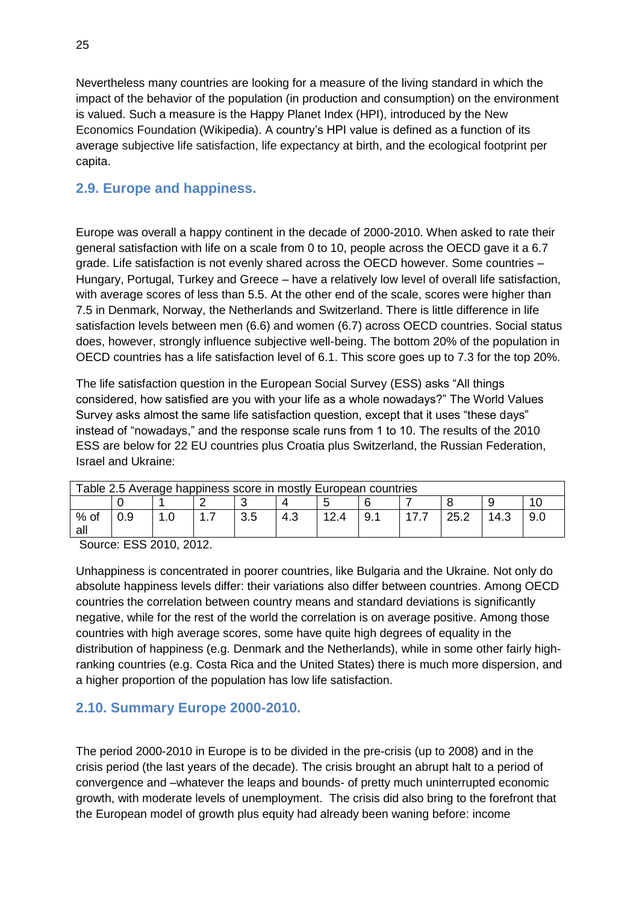Nevertheless many countries are looking for a measure of the living standard in which the impact of the behavior of the population (in production and consumption) on the environment is valued. Such a measure is the Happy Planet Index (HPI), introduced by the [New](http://en.wikipedia.org/wiki/New_Economics_Foundation)  [Economics Foundation](http://en.wikipedia.org/wiki/New_Economics_Foundation) (Wikipedia). A country's HPI value is defined as a function of its average [subjective life satisfaction,](http://en.wikipedia.org/wiki/Subjective_life_satisfaction) [life expectancy](http://en.wikipedia.org/wiki/Life_expectancy) at birth, and the [ecological footprint](http://en.wikipedia.org/wiki/Ecological_footprint) per capita.

## <span id="page-24-0"></span>**2.9. Europe and happiness.**

Europe was overall a happy continent in the decade of 2000-2010. When asked to rate their general satisfaction with life on a scale from 0 to 10, people across the OECD gave it a 6.7 grade. Life satisfaction is not evenly shared across the OECD however. Some countries – Hungary, Portugal, Turkey and Greece – have a relatively low level of overall life satisfaction, with average scores of less than 5.5. At the other end of the scale, scores were higher than 7.5 in Denmark, Norway, the Netherlands and Switzerland. There is little difference in life satisfaction levels between men (6.6) and women (6.7) across OECD countries. Social status does, however, strongly influence subjective well-being. The bottom 20% of the population in OECD countries has a life satisfaction level of 6.1. This score goes up to 7.3 for the top 20%.

The life satisfaction question in the European Social Survey (ESS) asks "All things considered, how satisfied are you with your life as a whole nowadays?" The World Values Survey asks almost the same life satisfaction question, except that it uses "these days" instead of "nowadays," and the response scale runs from 1 to 10. The results of the 2010 ESS are below for 22 EU countries plus Croatia plus Switzerland, the Russian Federation, Israel and Ukraine:

| Table 2.5 Average happiness score in mostly European countries |  |             |  |    |     |     |  |      |  |
|----------------------------------------------------------------|--|-------------|--|----|-----|-----|--|------|--|
|                                                                |  |             |  |    |     | ∽   |  |      |  |
| $%$ of                                                         |  |             |  | っぺ | 4.3 | 124 |  | 25.2 |  |
| all                                                            |  |             |  |    |     |     |  |      |  |
| $\overline{\phantom{a}}$                                       |  | ----------- |  |    |     |     |  |      |  |

Source: ESS 2010, 2012.

Unhappiness is concentrated in poorer countries, like Bulgaria and the Ukraine. Not only do absolute happiness levels differ: their variations also differ between countries. Among OECD countries the correlation between country means and standard deviations is significantly negative, while for the rest of the world the correlation is on average positive. Among those countries with high average scores, some have quite high degrees of equality in the distribution of happiness (e.g. Denmark and the Netherlands), while in some other fairly highranking countries (e.g. Costa Rica and the United States) there is much more dispersion, and a higher proportion of the population has low life satisfaction.

## <span id="page-24-1"></span>**2.10. Summary Europe 2000-2010.**

The period 2000-2010 in Europe is to be divided in the pre-crisis (up to 2008) and in the crisis period (the last years of the decade). The crisis brought an abrupt halt to a period of convergence and –whatever the leaps and bounds- of pretty much uninterrupted economic growth, with moderate levels of unemployment. The crisis did also bring to the forefront that the European model of growth plus equity had already been waning before: income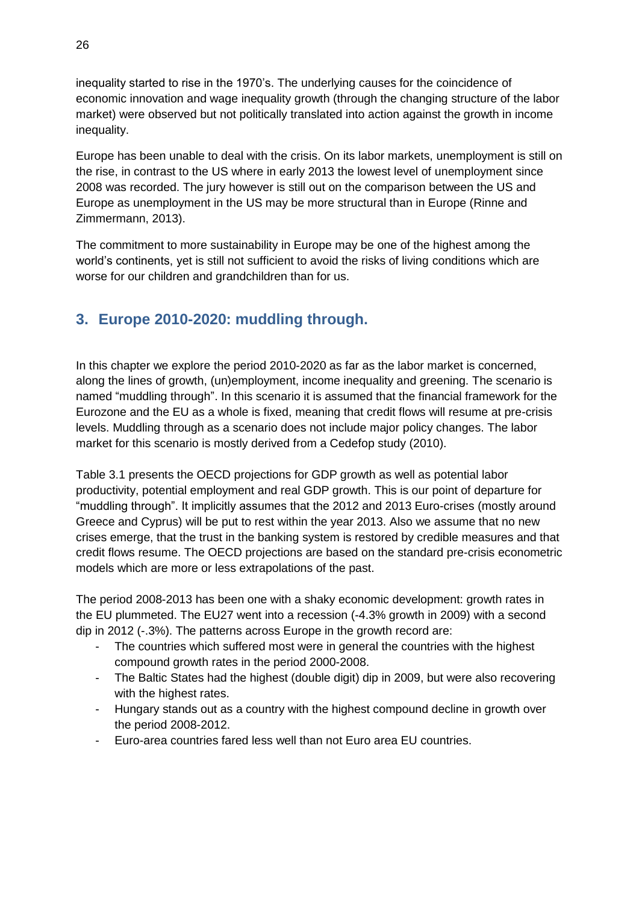inequality started to rise in the 1970's. The underlying causes for the coincidence of economic innovation and wage inequality growth (through the changing structure of the labor market) were observed but not politically translated into action against the growth in income inequality.

Europe has been unable to deal with the crisis. On its labor markets, unemployment is still on the rise, in contrast to the US where in early 2013 the lowest level of unemployment since 2008 was recorded. The jury however is still out on the comparison between the US and Europe as unemployment in the US may be more structural than in Europe (Rinne and Zimmermann, 2013).

The commitment to more sustainability in Europe may be one of the highest among the world's continents, yet is still not sufficient to avoid the risks of living conditions which are worse for our children and grandchildren than for us.

## <span id="page-25-0"></span>**3. Europe 2010-2020: muddling through.**

In this chapter we explore the period 2010-2020 as far as the labor market is concerned, along the lines of growth, (un)employment, income inequality and greening. The scenario is named "muddling through". In this scenario it is assumed that the financial framework for the Eurozone and the EU as a whole is fixed, meaning that credit flows will resume at pre-crisis levels. Muddling through as a scenario does not include major policy changes. The labor market for this scenario is mostly derived from a Cedefop study (2010).

Table 3.1 presents the OECD projections for GDP growth as well as potential labor productivity, potential employment and real GDP growth. This is our point of departure for "muddling through". It implicitly assumes that the 2012 and 2013 Euro-crises (mostly around Greece and Cyprus) will be put to rest within the year 2013. Also we assume that no new crises emerge, that the trust in the banking system is restored by credible measures and that credit flows resume. The OECD projections are based on the standard pre-crisis econometric models which are more or less extrapolations of the past.

The period 2008-2013 has been one with a shaky economic development: growth rates in the EU plummeted. The EU27 went into a recession (-4.3% growth in 2009) with a second dip in 2012 (-.3%). The patterns across Europe in the growth record are:

- The countries which suffered most were in general the countries with the highest compound growth rates in the period 2000-2008.
- The Baltic States had the highest (double digit) dip in 2009, but were also recovering with the highest rates.
- Hungary stands out as a country with the highest compound decline in growth over the period 2008-2012.
- Euro-area countries fared less well than not Euro area EU countries.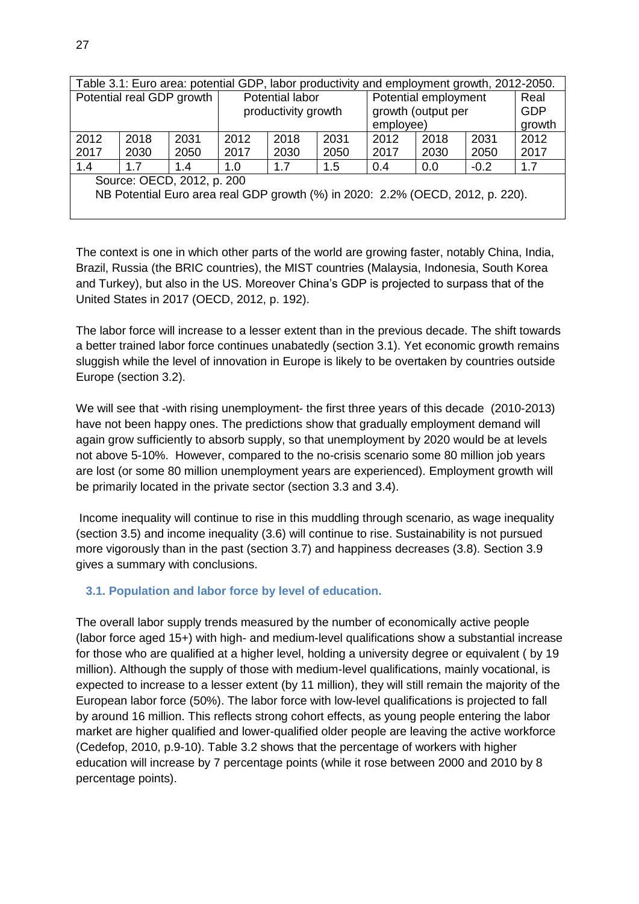| Table 3.1: Euro area: potential GDP, labor productivity and employment growth, 2012-2050. |      |                 |                     |      |                      |      |      |            |      |
|-------------------------------------------------------------------------------------------|------|-----------------|---------------------|------|----------------------|------|------|------------|------|
| Potential real GDP growth                                                                 |      | Potential labor |                     |      | Potential employment |      |      | Real       |      |
|                                                                                           |      |                 | productivity growth |      | growth (output per   |      |      | <b>GDP</b> |      |
|                                                                                           |      |                 |                     |      | employee)            |      |      | growth     |      |
| 2012                                                                                      | 2018 | 2031            | 2012                | 2018 | 2031                 | 2012 | 2018 | 2031       | 2012 |
| 2017                                                                                      | 2030 | 2050            | 2017                | 2030 | 2050                 | 2017 | 2030 | 2050       | 2017 |
| 1.4                                                                                       | 1.7  | 1.4             | 1.0                 | 1.7  | 1.5                  | 0.4  | 0.0  | $-0.2$     | 1.7  |
| Source: OECD, 2012, p. 200                                                                |      |                 |                     |      |                      |      |      |            |      |
| NB Potential Euro area real GDP growth (%) in 2020: 2.2% (OECD, 2012, p. 220).            |      |                 |                     |      |                      |      |      |            |      |
|                                                                                           |      |                 |                     |      |                      |      |      |            |      |

The context is one in which other parts of the world are growing faster, notably China, India, Brazil, Russia (the BRIC countries), the MIST countries (Malaysia, Indonesia, South Korea and Turkey), but also in the US. Moreover China's GDP is projected to surpass that of the United States in 2017 (OECD, 2012, p. 192).

The labor force will increase to a lesser extent than in the previous decade. The shift towards a better trained labor force continues unabatedly (section 3.1). Yet economic growth remains sluggish while the level of innovation in Europe is likely to be overtaken by countries outside Europe (section 3.2).

We will see that -with rising unemployment- the first three years of this decade (2010-2013) have not been happy ones. The predictions show that gradually employment demand will again grow sufficiently to absorb supply, so that unemployment by 2020 would be at levels not above 5-10%. However, compared to the no-crisis scenario some 80 million job years are lost (or some 80 million unemployment years are experienced). Employment growth will be primarily located in the private sector (section 3.3 and 3.4).

Income inequality will continue to rise in this muddling through scenario, as wage inequality (section 3.5) and income inequality (3.6) will continue to rise. Sustainability is not pursued more vigorously than in the past (section 3.7) and happiness decreases (3.8). Section 3.9 gives a summary with conclusions.

#### <span id="page-26-0"></span> **3.1. Population and labor force by level of education.**

The overall labor supply trends measured by the number of economically active people (labor force aged 15+) with high- and medium-level qualifications show a substantial increase for those who are qualified at a higher level, holding a university degree or equivalent ( by 19 million). Although the supply of those with medium-level qualifications, mainly vocational, is expected to increase to a lesser extent (by 11 million), they will still remain the majority of the European labor force (50%). The labor force with low-level qualifications is projected to fall by around 16 million. This reflects strong cohort effects, as young people entering the labor market are higher qualified and lower-qualified older people are leaving the active workforce (Cedefop, 2010, p.9-10). Table 3.2 shows that the percentage of workers with higher education will increase by 7 percentage points (while it rose between 2000 and 2010 by 8 percentage points).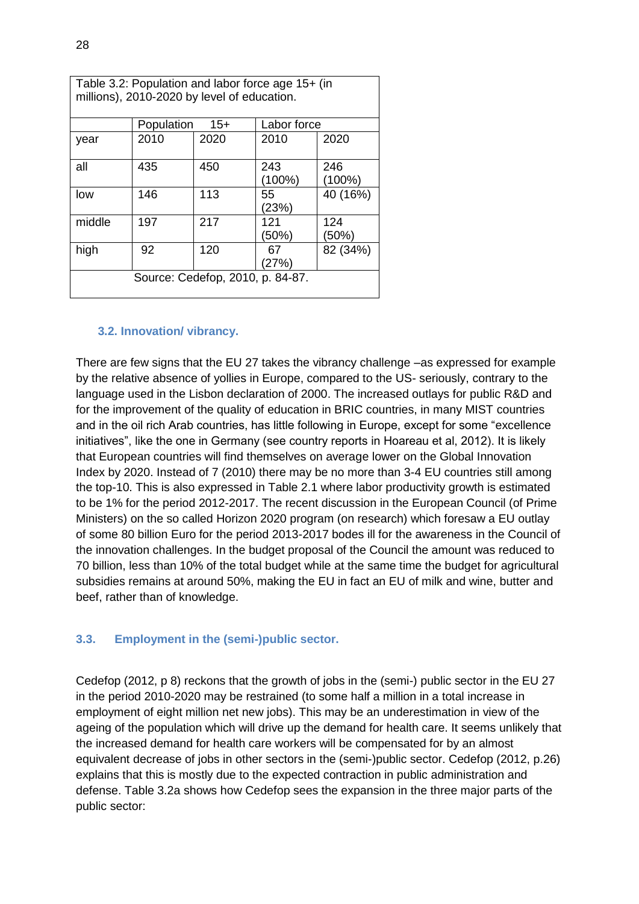| Table 3.2: Population and labor force age 15+ (in<br>millions), 2010-2020 by level of education. |            |       |             |          |  |
|--------------------------------------------------------------------------------------------------|------------|-------|-------------|----------|--|
|                                                                                                  | Population | $15+$ | Labor force |          |  |
| year                                                                                             | 2010       | 2020  | 2010        | 2020     |  |
| all                                                                                              | 435        | 450   | 243         | 246      |  |
|                                                                                                  |            |       | (100%)      | (100%)   |  |
| low                                                                                              | 146        | 113   | 55          | 40 (16%) |  |
|                                                                                                  |            |       | (23%)       |          |  |
| middle                                                                                           | 197        | 217   | 121         | 124      |  |
|                                                                                                  |            |       | (50%)       | (50%)    |  |
| high                                                                                             | 92         | 120   | 67          | 82 (34%) |  |
|                                                                                                  |            |       | (27%)       |          |  |
| Source: Cedefop, 2010, p. 84-87.                                                                 |            |       |             |          |  |

#### <span id="page-27-0"></span> **3.2. Innovation/ vibrancy.**

There are few signs that the EU 27 takes the vibrancy challenge –as expressed for example by the relative absence of yollies in Europe, compared to the US- seriously, contrary to the language used in the Lisbon declaration of 2000. The increased outlays for public R&D and for the improvement of the quality of education in BRIC countries, in many MIST countries and in the oil rich Arab countries, has little following in Europe, except for some "excellence" initiatives", like the one in Germany (see country reports in Hoareau et al, 2012). It is likely that European countries will find themselves on average lower on the Global Innovation Index by 2020. Instead of 7 (2010) there may be no more than 3-4 EU countries still among the top-10. This is also expressed in Table 2.1 where labor productivity growth is estimated to be 1% for the period 2012-2017. The recent discussion in the European Council (of Prime Ministers) on the so called Horizon 2020 program (on research) which foresaw a EU outlay of some 80 billion Euro for the period 2013-2017 bodes ill for the awareness in the Council of the innovation challenges. In the budget proposal of the Council the amount was reduced to 70 billion, less than 10% of the total budget while at the same time the budget for agricultural subsidies remains at around 50%, making the EU in fact an EU of milk and wine, butter and beef, rather than of knowledge.

#### <span id="page-27-1"></span>**3.3. Employment in the (semi-)public sector.**

Cedefop (2012, p 8) reckons that the growth of jobs in the (semi-) public sector in the EU 27 in the period 2010-2020 may be restrained (to some half a million in a total increase in employment of eight million net new jobs). This may be an underestimation in view of the ageing of the population which will drive up the demand for health care. It seems unlikely that the increased demand for health care workers will be compensated for by an almost equivalent decrease of jobs in other sectors in the (semi-)public sector. Cedefop (2012, p.26) explains that this is mostly due to the expected contraction in public administration and defense. Table 3.2a shows how Cedefop sees the expansion in the three major parts of the public sector: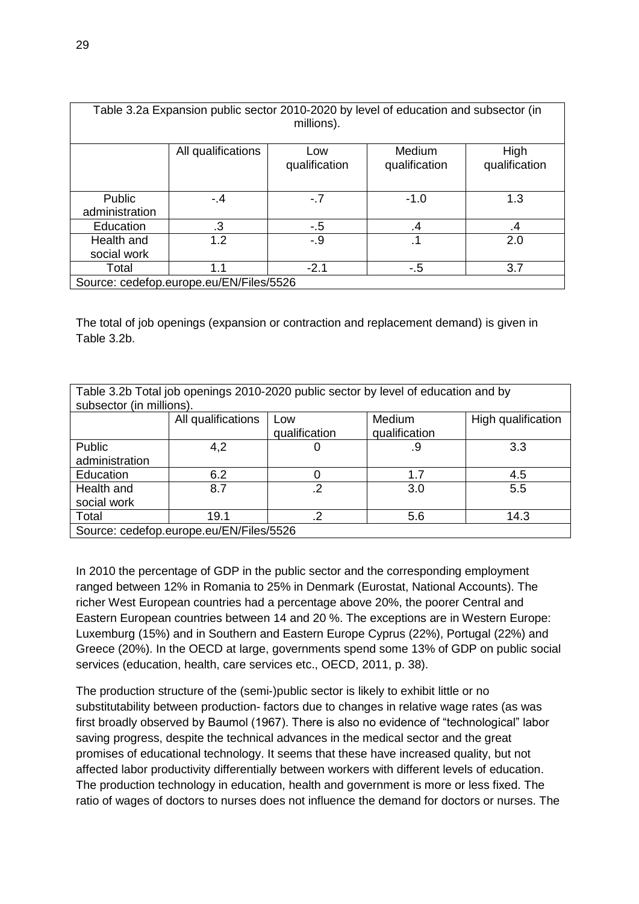|                                         | Table 3.2a Expansion public sector 2010-2020 by level of education and subsector (in | millions).           |                         |                       |  |  |  |
|-----------------------------------------|--------------------------------------------------------------------------------------|----------------------|-------------------------|-----------------------|--|--|--|
|                                         | All qualifications                                                                   | Low<br>qualification | Medium<br>qualification | High<br>qualification |  |  |  |
| Public<br>administration                | - 4                                                                                  | $-7$                 | $-1.0$                  | 1.3                   |  |  |  |
| Education                               | .3                                                                                   | $-.5$                | .4                      | .4                    |  |  |  |
| Health and<br>social work               | 1.2                                                                                  | $-0.9$               | .1                      | 2.0                   |  |  |  |
| Total                                   | $-2.1$<br>3.7<br>-.5<br>1.1                                                          |                      |                         |                       |  |  |  |
| Source: cedefop.europe.eu/EN/Files/5526 |                                                                                      |                      |                         |                       |  |  |  |

The total of job openings (expansion or contraction and replacement demand) is given in Table 3.2b.

| Table 3.2b Total job openings 2010-2020 public sector by level of education and by |                    |               |               |                    |  |  |
|------------------------------------------------------------------------------------|--------------------|---------------|---------------|--------------------|--|--|
| subsector (in millions).                                                           |                    |               |               |                    |  |  |
|                                                                                    | All qualifications | Low           | Medium        | High qualification |  |  |
|                                                                                    |                    | qualification | qualification |                    |  |  |
| Public                                                                             | 4,2                |               | .9            | 3.3                |  |  |
| administration                                                                     |                    |               |               |                    |  |  |
| Education                                                                          | 6.2                |               | 1.7           | 4.5                |  |  |
| Health and                                                                         | 8.7                | .2            | 3.0           | 5.5                |  |  |
| social work                                                                        |                    |               |               |                    |  |  |
| Total                                                                              | 19.1               | .2            | 5.6           | 14.3               |  |  |
| Source: cedefop.europe.eu/EN/Files/5526                                            |                    |               |               |                    |  |  |

In 2010 the percentage of GDP in the public sector and the corresponding employment ranged between 12% in Romania to 25% in Denmark (Eurostat, National Accounts). The richer West European countries had a percentage above 20%, the poorer Central and Eastern European countries between 14 and 20 %. The exceptions are in Western Europe: Luxemburg (15%) and in Southern and Eastern Europe Cyprus (22%), Portugal (22%) and Greece (20%). In the OECD at large, governments spend some 13% of GDP on public social services (education, health, care services etc., OECD, 2011, p. 38).

The production structure of the (semi-)public sector is likely to exhibit little or no substitutability between production- factors due to changes in relative wage rates (as was first broadly observed by Baumol (1967). There is also no evidence of "technological" labor saving progress, despite the technical advances in the medical sector and the great promises of educational technology. It seems that these have increased quality, but not affected labor productivity differentially between workers with different levels of education. The production technology in education, health and government is more or less fixed. The ratio of wages of doctors to nurses does not influence the demand for doctors or nurses. The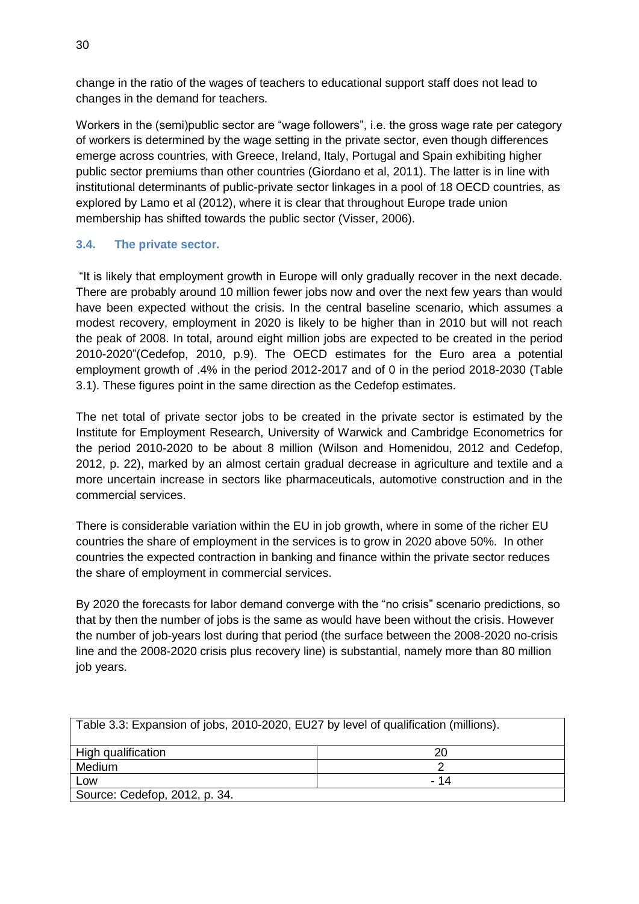change in the ratio of the wages of teachers to educational support staff does not lead to changes in the demand for teachers.

Workers in the (semi)public sector are "wage followers", i.e. the gross wage rate per category of workers is determined by the wage setting in the private sector, even though differences emerge across countries, with Greece, Ireland, Italy, Portugal and Spain exhibiting higher public sector premiums than other countries (Giordano et al, 2011). The latter is in line with institutional determinants of public-private sector linkages in a pool of 18 OECD countries, as explored by Lamo et al (2012), where it is clear that throughout Europe trade union membership has shifted towards the public sector (Visser, 2006).

#### <span id="page-29-0"></span>**3.4. The private sector.**

"It is likely that employment growth in Europe will only gradually recover in the next decade. There are probably around 10 million fewer jobs now and over the next few years than would have been expected without the crisis. In the central baseline scenario, which assumes a modest recovery, employment in 2020 is likely to be higher than in 2010 but will not reach the peak of 2008. In total, around eight million jobs are expected to be created in the period 2010-2020‖(Cedefop, 2010, p.9). The OECD estimates for the Euro area a potential employment growth of .4% in the period 2012-2017 and of 0 in the period 2018-2030 (Table 3.1). These figures point in the same direction as the Cedefop estimates.

The net total of private sector jobs to be created in the private sector is estimated by the Institute for Employment Research, University of Warwick and Cambridge Econometrics for the period 2010-2020 to be about 8 million (Wilson and Homenidou, 2012 and Cedefop, 2012, p. 22), marked by an almost certain gradual decrease in agriculture and textile and a more uncertain increase in sectors like pharmaceuticals, automotive construction and in the commercial services.

There is considerable variation within the EU in job growth, where in some of the richer EU countries the share of employment in the services is to grow in 2020 above 50%. In other countries the expected contraction in banking and finance within the private sector reduces the share of employment in commercial services.

By 2020 the forecasts for labor demand converge with the "no crisis" scenario predictions, so that by then the number of jobs is the same as would have been without the crisis. However the number of job-years lost during that period (the surface between the 2008-2020 no-crisis line and the 2008-2020 crisis plus recovery line) is substantial, namely more than 80 million job years.

| Table 3.3: Expansion of jobs, 2010-2020, EU27 by level of qualification (millions). |      |  |  |  |
|-------------------------------------------------------------------------------------|------|--|--|--|
| High qualification                                                                  | 20   |  |  |  |
| Medium                                                                              |      |  |  |  |
| Low                                                                                 | - 14 |  |  |  |
| Source: Cedefop, 2012, p. 34.                                                       |      |  |  |  |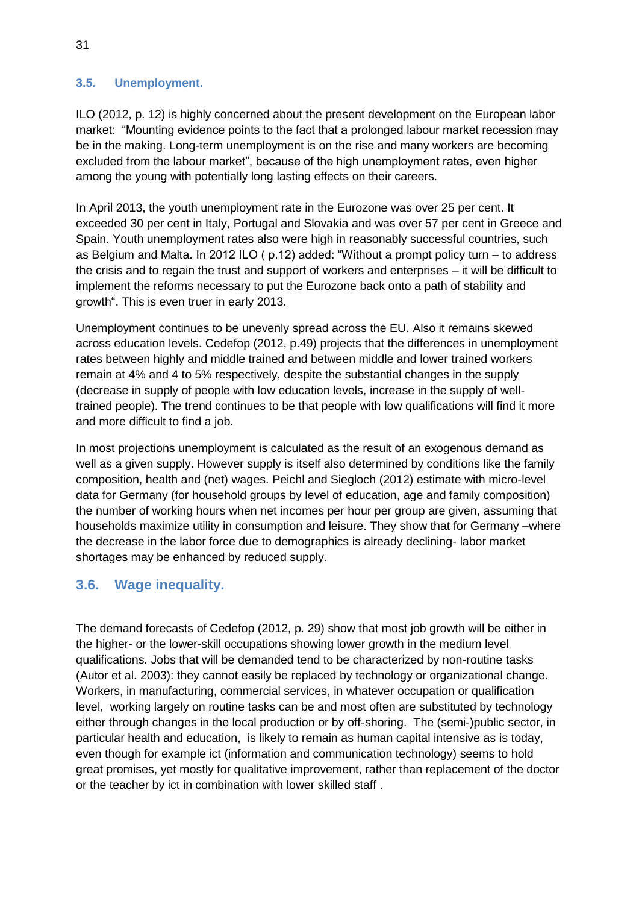#### <span id="page-30-0"></span>**3.5. Unemployment.**

ILO (2012, p. 12) is highly concerned about the present development on the European labor market: "Mounting evidence points to the fact that a prolonged labour market recession may be in the making. Long-term unemployment is on the rise and many workers are becoming excluded from the labour market", because of the high unemployment rates, even higher among the young with potentially long lasting effects on their careers.

In April 2013, the youth unemployment rate in the Eurozone was over 25 per cent. It exceeded 30 per cent in Italy, Portugal and Slovakia and was over 57 per cent in Greece and Spain. Youth unemployment rates also were high in reasonably successful countries, such as Belgium and Malta. In 2012 ILO ( $p.12$ ) added: "Without a prompt policy turn – to address the crisis and to regain the trust and support of workers and enterprises – it will be difficult to implement the reforms necessary to put the Eurozone back onto a path of stability and growth". This is even truer in early 2013.

Unemployment continues to be unevenly spread across the EU. Also it remains skewed across education levels. Cedefop (2012, p.49) projects that the differences in unemployment rates between highly and middle trained and between middle and lower trained workers remain at 4% and 4 to 5% respectively, despite the substantial changes in the supply (decrease in supply of people with low education levels, increase in the supply of welltrained people). The trend continues to be that people with low qualifications will find it more and more difficult to find a job.

In most projections unemployment is calculated as the result of an exogenous demand as well as a given supply. However supply is itself also determined by conditions like the family composition, health and (net) wages. Peichl and Siegloch (2012) estimate with micro-level data for Germany (for household groups by level of education, age and family composition) the number of working hours when net incomes per hour per group are given, assuming that households maximize utility in consumption and leisure. They show that for Germany –where the decrease in the labor force due to demographics is already declining- labor market shortages may be enhanced by reduced supply.

## <span id="page-30-1"></span>**3.6. Wage inequality.**

The demand forecasts of Cedefop (2012, p. 29) show that most job growth will be either in the higher- or the lower-skill occupations showing lower growth in the medium level qualifications. Jobs that will be demanded tend to be characterized by non-routine tasks (Autor et al. 2003): they cannot easily be replaced by technology or organizational change. Workers, in manufacturing, commercial services, in whatever occupation or qualification level, working largely on routine tasks can be and most often are substituted by technology either through changes in the local production or by off-shoring. The (semi-)public sector, in particular health and education, is likely to remain as human capital intensive as is today, even though for example ict (information and communication technology) seems to hold great promises, yet mostly for qualitative improvement, rather than replacement of the doctor or the teacher by ict in combination with lower skilled staff .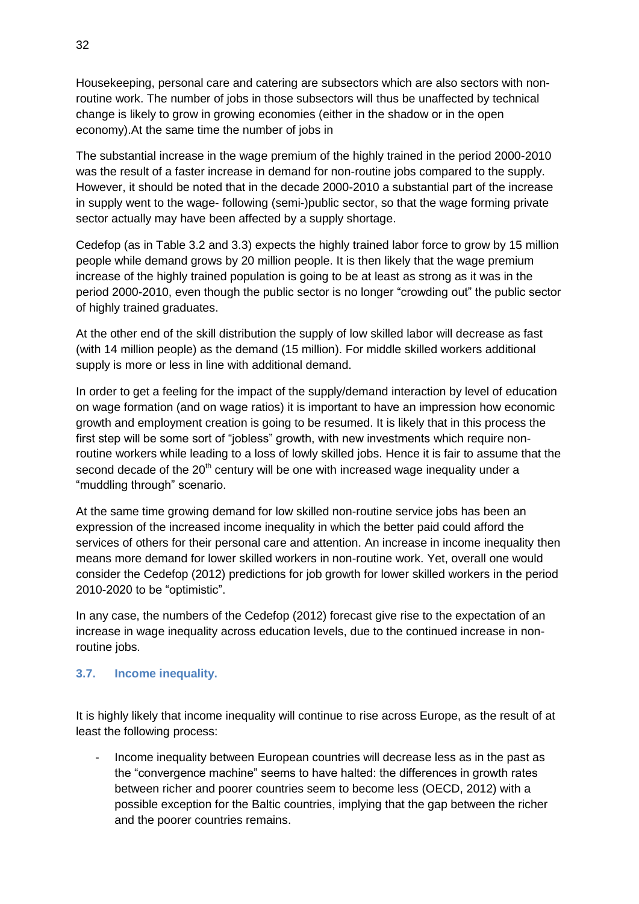Housekeeping, personal care and catering are subsectors which are also sectors with nonroutine work. The number of jobs in those subsectors will thus be unaffected by technical change is likely to grow in growing economies (either in the shadow or in the open economy).At the same time the number of jobs in

The substantial increase in the wage premium of the highly trained in the period 2000-2010 was the result of a faster increase in demand for non-routine jobs compared to the supply. However, it should be noted that in the decade 2000-2010 a substantial part of the increase in supply went to the wage- following (semi-)public sector, so that the wage forming private sector actually may have been affected by a supply shortage.

Cedefop (as in Table 3.2 and 3.3) expects the highly trained labor force to grow by 15 million people while demand grows by 20 million people. It is then likely that the wage premium increase of the highly trained population is going to be at least as strong as it was in the period 2000-2010, even though the public sector is no longer "crowding out" the public sector of highly trained graduates.

At the other end of the skill distribution the supply of low skilled labor will decrease as fast (with 14 million people) as the demand (15 million). For middle skilled workers additional supply is more or less in line with additional demand.

In order to get a feeling for the impact of the supply/demand interaction by level of education on wage formation (and on wage ratios) it is important to have an impression how economic growth and employment creation is going to be resumed. It is likely that in this process the first step will be some sort of "jobless" growth, with new investments which require nonroutine workers while leading to a loss of lowly skilled jobs. Hence it is fair to assume that the second decade of the  $20<sup>th</sup>$  century will be one with increased wage inequality under a "muddling through" scenario.

At the same time growing demand for low skilled non-routine service jobs has been an expression of the increased income inequality in which the better paid could afford the services of others for their personal care and attention. An increase in income inequality then means more demand for lower skilled workers in non-routine work. Yet, overall one would consider the Cedefop (2012) predictions for job growth for lower skilled workers in the period  $2010 - 2020$  to be "optimistic".

In any case, the numbers of the Cedefop (2012) forecast give rise to the expectation of an increase in wage inequality across education levels, due to the continued increase in nonroutine jobs.

#### <span id="page-31-0"></span>**3.7. Income inequality.**

It is highly likely that income inequality will continue to rise across Europe, as the result of at least the following process:

- Income inequality between European countries will decrease less as in the past as the "convergence machine" seems to have halted: the differences in growth rates between richer and poorer countries seem to become less (OECD, 2012) with a possible exception for the Baltic countries, implying that the gap between the richer and the poorer countries remains.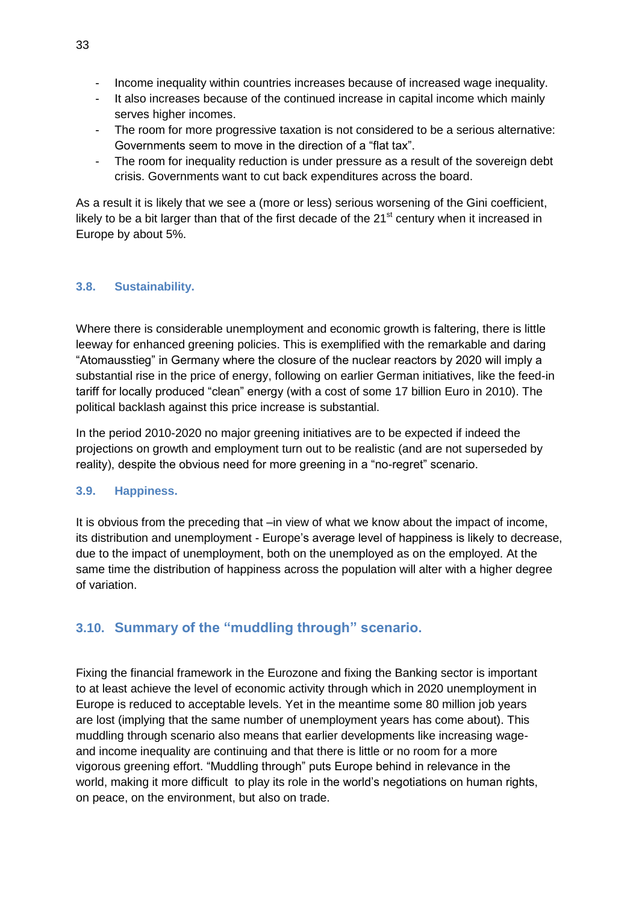- Income inequality within countries increases because of increased wage inequality.
- It also increases because of the continued increase in capital income which mainly serves higher incomes.
- The room for more progressive taxation is not considered to be a serious alternative: Governments seem to move in the direction of a "flat tax".
- The room for inequality reduction is under pressure as a result of the sovereign debt crisis. Governments want to cut back expenditures across the board.

As a result it is likely that we see a (more or less) serious worsening of the Gini coefficient, likely to be a bit larger than that of the first decade of the  $21<sup>st</sup>$  century when it increased in Europe by about 5%.

#### <span id="page-32-0"></span>**3.8. Sustainability.**

Where there is considerable unemployment and economic growth is faltering, there is little leeway for enhanced greening policies. This is exemplified with the remarkable and daring "Atomausstieg" in Germany where the closure of the nuclear reactors by 2020 will imply a substantial rise in the price of energy, following on earlier German initiatives, like the feed-in tariff for locally produced "clean" energy (with a cost of some 17 billion Euro in 2010). The political backlash against this price increase is substantial.

In the period 2010-2020 no major greening initiatives are to be expected if indeed the projections on growth and employment turn out to be realistic (and are not superseded by reality), despite the obvious need for more greening in a "no-regret" scenario.

#### <span id="page-32-1"></span>**3.9. Happiness.**

It is obvious from the preceding that –in view of what we know about the impact of income, its distribution and unemployment - Europe's average level of happiness is likely to decrease, due to the impact of unemployment, both on the unemployed as on the employed. At the same time the distribution of happiness across the population will alter with a higher degree of variation.

## <span id="page-32-2"></span>**3.10. Summary of the "muddling through" scenario.**

Fixing the financial framework in the Eurozone and fixing the Banking sector is important to at least achieve the level of economic activity through which in 2020 unemployment in Europe is reduced to acceptable levels. Yet in the meantime some 80 million job years are lost (implying that the same number of unemployment years has come about). This muddling through scenario also means that earlier developments like increasing wageand income inequality are continuing and that there is little or no room for a more vigorous greening effort. "Muddling through" puts Europe behind in relevance in the world, making it more difficult to play its role in the world's negotiations on human rights, on peace, on the environment, but also on trade.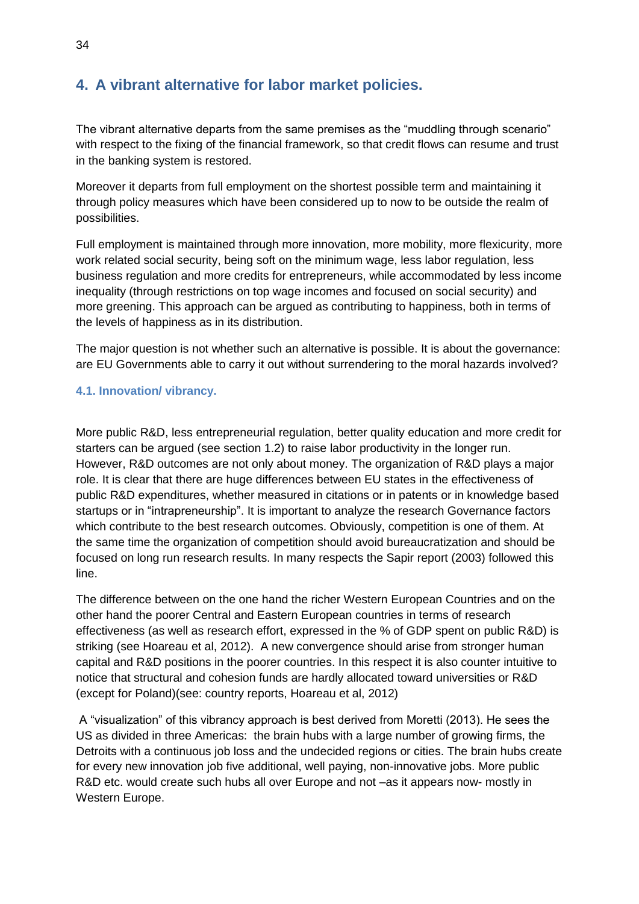## <span id="page-33-0"></span>**4. A vibrant alternative for labor market policies.**

The vibrant alternative departs from the same premises as the "muddling through scenario" with respect to the fixing of the financial framework, so that credit flows can resume and trust in the banking system is restored.

Moreover it departs from full employment on the shortest possible term and maintaining it through policy measures which have been considered up to now to be outside the realm of possibilities.

Full employment is maintained through more innovation, more mobility, more flexicurity, more work related social security, being soft on the minimum wage, less labor regulation, less business regulation and more credits for entrepreneurs, while accommodated by less income inequality (through restrictions on top wage incomes and focused on social security) and more greening. This approach can be argued as contributing to happiness, both in terms of the levels of happiness as in its distribution.

The major question is not whether such an alternative is possible. It is about the governance: are EU Governments able to carry it out without surrendering to the moral hazards involved?

#### <span id="page-33-1"></span>**4.1. Innovation/ vibrancy.**

More public R&D, less entrepreneurial regulation, better quality education and more credit for starters can be argued (see section 1.2) to raise labor productivity in the longer run. However, R&D outcomes are not only about money. The organization of R&D plays a major role. It is clear that there are huge differences between EU states in the effectiveness of public R&D expenditures, whether measured in citations or in patents or in knowledge based startups or in "intrapreneurship". It is important to analyze the research Governance factors which contribute to the best research outcomes. Obviously, competition is one of them. At the same time the organization of competition should avoid bureaucratization and should be focused on long run research results. In many respects the Sapir report (2003) followed this line.

The difference between on the one hand the richer Western European Countries and on the other hand the poorer Central and Eastern European countries in terms of research effectiveness (as well as research effort, expressed in the % of GDP spent on public R&D) is striking (see Hoareau et al, 2012). A new convergence should arise from stronger human capital and R&D positions in the poorer countries. In this respect it is also counter intuitive to notice that structural and cohesion funds are hardly allocated toward universities or R&D (except for Poland)(see: country reports, Hoareau et al, 2012)

A "visualization" of this vibrancy approach is best derived from Moretti (2013). He sees the US as divided in three Americas: the brain hubs with a large number of growing firms, the Detroits with a continuous job loss and the undecided regions or cities. The brain hubs create for every new innovation job five additional, well paying, non-innovative jobs. More public R&D etc. would create such hubs all over Europe and not –as it appears now- mostly in Western Europe.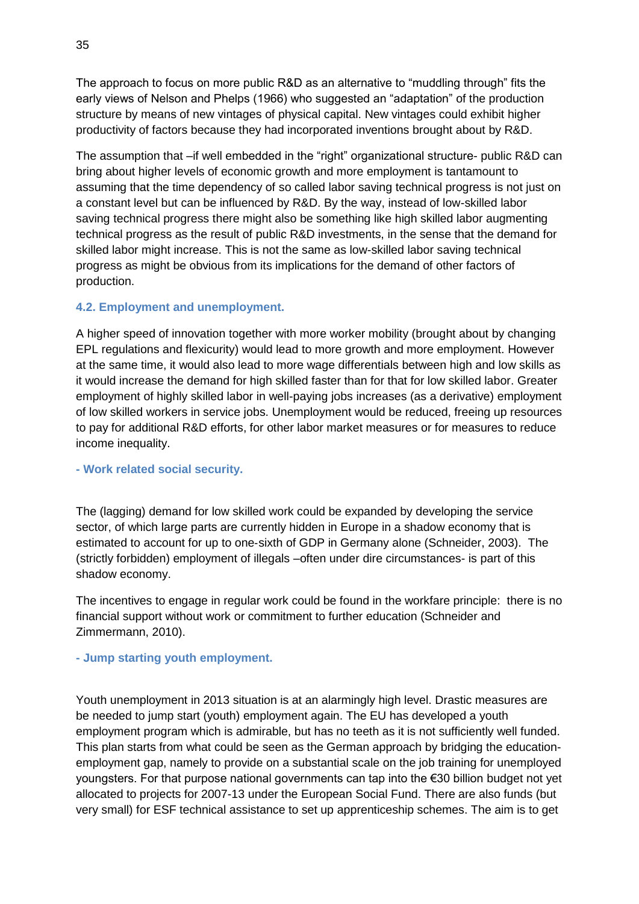The approach to focus on more public R&D as an alternative to "muddling through" fits the early views of Nelson and Phelps (1966) who suggested an "adaptation" of the production structure by means of new vintages of physical capital. New vintages could exhibit higher productivity of factors because they had incorporated inventions brought about by R&D.

The assumption that –if well embedded in the "right" organizational structure- public R&D can bring about higher levels of economic growth and more employment is tantamount to assuming that the time dependency of so called labor saving technical progress is not just on a constant level but can be influenced by R&D. By the way, instead of low-skilled labor saving technical progress there might also be something like high skilled labor augmenting technical progress as the result of public R&D investments, in the sense that the demand for skilled labor might increase. This is not the same as low-skilled labor saving technical progress as might be obvious from its implications for the demand of other factors of production.

#### <span id="page-34-0"></span>**4.2. Employment and unemployment.**

A higher speed of innovation together with more worker mobility (brought about by changing EPL regulations and flexicurity) would lead to more growth and more employment. However at the same time, it would also lead to more wage differentials between high and low skills as it would increase the demand for high skilled faster than for that for low skilled labor. Greater employment of highly skilled labor in well-paying jobs increases (as a derivative) employment of low skilled workers in service jobs. Unemployment would be reduced, freeing up resources to pay for additional R&D efforts, for other labor market measures or for measures to reduce income inequality.

#### <span id="page-34-1"></span>**- Work related social security.**

The (lagging) demand for low skilled work could be expanded by developing the service sector, of which large parts are currently hidden in Europe in a shadow economy that is estimated to account for up to one‐sixth of GDP in Germany alone (Schneider, 2003). The (strictly forbidden) employment of illegals –often under dire circumstances- is part of this shadow economy.

The incentives to engage in regular work could be found in the workfare principle: there is no financial support without work or commitment to further education (Schneider and Zimmermann, 2010).

#### <span id="page-34-2"></span>**- Jump starting youth employment.**

Youth unemployment in 2013 situation is at an alarmingly high level. Drastic measures are be needed to jump start (youth) employment again. The EU has developed a youth employment program which is admirable, but has no teeth as it is not sufficiently well funded. This plan starts from what could be seen as the German approach by bridging the educationemployment gap, namely to provide on a substantial scale on the job training for unemployed youngsters. For that purpose national governments can tap into the €30 billion budget not yet allocated to projects for 2007-13 under the European Social Fund. There are also funds (but very small) for ESF technical assistance to set up [apprenticeship schemes.](http://ec.europa.eu/social/main.jsp?catId=1045&langId=en) The aim is to get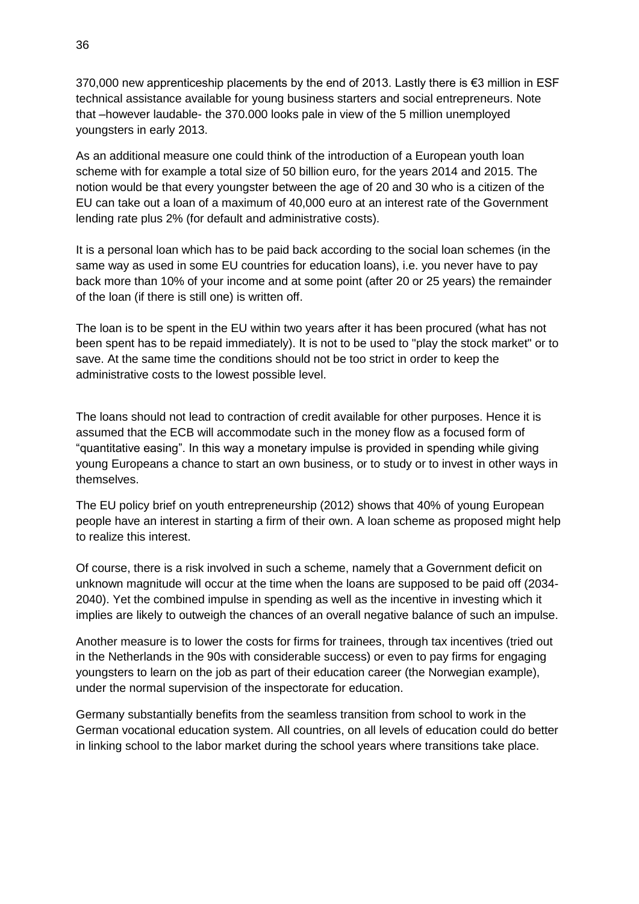370,000 new apprenticeship placements by the end of 2013. Lastly there is €3 million in ESF technical assistance available for [young business starters](http://ec.europa.eu/social/main.jsp?catId=952&langId=en) and social entrepreneurs. Note that –however laudable- the 370.000 looks pale in view of the 5 million unemployed youngsters in early 2013.

As an additional measure one could think of the introduction of a European youth loan scheme with for example a total size of 50 billion euro, for the years 2014 and 2015. The notion would be that every youngster between the age of 20 and 30 who is a citizen of the EU can take out a loan of a maximum of 40,000 euro at an interest rate of the Government lending rate plus 2% (for default and administrative costs).

It is a personal loan which has to be paid back according to the social loan schemes (in the same way as used in some EU countries for education loans), i.e. you never have to pay back more than 10% of your income and at some point (after 20 or 25 years) the remainder of the loan (if there is still one) is written off.

The loan is to be spent in the EU within two years after it has been procured (what has not been spent has to be repaid immediately). It is not to be used to "play the stock market" or to save. At the same time the conditions should not be too strict in order to keep the administrative costs to the lowest possible level.

The loans should not lead to contraction of credit available for other purposes. Hence it is assumed that the ECB will accommodate such in the money flow as a focused form of ―quantitative easing‖. In this way a monetary impulse is provided in spending while giving young Europeans a chance to start an own business, or to study or to invest in other ways in themselves.

The EU policy brief on youth entrepreneurship (2012) shows that 40% of young European people have an interest in starting a firm of their own. A loan scheme as proposed might help to realize this interest.

Of course, there is a risk involved in such a scheme, namely that a Government deficit on unknown magnitude will occur at the time when the loans are supposed to be paid off (2034- 2040). Yet the combined impulse in spending as well as the incentive in investing which it implies are likely to outweigh the chances of an overall negative balance of such an impulse.

Another measure is to lower the costs for firms for trainees, through tax incentives (tried out in the Netherlands in the 90s with considerable success) or even to pay firms for engaging youngsters to learn on the job as part of their education career (the Norwegian example), under the normal supervision of the inspectorate for education.

Germany substantially benefits from the seamless transition from school to work in the German vocational education system. All countries, on all levels of education could do better in linking school to the labor market during the school years where transitions take place.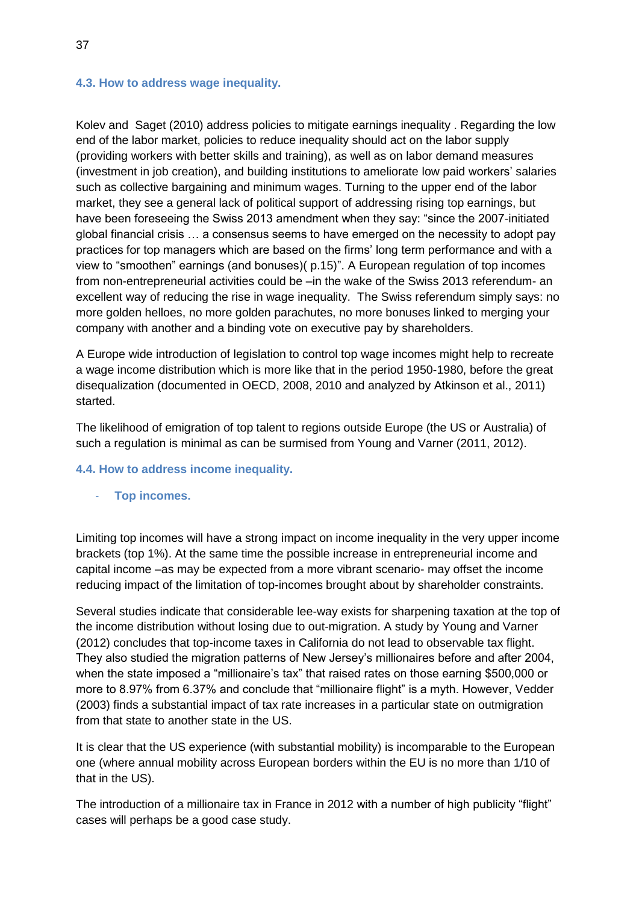#### <span id="page-36-0"></span>**4.3. How to address wage inequality.**

Kolev and Saget (2010) address policies to mitigate earnings inequality . Regarding the low end of the labor market, policies to reduce inequality should act on the labor supply (providing workers with better skills and training), as well as on labor demand measures (investment in job creation), and building institutions to ameliorate low paid workers' salaries such as collective bargaining and minimum wages. Turning to the upper end of the labor market, they see a general lack of political support of addressing rising top earnings, but have been foreseeing the Swiss 2013 amendment when they say: "since the 2007-initiated global financial crisis … a consensus seems to have emerged on the necessity to adopt pay practices for top managers which are based on the firms' long term performance and with a view to "smoothen" earnings (and bonuses)( p.15)". A European regulation of top incomes from non-entrepreneurial activities could be –in the wake of the Swiss 2013 referendum- an excellent way of reducing the rise in wage inequality. The Swiss referendum simply says: no more golden helloes, no more golden parachutes, no more bonuses linked to merging your company with another and a binding vote on executive pay by shareholders.

A Europe wide introduction of legislation to control top wage incomes might help to recreate a wage income distribution which is more like that in the period 1950-1980, before the great disequalization (documented in OECD, 2008, 2010 and analyzed by Atkinson et al., 2011) started.

The likelihood of emigration of top talent to regions outside Europe (the US or Australia) of such a regulation is minimal as can be surmised from Young and Varner (2011, 2012).

#### <span id="page-36-2"></span><span id="page-36-1"></span>**4.4. How to address income inequality.**

- **Top incomes.**

Limiting top incomes will have a strong impact on income inequality in the very upper income brackets (top 1%). At the same time the possible increase in entrepreneurial income and capital income –as may be expected from a more vibrant scenario- may offset the income reducing impact of the limitation of top-incomes brought about by shareholder constraints.

Several studies indicate that considerable lee-way exists for sharpening taxation at the top of the income distribution without losing due to out-migration. A study by Young and Varner (2012) concludes that top-income taxes in California do not lead to observable tax flight. They also studied the migration patterns of New Jersey's millionaires before and after 2004, when the state imposed a "millionaire's tax" that raised rates on those earning \$500,000 or more to 8.97% from 6.37% and conclude that "millionaire flight" is a myth. However, Vedder (2003) finds a substantial impact of tax rate increases in a particular state on outmigration from that state to another state in the US.

It is clear that the US experience (with substantial mobility) is incomparable to the European one (where annual mobility across European borders within the EU is no more than 1/10 of that in the US).

The introduction of a millionaire tax in France in 2012 with a number of high publicity "flight" cases will perhaps be a good case study.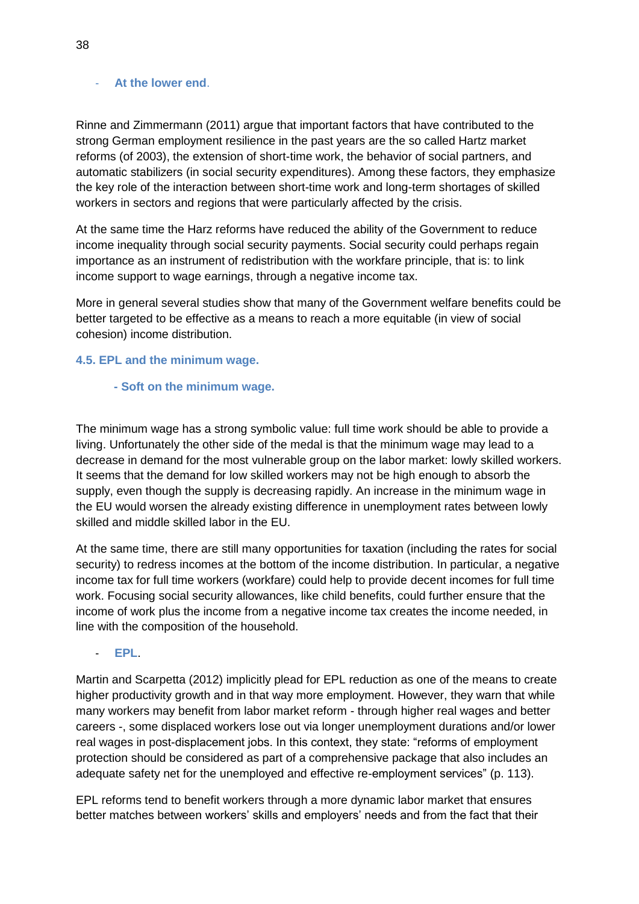#### <span id="page-37-0"></span>- **At the lower end**.

Rinne and Zimmermann (2011) argue that important factors that have contributed to the strong German employment resilience in the past years are the so called Hartz market reforms (of 2003), the extension of short-time work, the behavior of social partners, and automatic stabilizers (in social security expenditures). Among these factors, they emphasize the key role of the interaction between short-time work and long-term shortages of skilled workers in sectors and regions that were particularly affected by the crisis.

At the same time the Harz reforms have reduced the ability of the Government to reduce income inequality through social security payments. Social security could perhaps regain importance as an instrument of redistribution with the workfare principle, that is: to link income support to wage earnings, through a negative income tax.

More in general several studies show that many of the Government welfare benefits could be better targeted to be effective as a means to reach a more equitable (in view of social cohesion) income distribution.

#### <span id="page-37-2"></span><span id="page-37-1"></span>**4.5. EPL and the minimum wage.**

#### **- Soft on the minimum wage.**

The minimum wage has a strong symbolic value: full time work should be able to provide a living. Unfortunately the other side of the medal is that the minimum wage may lead to a decrease in demand for the most vulnerable group on the labor market: lowly skilled workers. It seems that the demand for low skilled workers may not be high enough to absorb the supply, even though the supply is decreasing rapidly. An increase in the minimum wage in the EU would worsen the already existing difference in unemployment rates between lowly skilled and middle skilled labor in the EU.

At the same time, there are still many opportunities for taxation (including the rates for social security) to redress incomes at the bottom of the income distribution. In particular, a negative income tax for full time workers (workfare) could help to provide decent incomes for full time work. Focusing social security allowances, like child benefits, could further ensure that the income of work plus the income from a negative income tax creates the income needed, in line with the composition of the household.

#### <span id="page-37-3"></span>- **EPL**.

Martin and Scarpetta (2012) implicitly plead for EPL reduction as one of the means to create higher productivity growth and in that way more employment. However, they warn that while many workers may benefit from labor market reform - through higher real wages and better careers -, some displaced workers lose out via longer unemployment durations and/or lower real wages in post-displacement jobs. In this context, they state: "reforms of employment protection should be considered as part of a comprehensive package that also includes an adequate safety net for the unemployed and effective re-employment services" (p. 113).

EPL reforms tend to benefit workers through a more dynamic labor market that ensures better matches between workers' skills and employers' needs and from the fact that their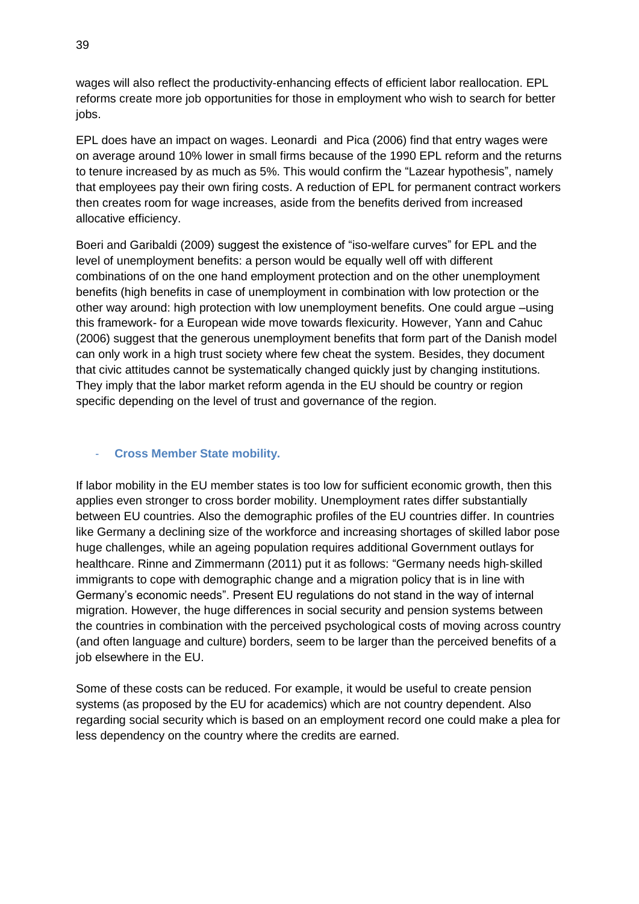wages will also reflect the productivity-enhancing effects of efficient labor reallocation. EPL reforms create more job opportunities for those in employment who wish to search for better jobs.

EPL does have an impact on wages. Leonardi and Pica (2006) find that entry wages were on average around 10% lower in small firms because of the 1990 EPL reform and the returns to tenure increased by as much as 5%. This would confirm the "Lazear hypothesis", namely that employees pay their own firing costs. A reduction of EPL for permanent contract workers then creates room for wage increases, aside from the benefits derived from increased allocative efficiency.

Boeri and Garibaldi (2009) suggest the existence of "iso-welfare curves" for EPL and the level of unemployment benefits: a person would be equally well off with different combinations of on the one hand employment protection and on the other unemployment benefits (high benefits in case of unemployment in combination with low protection or the other way around: high protection with low unemployment benefits. One could argue –using this framework- for a European wide move towards flexicurity. However, Yann and Cahuc (2006) suggest that the generous unemployment benefits that form part of the Danish model can only work in a high trust society where few cheat the system. Besides, they document that civic attitudes cannot be systematically changed quickly just by changing institutions. They imply that the labor market reform agenda in the EU should be country or region specific depending on the level of trust and governance of the region.

#### <span id="page-38-0"></span>- **Cross Member State mobility.**

If labor mobility in the EU member states is too low for sufficient economic growth, then this applies even stronger to cross border mobility. Unemployment rates differ substantially between EU countries. Also the demographic profiles of the EU countries differ. In countries like Germany a declining size of the workforce and increasing shortages of skilled labor pose huge challenges, while an ageing population requires additional Government outlays for healthcare. Rinne and Zimmermann (2011) put it as follows: "Germany needs high-skilled immigrants to cope with demographic change and a migration policy that is in line with Germany's economic needs". Present EU regulations do not stand in the way of internal migration. However, the huge differences in social security and pension systems between the countries in combination with the perceived psychological costs of moving across country (and often language and culture) borders, seem to be larger than the perceived benefits of a job elsewhere in the EU.

Some of these costs can be reduced. For example, it would be useful to create pension systems (as proposed by the EU for academics) which are not country dependent. Also regarding social security which is based on an employment record one could make a plea for less dependency on the country where the credits are earned.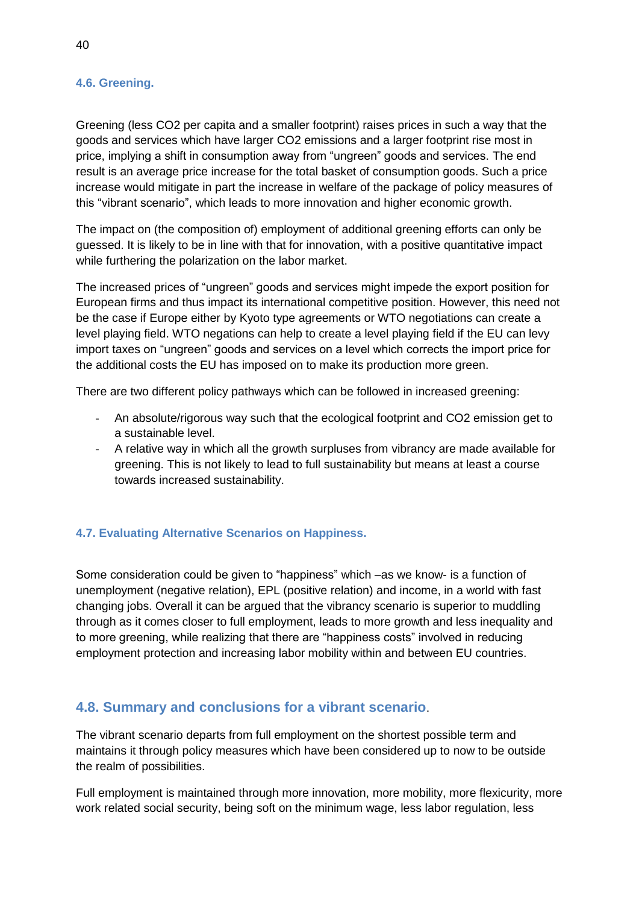#### <span id="page-39-0"></span>**4.6. Greening.**

Greening (less CO2 per capita and a smaller footprint) raises prices in such a way that the goods and services which have larger CO2 emissions and a larger footprint rise most in price, implying a shift in consumption away from "ungreen" goods and services. The end result is an average price increase for the total basket of consumption goods. Such a price increase would mitigate in part the increase in welfare of the package of policy measures of this "vibrant scenario", which leads to more innovation and higher economic growth.

The impact on (the composition of) employment of additional greening efforts can only be guessed. It is likely to be in line with that for innovation, with a positive quantitative impact while furthering the polarization on the labor market.

The increased prices of "ungreen" goods and services might impede the export position for European firms and thus impact its international competitive position. However, this need not be the case if Europe either by Kyoto type agreements or WTO negotiations can create a level playing field. WTO negations can help to create a level playing field if the EU can levy import taxes on "ungreen" goods and services on a level which corrects the import price for the additional costs the EU has imposed on to make its production more green.

There are two different policy pathways which can be followed in increased greening:

- An absolute/rigorous way such that the ecological footprint and CO2 emission get to a sustainable level.
- A relative way in which all the growth surpluses from vibrancy are made available for greening. This is not likely to lead to full sustainability but means at least a course towards increased sustainability.

#### <span id="page-39-1"></span>**4.7. Evaluating Alternative Scenarios on Happiness.**

Some consideration could be given to "happiness" which –as we know- is a function of unemployment (negative relation), EPL (positive relation) and income, in a world with fast changing jobs. Overall it can be argued that the vibrancy scenario is superior to muddling through as it comes closer to full employment, leads to more growth and less inequality and to more greening, while realizing that there are "happiness costs" involved in reducing employment protection and increasing labor mobility within and between EU countries.

## <span id="page-39-2"></span>**4.8. Summary and conclusions for a vibrant scenario**.

The vibrant scenario departs from full employment on the shortest possible term and maintains it through policy measures which have been considered up to now to be outside the realm of possibilities.

Full employment is maintained through more innovation, more mobility, more flexicurity, more work related social security, being soft on the minimum wage, less labor regulation, less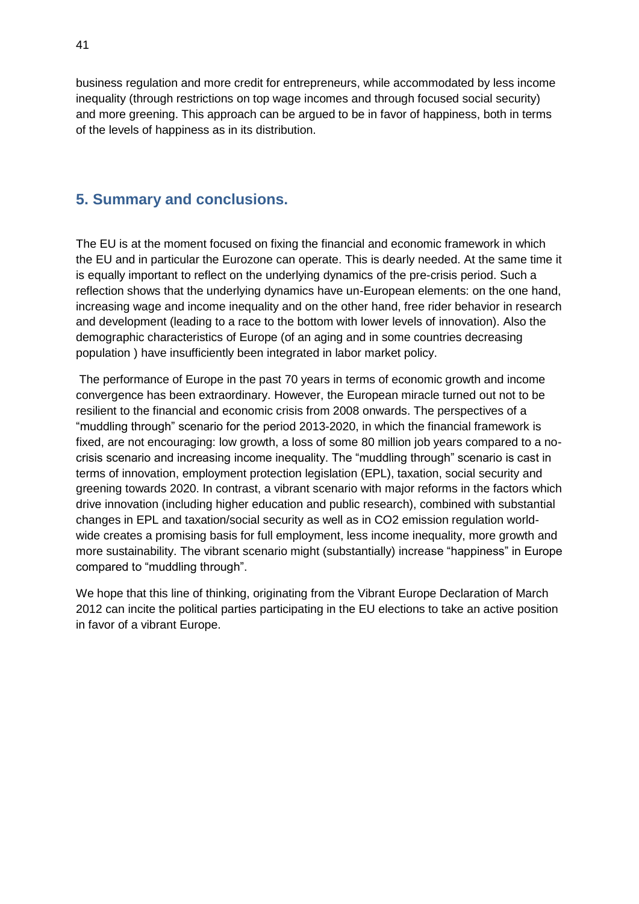business regulation and more credit for entrepreneurs, while accommodated by less income inequality (through restrictions on top wage incomes and through focused social security) and more greening. This approach can be argued to be in favor of happiness, both in terms of the levels of happiness as in its distribution.

## <span id="page-40-0"></span>**5. Summary and conclusions.**

The EU is at the moment focused on fixing the financial and economic framework in which the EU and in particular the Eurozone can operate. This is dearly needed. At the same time it is equally important to reflect on the underlying dynamics of the pre-crisis period. Such a reflection shows that the underlying dynamics have un-European elements: on the one hand, increasing wage and income inequality and on the other hand, free rider behavior in research and development (leading to a race to the bottom with lower levels of innovation). Also the demographic characteristics of Europe (of an aging and in some countries decreasing population ) have insufficiently been integrated in labor market policy.

The performance of Europe in the past 70 years in terms of economic growth and income convergence has been extraordinary. However, the European miracle turned out not to be resilient to the financial and economic crisis from 2008 onwards. The perspectives of a "muddling through" scenario for the period 2013-2020, in which the financial framework is fixed, are not encouraging: low growth, a loss of some 80 million job years compared to a nocrisis scenario and increasing income inequality. The "muddling through" scenario is cast in terms of innovation, employment protection legislation (EPL), taxation, social security and greening towards 2020. In contrast, a vibrant scenario with major reforms in the factors which drive innovation (including higher education and public research), combined with substantial changes in EPL and taxation/social security as well as in CO2 emission regulation worldwide creates a promising basis for full employment, less income inequality, more growth and more sustainability. The vibrant scenario might (substantially) increase "happiness" in Europe compared to "muddling through".

We hope that this line of thinking, originating from the Vibrant Europe Declaration of March 2012 can incite the political parties participating in the EU elections to take an active position in favor of a vibrant Europe.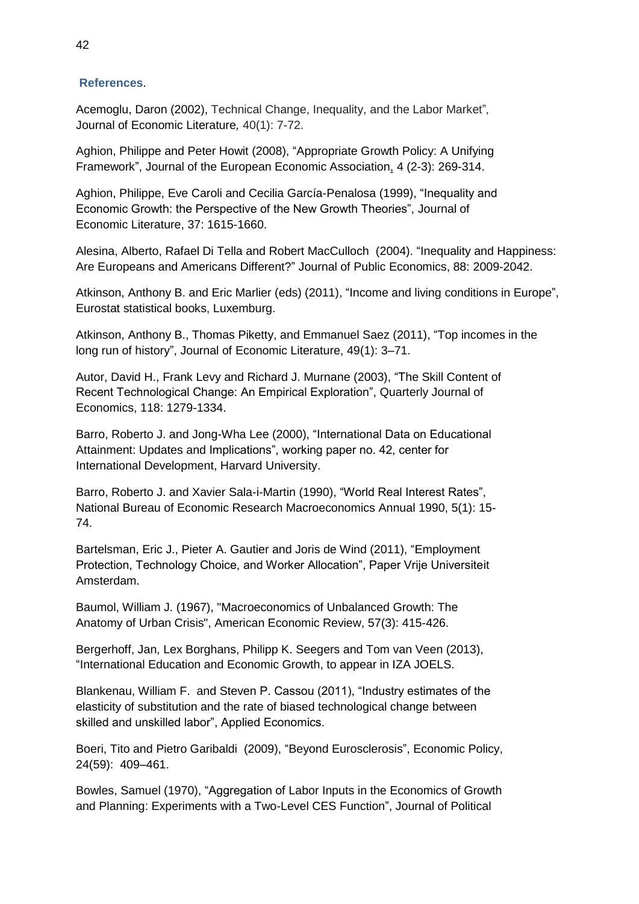#### <span id="page-41-0"></span>**References**.

Acemoglu, Daron (2002), Technical Change, Inequality, and the Labor Market", Journal of Economic Literature*,* 40(1): 7-72.

Aghion, Philippe and Peter Howit (2008), "Appropriate Growth Policy: A Unifying Framework", Journal of the European Economic Association, 4 (2-3): 269-314.

Aghion, Philippe, Eve Caroli and Cecilia García-Penalosa (1999), "Inequality and Economic Growth: the Perspective of the New Growth Theories", Journal of Economic Literature, 37: 1615-1660.

Alesina, Alberto, Rafael Di Tella and Robert MacCulloch (2004). "Inequality and Happiness: Are Europeans and Americans Different?" Journal of Public Economics, 88: 2009-2042.

Atkinson, Anthony B. and Eric Marlier (eds) (2011), "Income and living conditions in Europe", Eurostat statistical books, Luxemburg.

Atkinson, Anthony B., Thomas Piketty, and Emmanuel Saez (2011), "Top incomes in the long run of history", Journal of Economic Literature, 49(1): 3-71.

Autor, David H., Frank Levy and Richard J. Murnane (2003), "The Skill Content of Recent Technological Change: An Empirical Exploration", Quarterly Journal of Economics, 118: 1279-1334.

Barro, Roberto J. and Jong-Wha Lee (2000), "International Data on Educational Attainment: Updates and Implications", working paper no. 42, center for International Development, Harvard University.

Barro, Roberto J. and Xavier Sala-i-Martin (1990), "World Real Interest Rates", National Bureau of Economic Research Macroeconomics Annual 1990, 5(1): 15- 74.

[Bartelsman,](http://ideas.repec.org/f/pba253.html) Eric J., [Pieter A. Gautier](http://ideas.repec.org/e/pga16.html) and Joris de Wind (2011), "Employment Protection, Technology Choice, and Worker Allocation", Paper Vrije Universiteit Amsterdam.

Baumol, William J. (1967), "Macroeconomics of Unbalanced Growth: The Anatomy of Urban Crisis", American Economic Review, 57(3): 415-426.

Bergerhoff, Jan, Lex Borghans, Philipp K. Seegers and Tom van Veen (2013), "International Education and Economic Growth, to appear in IZA JOELS.

Blankenau, William F. and Steven P. Cassou (2011), "Industry estimates of the elasticity of substitution and the rate of biased technological change between skilled and unskilled labor", Applied Economics.

Boeri, Tito and Pietro Garibaldi (2009), "Beyond Eurosclerosis", Economic Policy, 24(59): 409–461.

Bowles, Samuel (1970), "Aggregation of Labor Inputs in the Economics of Growth and Planning: Experiments with a Two-Level CES Function", Journal of Political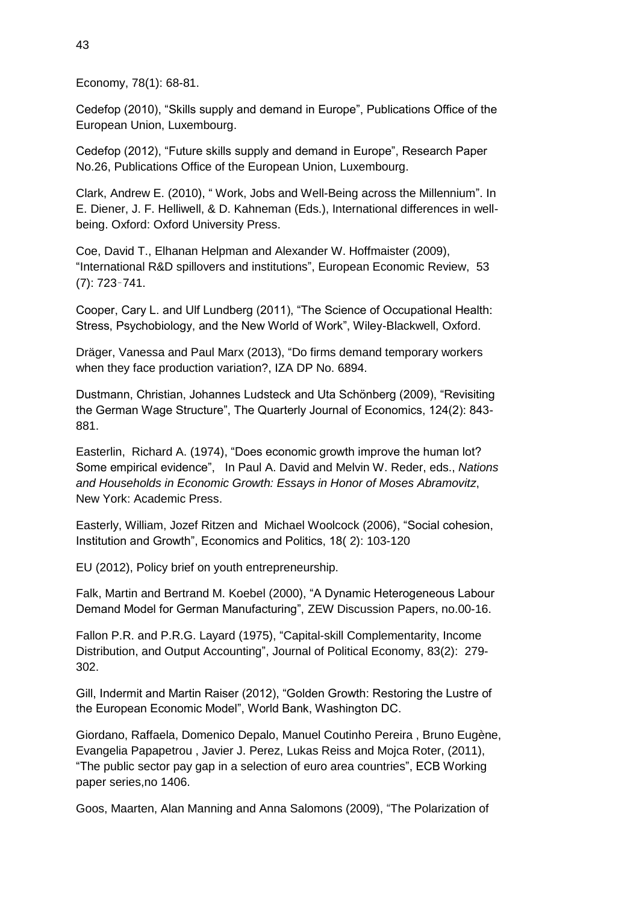43

Economy, 78(1): 68-81.

Cedefop (2010), "Skills supply and demand in Europe", Publications Office of the European Union, Luxembourg.

Cedefop (2012), "Future skills supply and demand in Europe", Research Paper No.26, Publications Office of the European Union, Luxembourg.

Clark, Andrew E. (2010), "Work, Jobs and Well-Being across the Millennium". In E. Diener, J. F. Helliwell, & D. Kahneman (Eds.), International differences in wellbeing. Oxford: Oxford University Press.

Coe, David T., [Elhanan Helpman](http://www.sciencedirect.com/science/article/pii/S0014292109000348) and [Alexander W. Hoffmaister](http://www.sciencedirect.com/science/article/pii/S0014292109000348) (2009), "International R&D spillovers and institutions", [European Economic Review,](http://www.sciencedirect.com/science/journal/00142921) [53](http://www.sciencedirect.com/science/journal/00142921/53/7) [\(7\)](http://www.sciencedirect.com/science/journal/00142921/53/7): 723–741.

Cooper, Cary L. and Ulf Lundberg (2011), "The Science of Occupational Health: Stress, Psychobiology, and the New World of Work", Wiley-Blackwell, Oxford.

Dräger, Vanessa and Paul Marx (2013), "Do firms demand temporary workers when they face production variation?, IZA DP No. 6894.

Dustmann, Christian, Johannes Ludsteck and Uta Schönberg (2009), "Revisiting the German Wage Structure", The Quarterly Journal of Economics, 124(2): 843-881.

Easterlin, Richard A. (1974), "Does economic growth improve the human lot? Some empirical evidence", In Paul A. David and Melvin W. Reder, eds., *Nations and Households in Economic Growth: Essays in Honor of Moses Abramovitz*, New York: Academic Press.

Easterly, William, Jozef Ritzen and Michael Woolcock (2006), "Social cohesion, Institution and Growth", Economics and Politics, 18(2): 103-120

EU (2012), Policy brief on youth entrepreneurship.

Falk, Martin and Bertrand M. Koebel (2000), "A Dynamic Heterogeneous Labour Demand Model for German Manufacturing", ZEW Discussion Papers, no.00-16.

Fallon P.R. and P.R.G. Layard (1975), "Capital-skill Complementarity, Income Distribution, and Output Accounting", Journal of Political Economy, 83(2): 279-302.

Gill, Indermit and Martin Raiser (2012), "Golden Growth: Restoring the Lustre of the European Economic Model", World Bank, Washington DC.

Giordano, Raffaela, Domenico Depalo, Manuel Coutinho Pereira , Bruno Eugène, Evangelia Papapetrou , Javier J. Perez, Lukas Reiss and Mojca Roter, (2011), ―The public sector pay gap in a selection of euro area countries‖, ECB Working paper series,no 1406.

Goos, Maarten, Alan Manning and Anna Salomons (2009), "The Polarization of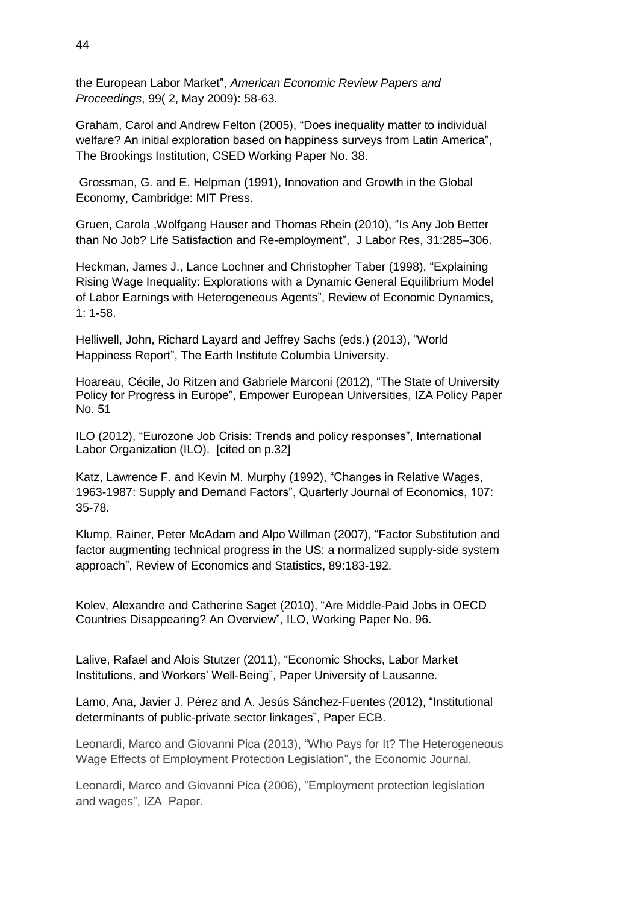the European Labor Market‖, *American Economic Review Papers and Proceedings*, 99( 2, May 2009): 58-63.

Graham, Carol and Andrew Felton (2005), "Does inequality matter to individual welfare? An initial exploration based on happiness surveys from Latin America", The Brookings Institution, CSED Working Paper No. 38.

Grossman, G. and E. Helpman (1991), Innovation and Growth in the Global Economy, Cambridge: MIT Press.

Gruen, Carola , Wolfgang Hauser and Thomas Rhein (2010), "Is Any Job Better than No Job? Life Satisfaction and Re-employment", J Labor Res, 31:285-306.

Heckman, James J., Lance Lochner and Christopher Taber (1998), "Explaining Rising Wage Inequality: Explorations with a Dynamic General Equilibrium Model of Labor Earnings with Heterogeneous Agents", Review of Economic Dynamics, 1: 1-58.

Helliwell, John, Richard Layard and Jeffrey Sachs (eds.) (2013), "World Happiness Report". The Earth Institute Columbia University.

Hoareau, Cécile, Jo Ritzen and Gabriele Marconi (2012), "The State of University Policy for Progress in Europe", Empower European Universities, IZA Policy Paper No. 51

ILO (2012), "Eurozone Job Crisis: Trends and policy responses", International Labor Organization (ILO). [cited on p.32]

Katz, Lawrence F. and Kevin M. Murphy (1992), "Changes in Relative Wages, 1963-1987: Supply and Demand Factors", Quarterly Journal of Economics, 107: 35-78.

Klump, Rainer, Peter McAdam and Alpo Willman (2007), "Factor Substitution and factor augmenting technical progress in the US: a normalized supply-side system approach", Review of Economics and Statistics, 89:183-192.

Koley, Alexandre and Catherine Saget (2010), "Are Middle-Paid Jobs in OECD Countries Disappearing? An Overview", ILO, Working Paper No. 96.

Lalive, Rafael and Alois Stutzer (2011), "Economic Shocks, Labor Market Institutions, and Workers' Well-Being", Paper University of Lausanne.

Lamo, Ana, Javier J. Pérez and A. Jesús Sánchez-Fuentes (2012), "Institutional determinants of public-private sector linkages", Paper ECB.

Leonardi, Marco and Giovanni Pica (2013), "Who Pays for It? The Heterogeneous Wage Effects of Employment Protection Legislation", the Economic Journal.

Leonardi, Marco and Giovanni Pica (2006), "Employment protection legislation and wages", IZA Paper.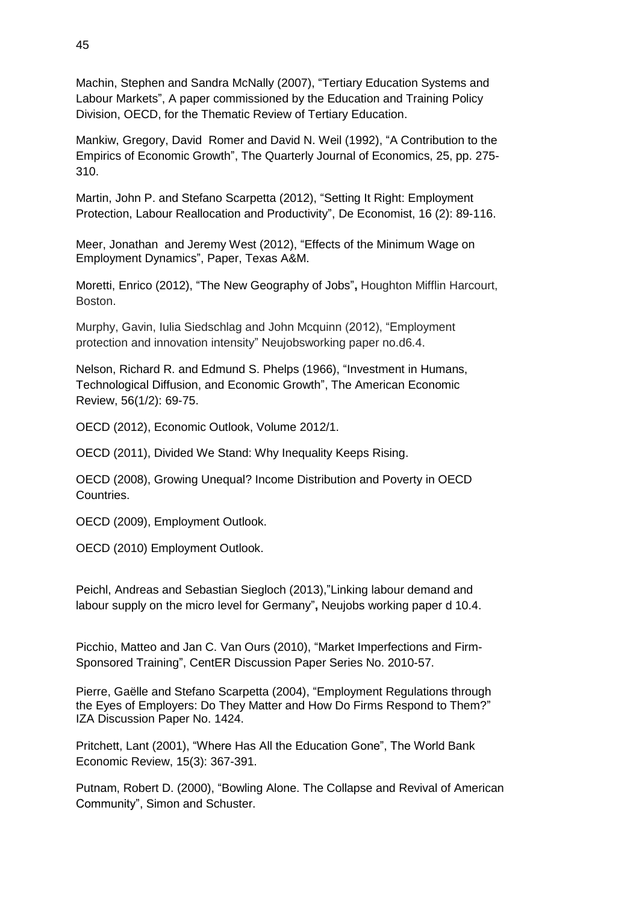Machin, Stephen and Sandra McNally (2007), "Tertiary Education Systems and Labour Markets", A paper commissioned by the Education and Training Policy Division, OECD, for the Thematic Review of Tertiary Education.

Mankiw, Gregory, David Romer and David N. Weil (1992), "A Contribution to the Empirics of Economic Growth", The Quarterly Journal of Economics, 25, pp. 275-310.

Martin, John P. and Stefano Scarpetta (2012), "Setting It Right: Employment Protection, Labour Reallocation and Productivity", De Economist, 16 (2): 89-116.

Meer, Jonathan and Jeremy West (2012), "Effects of the Minimum Wage on Employment Dynamics", Paper, Texas A&M.

Moretti, Enrico (2012), "The New Geography of Jobs", Houghton Mifflin Harcourt, Boston.

Murphy, Gavin, Iulia Siedschlag and John Mcquinn (2012), "Employment protection and innovation intensity" Neujobsworking paper no.d6.4.

Nelson, Richard R. and Edmund S. Phelps (1966), "Investment in Humans, Technological Diffusion, and Economic Growth", The American Economic Review, 56(1/2): 69-75.

OECD (2012), Economic Outlook, Volume 2012/1.

OECD (2011), Divided We Stand: Why Inequality Keeps Rising.

OECD (2008), Growing Unequal? Income Distribution and Poverty in OECD Countries.

OECD (2009), Employment Outlook.

OECD (2010) Employment Outlook.

Peichl, Andreas and Sebastian Siegloch (2013),"Linking labour demand and labour supply on the micro level for Germany<sup>"</sup>, Neujobs working paper d 10.4.

Picchio, Matteo and Jan C. Van Ours (2010), "Market Imperfections and Firm-Sponsored Training", CentER Discussion Paper Series No. 2010-57.

Pierre, [Gaëlle and](http://papers.ssrn.com/sol3/cf_dev/AbsByAuth.cfm?per_id=429328) Stefano Scarpetta (2004), "Employment Regulations through the Eyes of Employers: Do They Matter and How Do Firms Respond to Them?" [IZA Discussion Paper No. 1424.](javascript:WinOpen(263776);)

Pritchett, Lant (2001), "Where Has All the Education Gone", The World Bank Economic Review, 15(3): 367-391.

Putnam, Robert D. (2000), "Bowling Alone. The Collapse and Revival of American Community", Simon and Schuster.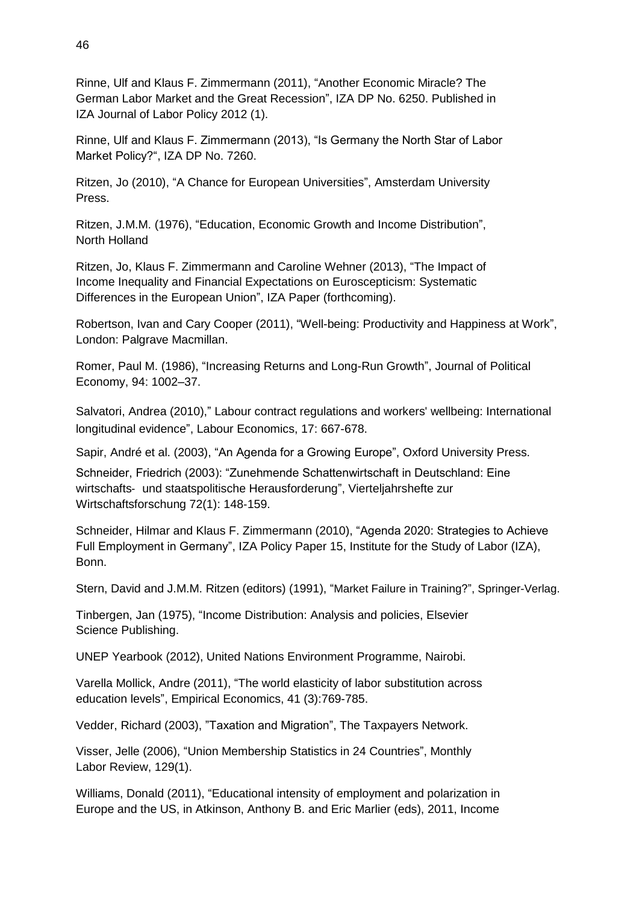Rinne, Ulf and Klaus F. Zimmermann (2011), "Another Economic Miracle? The German Labor Market and the Great Recession", IZA DP No. 6250. Published in IZA Journal of Labor Policy 2012 (1).

Rinne, Ulf and Klaus F. Zimmermann (2013), "Is Germany the North Star of Labor Market Policy?", IZA DP No. 7260.

Ritzen, Jo (2010), "A Chance for European Universities", Amsterdam University Press.

Ritzen, J.M.M. (1976), "Education, Economic Growth and Income Distribution", North Holland

Ritzen, Jo, Klaus F. Zimmermann and Caroline Wehner (2013), "The Impact of Income Inequality and Financial Expectations on Euroscepticism: Systematic Differences in the European Union", IZA Paper (forthcoming).

Robertson, Ivan and Cary Cooper (2011), "Well-being: Productivity and Happiness at Work", London: Palgrave Macmillan.

Romer, Paul M. (1986), "Increasing Returns and Long-Run Growth", Journal of Political Economy, 94: 1002–37.

[Salvatori,](http://ideas.repec.org/f/psa769.html) Andrea (2010)," Labour contract regulations and workers' wellbeing: International longitudinal evidence", Labour Economics, 17: 667-678.

Sapir, [André](http://en.wikipedia.org/wiki/Andr%C3%A9_Sapir) et al. (2003), "An Agenda for a Growing Europe", Oxford University Press.

Schneider, Friedrich (2003): "Zunehmende Schattenwirtschaft in Deutschland: Eine wirtschafts- und staatspolitische Herausforderung", Vierteljahrshefte zur Wirtschaftsforschung 72(1): 148-159.

Schneider, Hilmar and Klaus F. Zimmermann (2010), "Agenda 2020: Strategies to Achieve Full Employment in Germany", IZA Policy Paper 15, Institute for the Study of Labor (IZA), Bonn.

Stern, David and J.M.M. Ritzen (editors) (1991), "Market Failure in Training?", Springer-Verlag.

Tinbergen, Jan (1975), "Income Distribution: Analysis and policies, Elsevier Science Publishing.

UNEP Yearbook (2012), United Nations Environment Programme, Nairobi.

Varella Mollick, Andre (2011), "The world elasticity of labor substitution across education levels", Empirical Economics, 41 (3):769-785.

Vedder, Richard (2003), "Taxation and Migration", The Taxpayers Network.

Visser, Jelle (2006), "Union Membership Statistics in 24 Countries", Monthly Labor Review, 129(1).

Williams, Donald (2011), "Educational intensity of employment and polarization in Europe and the US, in Atkinson, Anthony B. and Eric Marlier (eds), 2011, Income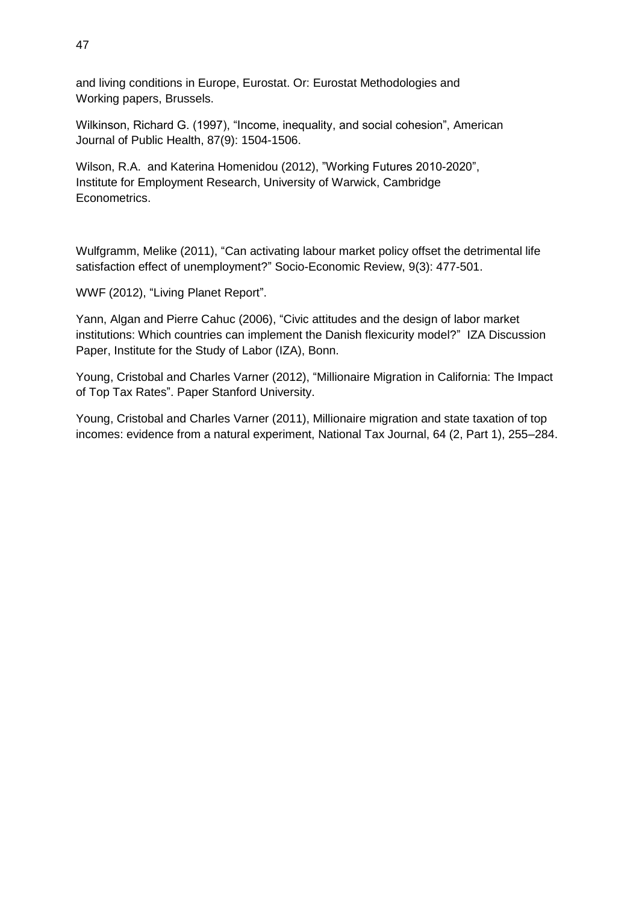and living conditions in Europe, Eurostat. Or: Eurostat Methodologies and Working papers, Brussels.

Wilkinson, Richard G. (1997), "Income, inequality, and social cohesion", American Journal of Public Health, 87(9): 1504-1506.

Wilson, R.A. and Katerina Homenidou (2012), "Working Futures 2010-2020", Institute for Employment Research, University of Warwick, Cambridge Econometrics.

Wulfgramm, Melike (2011), "Can activating labour market policy offset the detrimental life satisfaction effect of unemployment?" Socio-Economic Review, 9(3): 477-501.

WWF (2012), "Living Planet Report".

Yann, Algan and Pierre Cahuc (2006), "Civic attitudes and the design of labor market institutions: Which countries can implement the Danish flexicurity model?" IZA Discussion Paper, Institute for the Study of Labor (IZA), Bonn.

Young, Cristobal and Charles Varner (2012), "Millionaire Migration in California: The Impact of Top Tax Rates". Paper Stanford University.

Young, Cristobal and Charles Varner (2011), Millionaire migration and state taxation of top incomes: evidence from a natural experiment, National Tax Journal, 64 (2, Part 1), 255–284.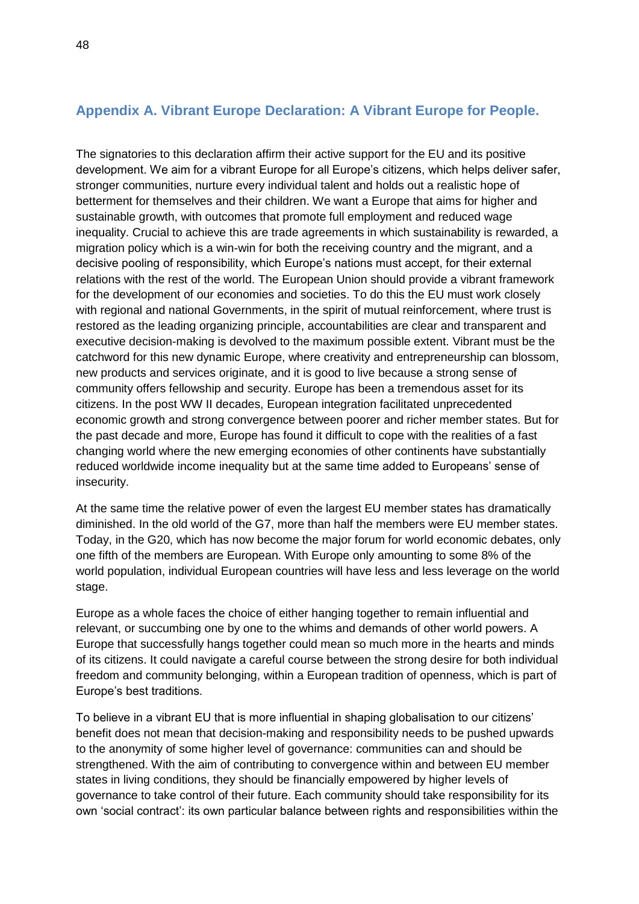## <span id="page-47-0"></span>**Appendix A. Vibrant Europe Declaration: A Vibrant Europe for People.**

The signatories to this declaration affirm their active support for the EU and its positive development. We aim for a vibrant Europe for all Europe's citizens, which helps deliver safer, stronger communities, nurture every individual talent and holds out a realistic hope of betterment for themselves and their children. We want a Europe that aims for higher and sustainable growth, with outcomes that promote full employment and reduced wage inequality. Crucial to achieve this are trade agreements in which sustainability is rewarded, a migration policy which is a win-win for both the receiving country and the migrant, and a decisive pooling of responsibility, which Europe's nations must accept, for their external relations with the rest of the world. The European Union should provide a vibrant framework for the development of our economies and societies. To do this the EU must work closely with regional and national Governments, in the spirit of mutual reinforcement, where trust is restored as the leading organizing principle, accountabilities are clear and transparent and executive decision-making is devolved to the maximum possible extent. Vibrant must be the catchword for this new dynamic Europe, where creativity and entrepreneurship can blossom, new products and services originate, and it is good to live because a strong sense of community offers fellowship and security. Europe has been a tremendous asset for its citizens. In the post WW II decades, European integration facilitated unprecedented economic growth and strong convergence between poorer and richer member states. But for the past decade and more, Europe has found it difficult to cope with the realities of a fast changing world where the new emerging economies of other continents have substantially reduced worldwide income inequality but at the same time added to Europeans' sense of insecurity.

At the same time the relative power of even the largest EU member states has dramatically diminished. In the old world of the G7, more than half the members were EU member states. Today, in the G20, which has now become the major forum for world economic debates, only one fifth of the members are European. With Europe only amounting to some 8% of the world population, individual European countries will have less and less leverage on the world stage.

Europe as a whole faces the choice of either hanging together to remain influential and relevant, or succumbing one by one to the whims and demands of other world powers. A Europe that successfully hangs together could mean so much more in the hearts and minds of its citizens. It could navigate a careful course between the strong desire for both individual freedom and community belonging, within a European tradition of openness, which is part of Europe's best traditions.

To believe in a vibrant EU that is more influential in shaping globalisation to our citizens' benefit does not mean that decision-making and responsibility needs to be pushed upwards to the anonymity of some higher level of governance: communities can and should be strengthened. With the aim of contributing to convergence within and between EU member states in living conditions, they should be financially empowered by higher levels of governance to take control of their future. Each community should take responsibility for its own ‗social contract': its own particular balance between rights and responsibilities within the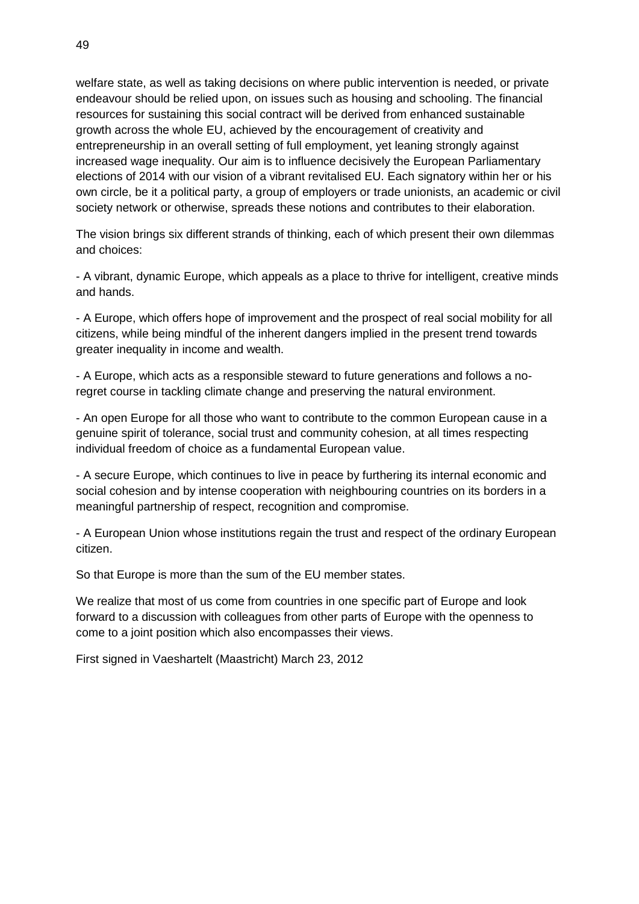welfare state, as well as taking decisions on where public intervention is needed, or private endeavour should be relied upon, on issues such as housing and schooling. The financial resources for sustaining this social contract will be derived from enhanced sustainable growth across the whole EU, achieved by the encouragement of creativity and entrepreneurship in an overall setting of full employment, yet leaning strongly against increased wage inequality. Our aim is to influence decisively the European Parliamentary elections of 2014 with our vision of a vibrant revitalised EU. Each signatory within her or his own circle, be it a political party, a group of employers or trade unionists, an academic or civil society network or otherwise, spreads these notions and contributes to their elaboration.

The vision brings six different strands of thinking, each of which present their own dilemmas and choices:

- A vibrant, dynamic Europe, which appeals as a place to thrive for intelligent, creative minds and hands.

- A Europe, which offers hope of improvement and the prospect of real social mobility for all citizens, while being mindful of the inherent dangers implied in the present trend towards greater inequality in income and wealth.

- A Europe, which acts as a responsible steward to future generations and follows a noregret course in tackling climate change and preserving the natural environment.

- An open Europe for all those who want to contribute to the common European cause in a genuine spirit of tolerance, social trust and community cohesion, at all times respecting individual freedom of choice as a fundamental European value.

- A secure Europe, which continues to live in peace by furthering its internal economic and social cohesion and by intense cooperation with neighbouring countries on its borders in a meaningful partnership of respect, recognition and compromise.

- A European Union whose institutions regain the trust and respect of the ordinary European citizen.

So that Europe is more than the sum of the EU member states.

We realize that most of us come from countries in one specific part of Europe and look forward to a discussion with colleagues from other parts of Europe with the openness to come to a joint position which also encompasses their views.

First signed in Vaeshartelt (Maastricht) March 23, 2012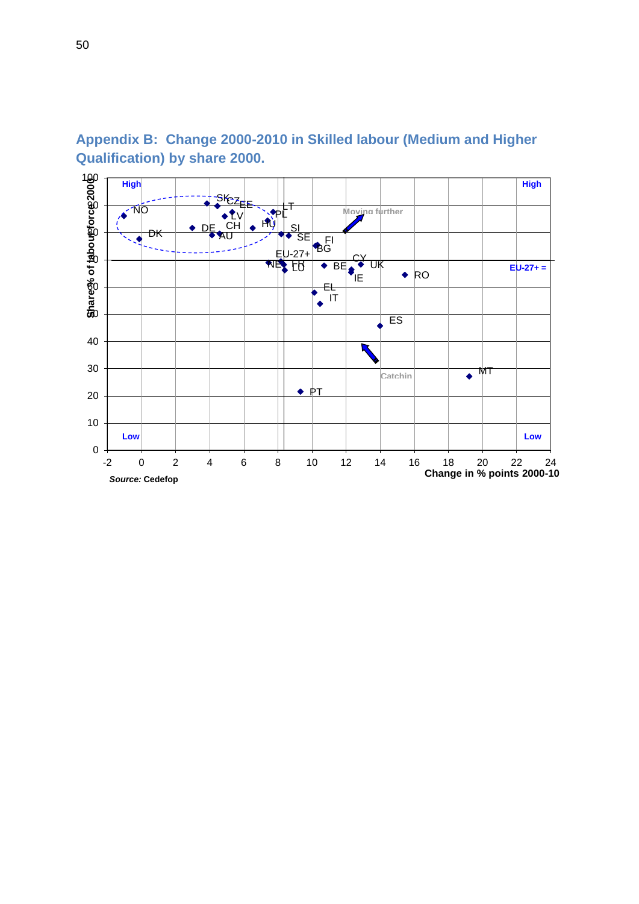

<span id="page-49-0"></span>**Appendix B: Change 2000-2010 in Skilled labour (Medium and Higher Qualification) by share 2000.**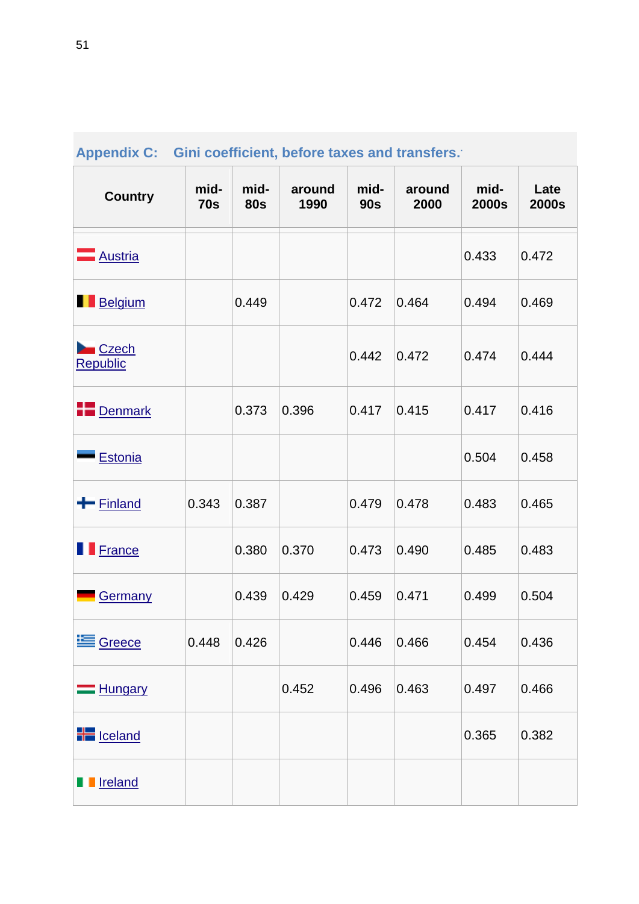| <b>Country</b>                                 | mid-<br><b>70s</b> | mid-<br><b>80s</b> | around<br>1990 | mid-<br><b>90s</b> | around<br>2000 | mid-<br>2000s | Late<br><b>2000s</b> |
|------------------------------------------------|--------------------|--------------------|----------------|--------------------|----------------|---------------|----------------------|
| <b>Austria</b>                                 |                    |                    |                |                    |                | 0.433         | 0.472                |
| <b>Belgium</b>                                 |                    | 0.449              |                | 0.472              | 0.464          | 0.494         | 0.469                |
| ■ Czech<br><b>Septiment</b><br><b>Republic</b> |                    |                    |                | 0.442              | 0.472          | 0.474         | 0.444                |
| <b>Denmark</b>                                 |                    | 0.373              | 0.396          | 0.417              | 0.415          | 0.417         | 0.416                |
| <b>Estonia</b>                                 |                    |                    |                |                    |                | 0.504         | 0.458                |
| $\bigleftarrow$ Finland                        | 0.343              | 0.387              |                | 0.479              | 0.478          | 0.483         | 0.465                |
| France                                         |                    | 0.380              | 0.370          | 0.473              | 0.490          | 0.485         | 0.483                |
| <b>Germany</b>                                 |                    | 0.439              | 0.429          | 0.459              | 0.471          | 0.499         | 0.504                |
| Greece                                         | 0.448              | 0.426              |                | 0.446              | 0.466          | 0.454         | 0.436                |
| <b>Hungary</b>                                 |                    |                    | 0.452          | 0.496              | 0.463          | 0.497         | 0.466                |
| $H$ Iceland                                    |                    |                    |                |                    |                | 0.365         | 0.382                |
| <b>T</b> Ireland                               |                    |                    |                |                    |                |               |                      |

## <span id="page-50-0"></span>**Appendix C: Gini coefficient, before taxes and transfers. .**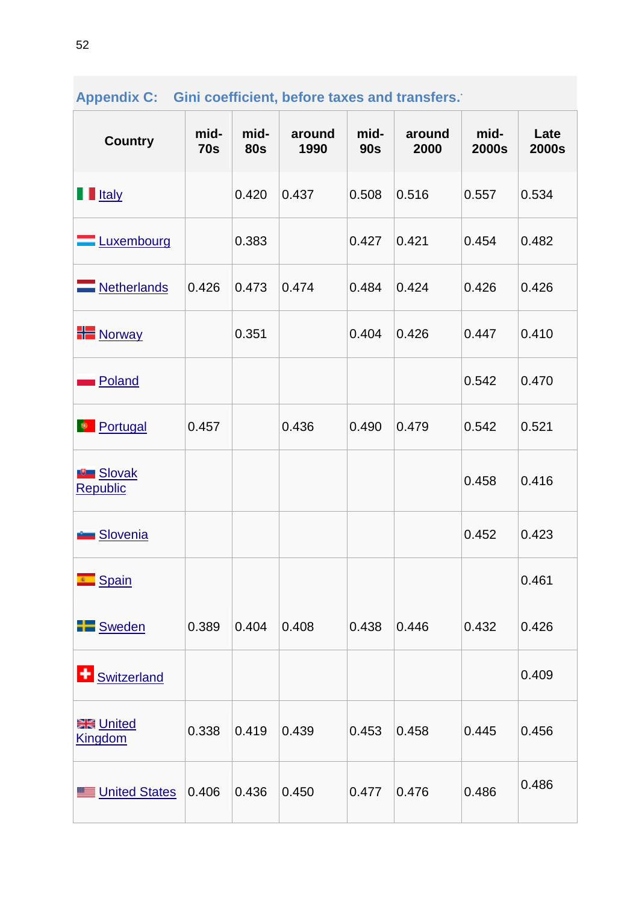| <b>Country</b>                     | mid-<br><b>70s</b> | mid-<br><b>80s</b> | around<br>1990 | mid-<br><b>90s</b> | around<br>2000 | mid-<br>2000s | Late<br>2000s |
|------------------------------------|--------------------|--------------------|----------------|--------------------|----------------|---------------|---------------|
| <b>T</b> Italy                     |                    | 0.420              | 0.437          | 0.508              | 0.516          | 0.557         | 0.534         |
| <b>Luxembourg</b>                  |                    | 0.383              |                | 0.427              | 0.421          | 0.454         | 0.482         |
| Netherlands                        | 0.426              | 0.473              | 0.474          | 0.484              | 0.424          | 0.426         | 0.426         |
| <b>H</b> Norway                    |                    | 0.351              |                | 0.404              | 0.426          | 0.447         | 0.410         |
| Poland                             |                    |                    |                |                    |                | 0.542         | 0.470         |
| 申<br>Portugal                      | 0.457              |                    | 0.436          | 0.490              | 0.479          | 0.542         | 0.521         |
| <b>B</b> Slovak<br>Republic        |                    |                    |                |                    |                | 0.458         | 0.416         |
| Slovenia                           |                    |                    |                |                    |                | 0.452         | 0.423         |
| <b>E</b> Spain                     |                    |                    |                |                    |                |               | 0.461         |
| <b>Except</b> Sweden               | 0.389              | 0.404              | 0.408          | 0.438              | 0.446          | 0.432         | 0.426         |
| Switzerland                        |                    |                    |                |                    |                |               | 0.409         |
| <b>ER United</b><br><b>Kingdom</b> | 0.338              | 0.419              | 0.439          | 0.453              | 0.458          | 0.445         | 0.456         |
| <b>United States</b>               | 0.406              | 0.436              | 0.450          | 0.477              | 0.476          | 0.486         | 0.486         |

## **Appendix C: Gini coefficient, before taxes and transfers. .**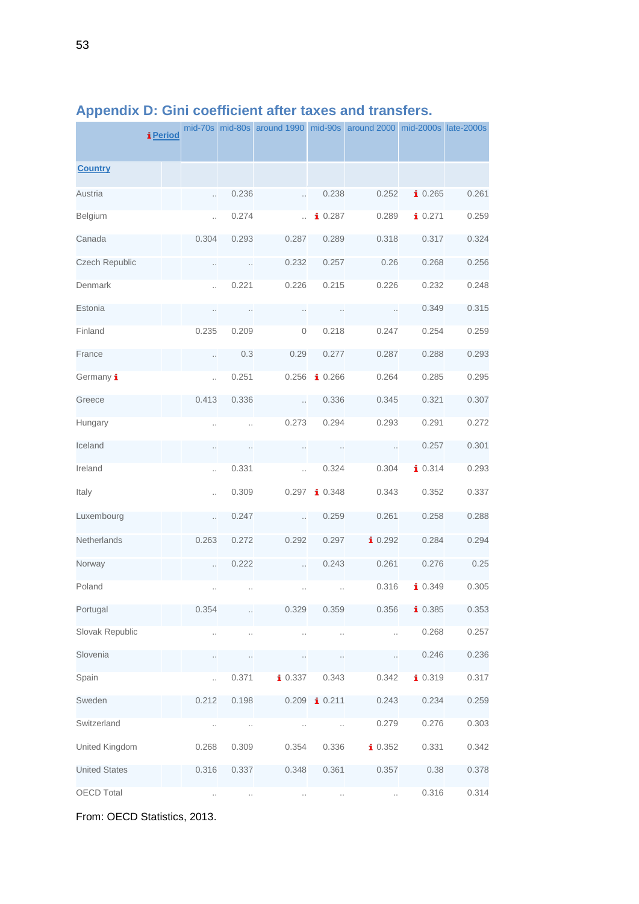|                      | i Period |                      |                      |                             |                      | mid-70s   mid-80s   around 1990   mid-90s   around 2000   mid-2000s   late-2000s |           |       |
|----------------------|----------|----------------------|----------------------|-----------------------------|----------------------|----------------------------------------------------------------------------------|-----------|-------|
| <b>Country</b>       |          |                      |                      |                             |                      |                                                                                  |           |       |
| Austria              |          | Ω,                   | 0.236                | $\ddot{\phantom{a}}$        | 0.238                | 0.252                                                                            | $i$ 0.265 | 0.261 |
| Belgium              |          | $\ddot{\phantom{a}}$ | 0.274                | $\ddot{\phantom{a}}$        | 10.287               | 0.289                                                                            | $i$ 0.271 | 0.259 |
| Canada               |          | 0.304                | 0.293                | 0.287                       | 0.289                | 0.318                                                                            | 0.317     | 0.324 |
| Czech Republic       |          | Ω,                   | $\ddot{\phantom{a}}$ | 0.232                       | 0.257                | 0.26                                                                             | 0.268     | 0.256 |
| Denmark              |          | $\ddot{\phantom{a}}$ | 0.221                | 0.226                       | 0.215                | 0.226                                                                            | 0.232     | 0.248 |
| Estonia              |          | Ω,                   | $\ddotsc$            | $\ddotsc$                   | $\ddotsc$            | $\bar{\mathcal{A}}$                                                              | 0.349     | 0.315 |
| Finland              |          | 0.235                | 0.209                | 0                           | 0.218                | 0.247                                                                            | 0.254     | 0.259 |
| France               |          | $\ddotsc$            | 0.3                  | 0.29                        | 0.277                | 0.287                                                                            | 0.288     | 0.293 |
| Germany i            |          | $\ddot{\phantom{a}}$ | 0.251                |                             | $0.256$ i 0.266      | 0.264                                                                            | 0.285     | 0.295 |
| Greece               |          | 0.413                | 0.336                | $\ddotsc$                   | 0.336                | 0.345                                                                            | 0.321     | 0.307 |
| Hungary              |          | Ω,                   |                      | 0.273                       | 0.294                | 0.293                                                                            | 0.291     | 0.272 |
| Iceland              |          | Ω,                   | Ω,                   |                             | .,                   | $\ddotsc$                                                                        | 0.257     | 0.301 |
| Ireland              |          | $\ddot{\phantom{a}}$ | 0.331                |                             | 0.324                | 0.304                                                                            | 10.314    | 0.293 |
| Italy                |          | $\ddot{\phantom{a}}$ | 0.309                | 0.297                       | 10.348               | 0.343                                                                            | 0.352     | 0.337 |
| Luxembourg           |          |                      | 0.247                | $\mathcal{L}_{\mathcal{A}}$ | 0.259                | 0.261                                                                            | 0.258     | 0.288 |
| Netherlands          |          | 0.263                | 0.272                | 0.292                       | 0.297                | $i$ 0.292                                                                        | 0.284     | 0.294 |
| Norway               |          | L.                   | 0.222                | $\ddotsc$                   | 0.243                | 0.261                                                                            | 0.276     | 0.25  |
| Poland               |          | . .                  | $\ddot{\phantom{0}}$ |                             | Ω,                   | 0.316                                                                            | 10.349    | 0.305 |
| Portugal             |          | 0.354                |                      | 0.329                       | 0.359                | 0.356                                                                            | 10.385    | 0.353 |
| Slovak Republic      |          | . .                  | $\ddotsc$            |                             |                      |                                                                                  | 0.268     | 0.257 |
| Slovenia             |          | .,                   |                      |                             | .,                   |                                                                                  | 0.246     | 0.236 |
| Spain                |          | $\ddot{\phantom{a}}$ | 0.371                | 10.337                      | 0.343                | 0.342                                                                            | 10.319    | 0.317 |
| Sweden               |          | 0.212                | 0.198                |                             | $0.209$ i 0.211      | 0.243                                                                            | 0.234     | 0.259 |
| Switzerland          |          | $\ddotsc$            | $\ldots$             | $\ddot{\phantom{a}}$        | $\ddot{\phantom{0}}$ | 0.279                                                                            | 0.276     | 0.303 |
| United Kingdom       |          | 0.268                | 0.309                | 0.354                       | 0.336                | 10.352                                                                           | 0.331     | 0.342 |
| <b>United States</b> |          | 0.316                | 0.337                | 0.348                       | 0.361                | 0.357                                                                            | 0.38      | 0.378 |
| OECD Total           |          | $\ddotsc$            | $\ddotsc$            | $\ddotsc$                   | $\ddotsc$            | $\ddotsc$                                                                        | 0.316     | 0.314 |

# <span id="page-52-0"></span>**Appendix D: Gini coefficient after taxes and transfers.**

From: OECD Statistics, 2013.